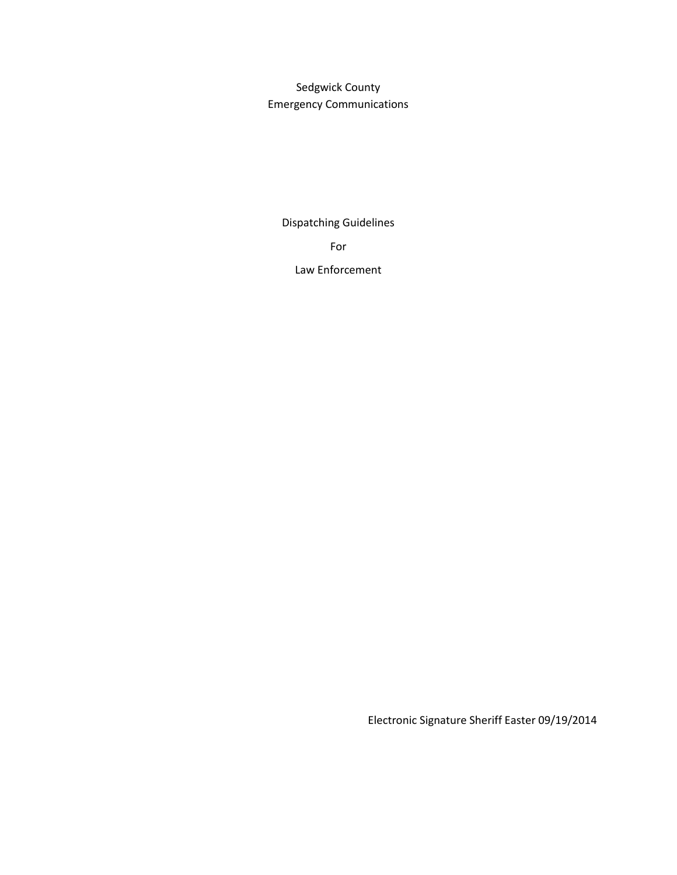Sedgwick County Emergency Communications

Dispatching Guidelines

For

Law Enforcement

Electronic Signature Sheriff Easter 09/19/2014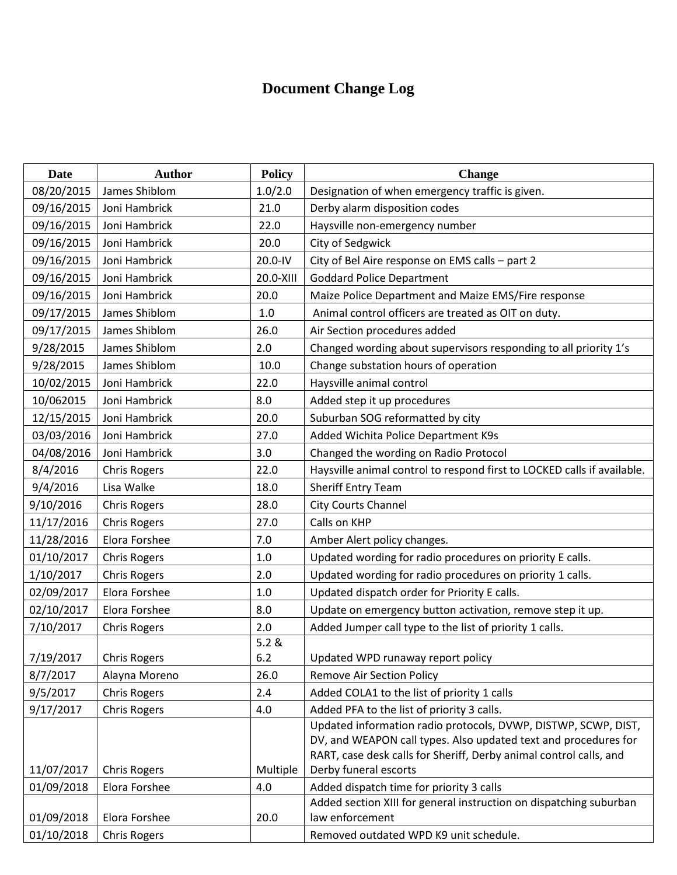# **Document Change Log**

| Date       | <b>Author</b>       | <b>Policy</b> | <b>Change</b>                                                                               |  |  |  |  |  |
|------------|---------------------|---------------|---------------------------------------------------------------------------------------------|--|--|--|--|--|
| 08/20/2015 | James Shiblom       | 1.0/2.0       | Designation of when emergency traffic is given.                                             |  |  |  |  |  |
| 09/16/2015 | Joni Hambrick       | 21.0          | Derby alarm disposition codes                                                               |  |  |  |  |  |
| 09/16/2015 | Joni Hambrick       | 22.0          | Haysville non-emergency number                                                              |  |  |  |  |  |
| 09/16/2015 | Joni Hambrick       | 20.0          | City of Sedgwick                                                                            |  |  |  |  |  |
| 09/16/2015 | Joni Hambrick       | 20.0-IV       | City of Bel Aire response on EMS calls - part 2                                             |  |  |  |  |  |
| 09/16/2015 | Joni Hambrick       | 20.0-XIII     | <b>Goddard Police Department</b>                                                            |  |  |  |  |  |
| 09/16/2015 | Joni Hambrick       | 20.0          | Maize Police Department and Maize EMS/Fire response                                         |  |  |  |  |  |
| 09/17/2015 | James Shiblom       | $1.0$         | Animal control officers are treated as OIT on duty.                                         |  |  |  |  |  |
| 09/17/2015 | James Shiblom       | 26.0          | Air Section procedures added                                                                |  |  |  |  |  |
| 9/28/2015  | James Shiblom       | 2.0           | Changed wording about supervisors responding to all priority 1's                            |  |  |  |  |  |
| 9/28/2015  | James Shiblom       | 10.0          | Change substation hours of operation                                                        |  |  |  |  |  |
| 10/02/2015 | Joni Hambrick       | 22.0          | Haysville animal control                                                                    |  |  |  |  |  |
| 10/062015  | Joni Hambrick       | 8.0           | Added step it up procedures                                                                 |  |  |  |  |  |
| 12/15/2015 | Joni Hambrick       | 20.0          | Suburban SOG reformatted by city                                                            |  |  |  |  |  |
| 03/03/2016 | Joni Hambrick       | 27.0          | Added Wichita Police Department K9s                                                         |  |  |  |  |  |
| 04/08/2016 | Joni Hambrick       | 3.0           | Changed the wording on Radio Protocol                                                       |  |  |  |  |  |
| 8/4/2016   | <b>Chris Rogers</b> | 22.0          | Haysville animal control to respond first to LOCKED calls if available.                     |  |  |  |  |  |
| 9/4/2016   | Lisa Walke          | 18.0          | Sheriff Entry Team                                                                          |  |  |  |  |  |
| 9/10/2016  | <b>Chris Rogers</b> | 28.0          | <b>City Courts Channel</b>                                                                  |  |  |  |  |  |
| 11/17/2016 | <b>Chris Rogers</b> | 27.0          | Calls on KHP                                                                                |  |  |  |  |  |
| 11/28/2016 | Elora Forshee       | 7.0           | Amber Alert policy changes.                                                                 |  |  |  |  |  |
| 01/10/2017 | <b>Chris Rogers</b> | 1.0           | Updated wording for radio procedures on priority E calls.                                   |  |  |  |  |  |
| 1/10/2017  | <b>Chris Rogers</b> | 2.0           | Updated wording for radio procedures on priority 1 calls.                                   |  |  |  |  |  |
| 02/09/2017 | Elora Forshee       | 1.0           | Updated dispatch order for Priority E calls.                                                |  |  |  |  |  |
| 02/10/2017 | Elora Forshee       | 8.0           | Update on emergency button activation, remove step it up.                                   |  |  |  |  |  |
| 7/10/2017  | <b>Chris Rogers</b> | 2.0           | Added Jumper call type to the list of priority 1 calls.                                     |  |  |  |  |  |
|            |                     | 5.2 &         |                                                                                             |  |  |  |  |  |
| 7/19/2017  | <b>Chris Rogers</b> | $6.2$         | Updated WPD runaway report policy                                                           |  |  |  |  |  |
| 8/7/2017   | Alayna Moreno       | 26.0          | <b>Remove Air Section Policy</b>                                                            |  |  |  |  |  |
| 9/5/2017   | <b>Chris Rogers</b> | 2.4           | Added COLA1 to the list of priority 1 calls                                                 |  |  |  |  |  |
| 9/17/2017  | <b>Chris Rogers</b> | 4.0           | Added PFA to the list of priority 3 calls.                                                  |  |  |  |  |  |
|            |                     |               | Updated information radio protocols, DVWP, DISTWP, SCWP, DIST,                              |  |  |  |  |  |
|            |                     |               | DV, and WEAPON call types. Also updated text and procedures for                             |  |  |  |  |  |
| 11/07/2017 | <b>Chris Rogers</b> | Multiple      | RART, case desk calls for Sheriff, Derby animal control calls, and<br>Derby funeral escorts |  |  |  |  |  |
| 01/09/2018 | Elora Forshee       | 4.0           | Added dispatch time for priority 3 calls                                                    |  |  |  |  |  |
|            |                     |               | Added section XIII for general instruction on dispatching suburban                          |  |  |  |  |  |
| 01/09/2018 | Elora Forshee       | 20.0          | law enforcement                                                                             |  |  |  |  |  |
| 01/10/2018 | <b>Chris Rogers</b> |               | Removed outdated WPD K9 unit schedule.                                                      |  |  |  |  |  |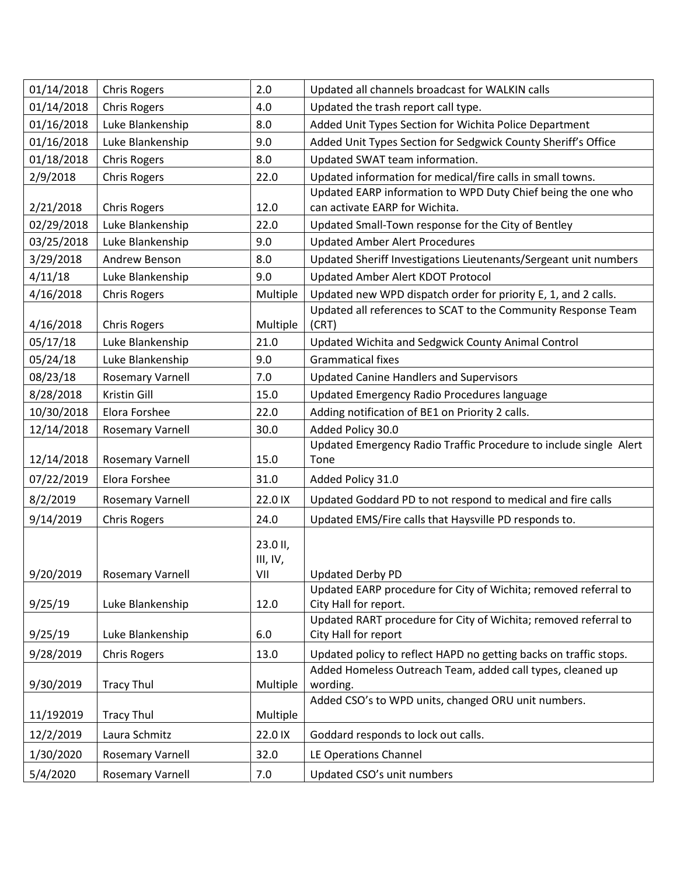| 01/14/2018 | <b>Chris Rogers</b>     | 2.0                         | Updated all channels broadcast for WALKIN calls                                          |
|------------|-------------------------|-----------------------------|------------------------------------------------------------------------------------------|
| 01/14/2018 | <b>Chris Rogers</b>     | 4.0                         | Updated the trash report call type.                                                      |
| 01/16/2018 | Luke Blankenship        | 8.0                         | Added Unit Types Section for Wichita Police Department                                   |
| 01/16/2018 | Luke Blankenship        | 9.0                         | Added Unit Types Section for Sedgwick County Sheriff's Office                            |
| 01/18/2018 | <b>Chris Rogers</b>     | 8.0                         | Updated SWAT team information.                                                           |
| 2/9/2018   | <b>Chris Rogers</b>     | 22.0                        | Updated information for medical/fire calls in small towns.                               |
|            |                         |                             | Updated EARP information to WPD Duty Chief being the one who                             |
| 2/21/2018  | <b>Chris Rogers</b>     | 12.0                        | can activate EARP for Wichita.                                                           |
| 02/29/2018 | Luke Blankenship        | 22.0                        | Updated Small-Town response for the City of Bentley                                      |
| 03/25/2018 | Luke Blankenship        | 9.0                         | <b>Updated Amber Alert Procedures</b>                                                    |
| 3/29/2018  | Andrew Benson           | 8.0                         | Updated Sheriff Investigations Lieutenants/Sergeant unit numbers                         |
| 4/11/18    | Luke Blankenship        | 9.0                         | Updated Amber Alert KDOT Protocol                                                        |
| 4/16/2018  | <b>Chris Rogers</b>     | Multiple                    | Updated new WPD dispatch order for priority E, 1, and 2 calls.                           |
| 4/16/2018  | <b>Chris Rogers</b>     | Multiple                    | Updated all references to SCAT to the Community Response Team<br>(CRT)                   |
| 05/17/18   | Luke Blankenship        | 21.0                        | Updated Wichita and Sedgwick County Animal Control                                       |
| 05/24/18   | Luke Blankenship        | 9.0                         | <b>Grammatical fixes</b>                                                                 |
| 08/23/18   | <b>Rosemary Varnell</b> | 7.0                         | <b>Updated Canine Handlers and Supervisors</b>                                           |
| 8/28/2018  | Kristin Gill            | 15.0                        | Updated Emergency Radio Procedures language                                              |
| 10/30/2018 | Elora Forshee           | 22.0                        | Adding notification of BE1 on Priority 2 calls.                                          |
| 12/14/2018 | <b>Rosemary Varnell</b> | 30.0                        | Added Policy 30.0                                                                        |
| 12/14/2018 | <b>Rosemary Varnell</b> | 15.0                        | Updated Emergency Radio Traffic Procedure to include single Alert<br>Tone                |
| 07/22/2019 | Elora Forshee           | 31.0                        | Added Policy 31.0                                                                        |
| 8/2/2019   | <b>Rosemary Varnell</b> | 22.0 IX                     | Updated Goddard PD to not respond to medical and fire calls                              |
| 9/14/2019  | <b>Chris Rogers</b>     | 24.0                        | Updated EMS/Fire calls that Haysville PD responds to.                                    |
| 9/20/2019  | <b>Rosemary Varnell</b> | 23.0 II,<br>III, IV,<br>VII | <b>Updated Derby PD</b>                                                                  |
| 9/25/19    | Luke Blankenship        | 12.0                        | Updated EARP procedure for City of Wichita; removed referral to<br>City Hall for report. |
| 9/25/19    | Luke Blankenship        | 6.0                         | Updated RART procedure for City of Wichita; removed referral to<br>City Hall for report  |
| 9/28/2019  | <b>Chris Rogers</b>     | 13.0                        | Updated policy to reflect HAPD no getting backs on traffic stops.                        |
| 9/30/2019  | <b>Tracy Thul</b>       | Multiple                    | Added Homeless Outreach Team, added call types, cleaned up<br>wording.                   |
| 11/192019  | <b>Tracy Thul</b>       | Multiple                    | Added CSO's to WPD units, changed ORU unit numbers.                                      |
| 12/2/2019  | Laura Schmitz           | 22.0 IX                     | Goddard responds to lock out calls.                                                      |
| 1/30/2020  | <b>Rosemary Varnell</b> | 32.0                        | LE Operations Channel                                                                    |
| 5/4/2020   | <b>Rosemary Varnell</b> | 7.0                         | Updated CSO's unit numbers                                                               |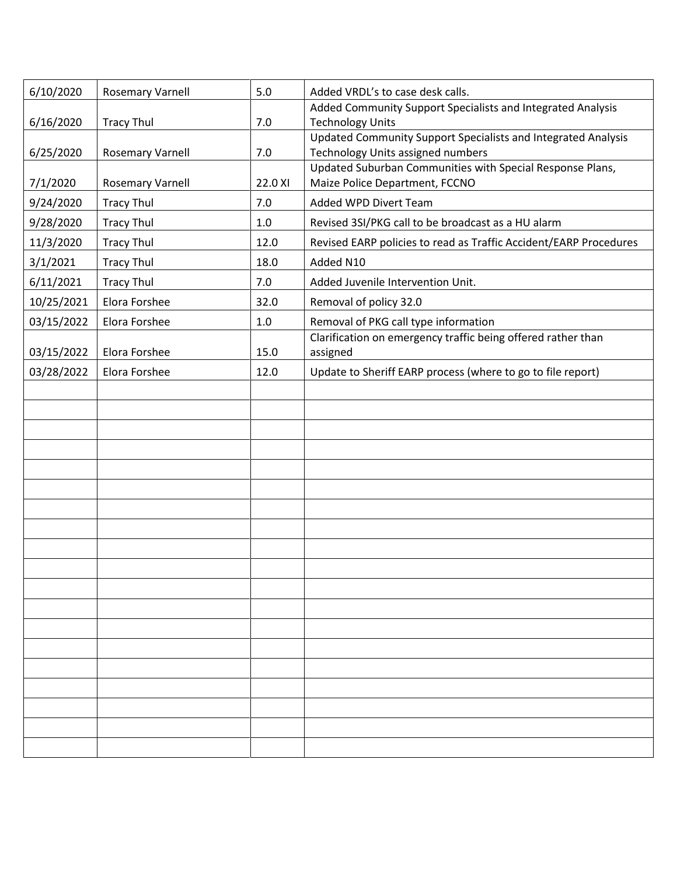| 6/10/2020  | <b>Rosemary Varnell</b> | 5.0     | Added VRDL's to case desk calls.                                                                   |
|------------|-------------------------|---------|----------------------------------------------------------------------------------------------------|
| 6/16/2020  | <b>Tracy Thul</b>       | 7.0     | Added Community Support Specialists and Integrated Analysis<br><b>Technology Units</b>             |
| 6/25/2020  | <b>Rosemary Varnell</b> | 7.0     | Updated Community Support Specialists and Integrated Analysis<br>Technology Units assigned numbers |
| 7/1/2020   | <b>Rosemary Varnell</b> | 22.0 XI | Updated Suburban Communities with Special Response Plans,<br>Maize Police Department, FCCNO        |
| 9/24/2020  | <b>Tracy Thul</b>       | 7.0     | Added WPD Divert Team                                                                              |
| 9/28/2020  | <b>Tracy Thul</b>       | 1.0     | Revised 3SI/PKG call to be broadcast as a HU alarm                                                 |
| 11/3/2020  | <b>Tracy Thul</b>       | 12.0    | Revised EARP policies to read as Traffic Accident/EARP Procedures                                  |
| 3/1/2021   | <b>Tracy Thul</b>       | 18.0    | Added N10                                                                                          |
| 6/11/2021  | <b>Tracy Thul</b>       | 7.0     | Added Juvenile Intervention Unit.                                                                  |
| 10/25/2021 | Elora Forshee           | 32.0    | Removal of policy 32.0                                                                             |
| 03/15/2022 | Elora Forshee           | $1.0\,$ | Removal of PKG call type information                                                               |
| 03/15/2022 | Elora Forshee           | 15.0    | Clarification on emergency traffic being offered rather than<br>assigned                           |
| 03/28/2022 | Elora Forshee           | 12.0    | Update to Sheriff EARP process (where to go to file report)                                        |
|            |                         |         |                                                                                                    |
|            |                         |         |                                                                                                    |
|            |                         |         |                                                                                                    |
|            |                         |         |                                                                                                    |
|            |                         |         |                                                                                                    |
|            |                         |         |                                                                                                    |
|            |                         |         |                                                                                                    |
|            |                         |         |                                                                                                    |
|            |                         |         |                                                                                                    |
|            |                         |         |                                                                                                    |
|            |                         |         |                                                                                                    |
|            |                         |         |                                                                                                    |
|            |                         |         |                                                                                                    |
|            |                         |         |                                                                                                    |
|            |                         |         |                                                                                                    |
|            |                         |         |                                                                                                    |
|            |                         |         |                                                                                                    |
|            |                         |         |                                                                                                    |
|            |                         |         |                                                                                                    |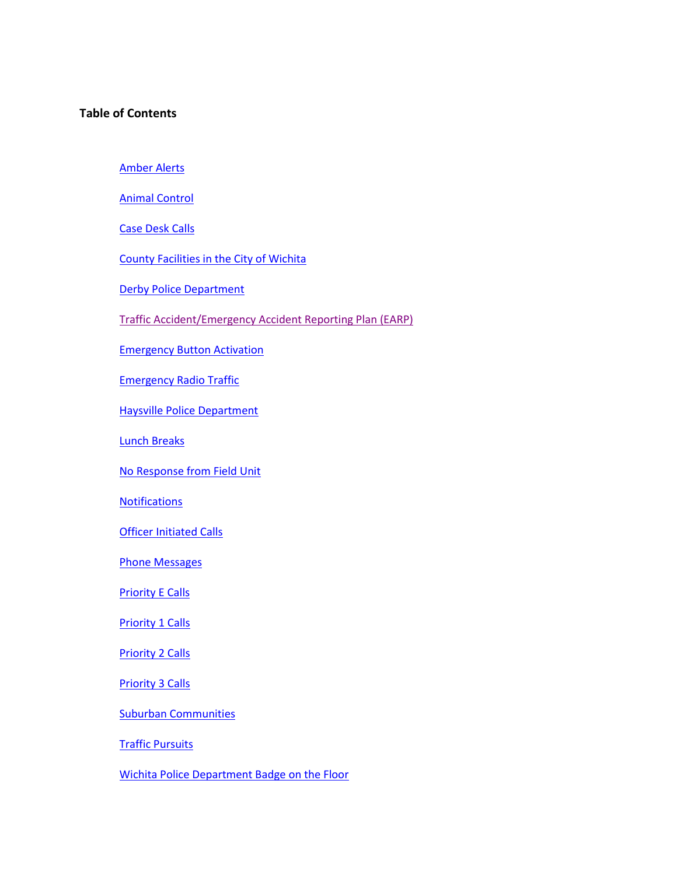# **Table of Contents**

Amber Alerts

Animal Control

Case Desk Calls

County Facilities in the City of Wichita

Derby Police Department

Traffic Accident/Emergency Accident Reporting Plan (EARP)

Emergency Button Activation

Emergency Radio Traffic

Haysville Police Department

Lunch Breaks

No Response from Field Unit

**Notifications** 

**Officer Initiated Calls** 

Phone Messages

Priority E Calls

Priority 1 Calls

Priority 2 Calls

Priority 3 Calls

Suburban Communities

Traffic Pursuits

Wichita Police Department Badge on the Floor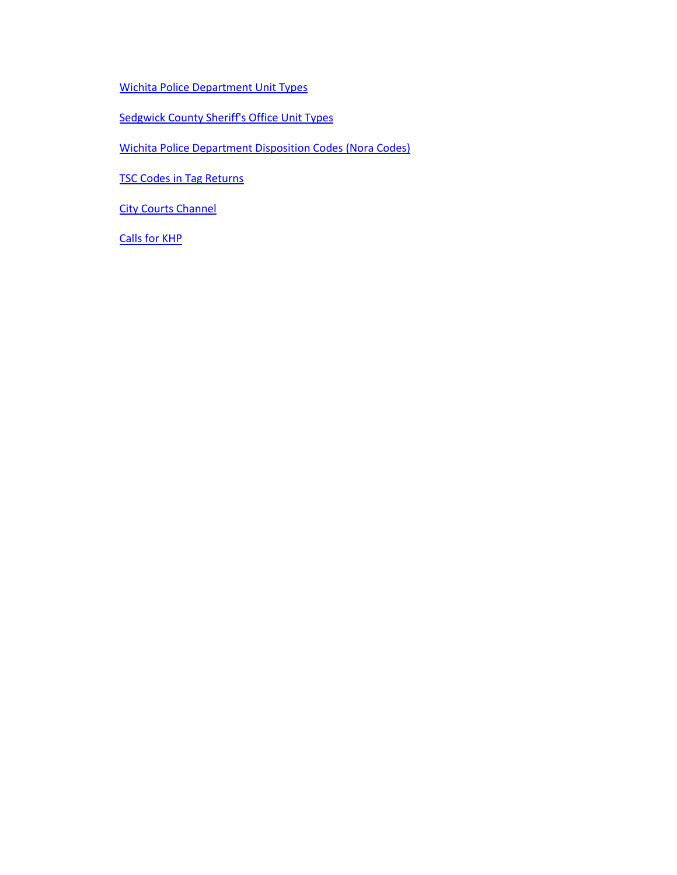Wichita Police Department Unit Types

Sedgwick County Sheriff's Office Unit Types

Wichita Police Department Disposition Codes (Nora Codes)

TSC Codes in Tag Returns

**City Courts Channel** 

Calls for KHP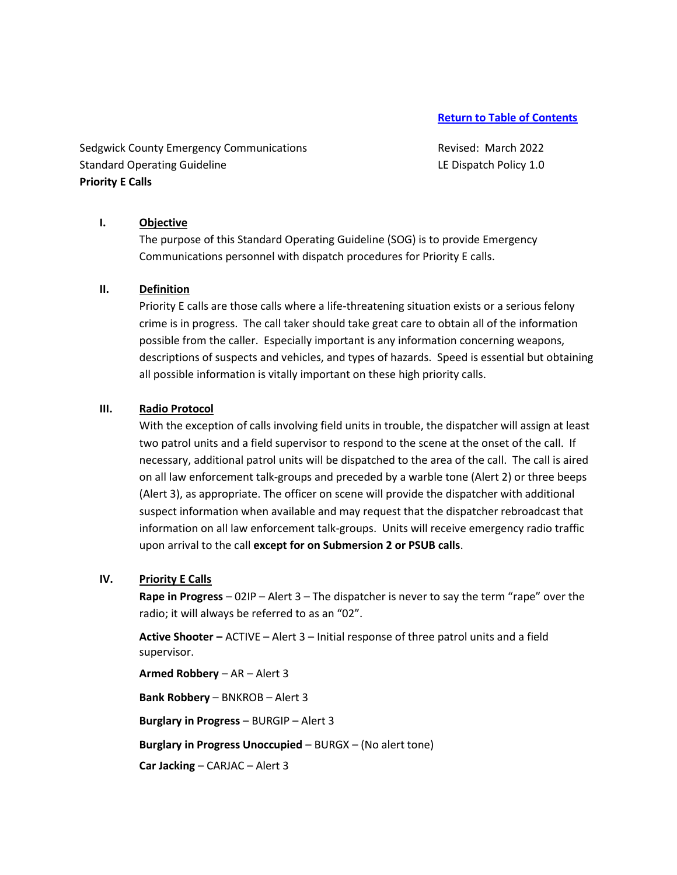Sedgwick County Emergency Communications Theorem Revised: March 2022 Standard Operating Guideline LE Dispatch Policy 1.0 **Priority E Calls** 

### **I. Objective**

The purpose of this Standard Operating Guideline (SOG) is to provide Emergency Communications personnel with dispatch procedures for Priority E calls.

#### **II. Definition**

Priority E calls are those calls where a life-threatening situation exists or a serious felony crime is in progress. The call taker should take great care to obtain all of the information possible from the caller. Especially important is any information concerning weapons, descriptions of suspects and vehicles, and types of hazards. Speed is essential but obtaining all possible information is vitally important on these high priority calls.

#### **III. Radio Protocol**

With the exception of calls involving field units in trouble, the dispatcher will assign at least two patrol units and a field supervisor to respond to the scene at the onset of the call. If necessary, additional patrol units will be dispatched to the area of the call. The call is aired on all law enforcement talk-groups and preceded by a warble tone (Alert 2) or three beeps (Alert 3), as appropriate. The officer on scene will provide the dispatcher with additional suspect information when available and may request that the dispatcher rebroadcast that information on all law enforcement talk-groups. Units will receive emergency radio traffic upon arrival to the call **except for on Submersion 2 or PSUB calls**.

# **IV. Priority E Calls**

**Rape in Progress** – 02IP – Alert 3 – The dispatcher is never to say the term "rape" over the radio; it will always be referred to as an "02".

**Active Shooter –** ACTIVE – Alert 3 – Initial response of three patrol units and a field supervisor.

**Armed Robbery** – AR – Alert 3 **Bank Robbery** – BNKROB – Alert 3 **Burglary in Progress** – BURGIP – Alert 3 **Burglary in Progress Unoccupied** – BURGX – (No alert tone) **Car Jacking** – CARJAC – Alert 3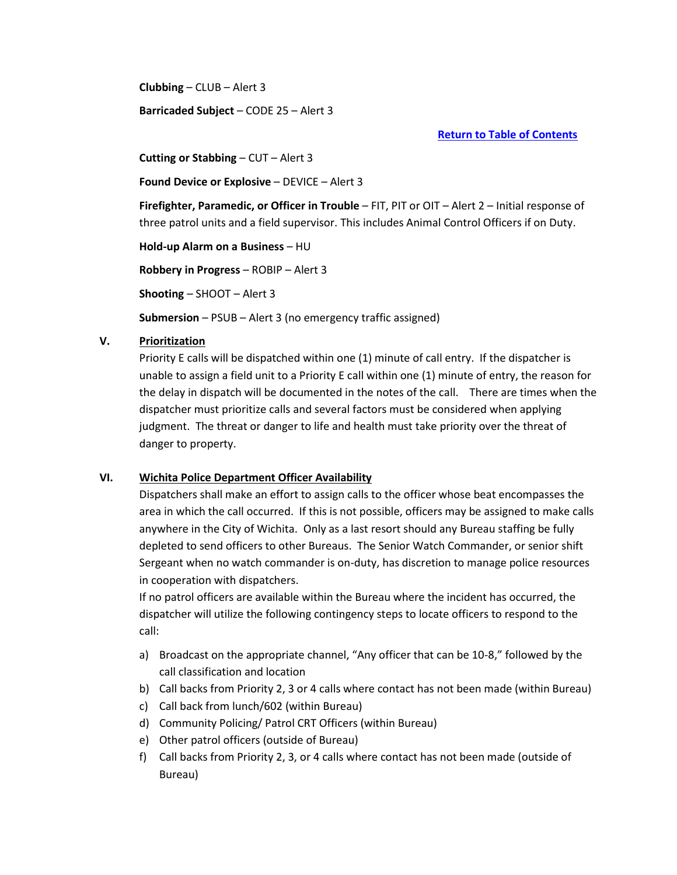**Clubbing** – CLUB – Alert 3

**Barricaded Subject** – CODE 25 – Alert 3

**Return to Table of Contents**

**Cutting or Stabbing** – CUT – Alert 3

**Found Device or Explosive** – DEVICE – Alert 3

**Firefighter, Paramedic, or Officer in Trouble** – FIT, PIT or OIT – Alert 2 – Initial response of three patrol units and a field supervisor. This includes Animal Control Officers if on Duty.

**Hold-up Alarm on a Business** – HU **Robbery in Progress** – ROBIP – Alert 3 **Shooting** – SHOOT – Alert 3 **Submersion** – PSUB – Alert 3 (no emergency traffic assigned)

# **V. Prioritization**

Priority E calls will be dispatched within one (1) minute of call entry. If the dispatcher is unable to assign a field unit to a Priority E call within one (1) minute of entry, the reason for the delay in dispatch will be documented in the notes of the call. There are times when the dispatcher must prioritize calls and several factors must be considered when applying judgment. The threat or danger to life and health must take priority over the threat of danger to property.

# **VI. Wichita Police Department Officer Availability**

Dispatchers shall make an effort to assign calls to the officer whose beat encompasses the area in which the call occurred. If this is not possible, officers may be assigned to make calls anywhere in the City of Wichita. Only as a last resort should any Bureau staffing be fully depleted to send officers to other Bureaus. The Senior Watch Commander, or senior shift Sergeant when no watch commander is on-duty, has discretion to manage police resources in cooperation with dispatchers.

If no patrol officers are available within the Bureau where the incident has occurred, the dispatcher will utilize the following contingency steps to locate officers to respond to the call:

- a) Broadcast on the appropriate channel, "Any officer that can be 10-8," followed by the call classification and location
- b) Call backs from Priority 2, 3 or 4 calls where contact has not been made (within Bureau)
- c) Call back from lunch/602 (within Bureau)
- d) Community Policing/ Patrol CRT Officers (within Bureau)
- e) Other patrol officers (outside of Bureau)
- f) Call backs from Priority 2, 3, or 4 calls where contact has not been made (outside of Bureau)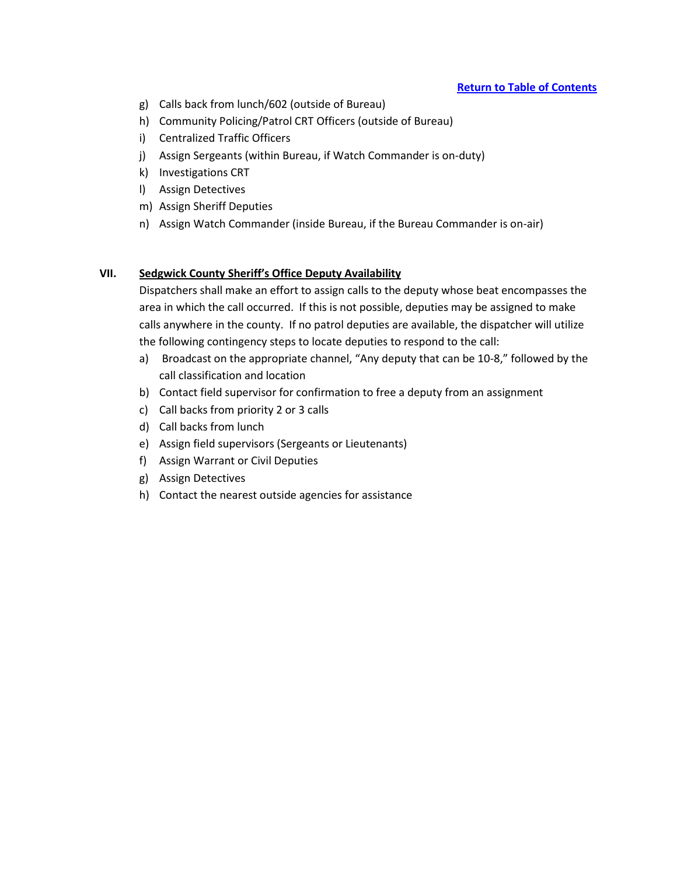- g) Calls back from lunch/602 (outside of Bureau)
- h) Community Policing/Patrol CRT Officers (outside of Bureau)
- i) Centralized Traffic Officers
- j) Assign Sergeants (within Bureau, if Watch Commander is on-duty)
- k) Investigations CRT
- l) Assign Detectives
- m) Assign Sheriff Deputies
- n) Assign Watch Commander (inside Bureau, if the Bureau Commander is on-air)

# **VII. Sedgwick County Sheriff's Office Deputy Availability**

Dispatchers shall make an effort to assign calls to the deputy whose beat encompasses the area in which the call occurred. If this is not possible, deputies may be assigned to make calls anywhere in the county. If no patrol deputies are available, the dispatcher will utilize the following contingency steps to locate deputies to respond to the call:

- a) Broadcast on the appropriate channel, "Any deputy that can be 10-8," followed by the call classification and location
- b) Contact field supervisor for confirmation to free a deputy from an assignment
- c) Call backs from priority 2 or 3 calls
- d) Call backs from lunch
- e) Assign field supervisors (Sergeants or Lieutenants)
- f) Assign Warrant or Civil Deputies
- g) Assign Detectives
- h) Contact the nearest outside agencies for assistance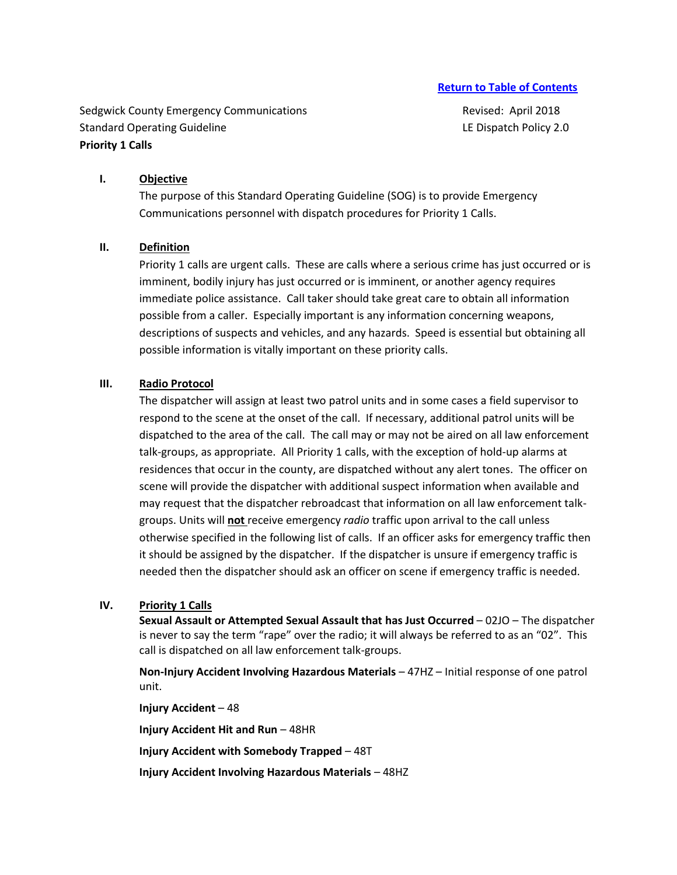Sedgwick County Emergency Communications **Revised: April 2018** Revised: April 2018 Standard Operating Guideline **LE Dispatch Policy 2.0** Canadard Operating Guideline **Priority 1 Calls** 

### **I. Objective**

The purpose of this Standard Operating Guideline (SOG) is to provide Emergency Communications personnel with dispatch procedures for Priority 1 Calls.

#### **II. Definition**

Priority 1 calls are urgent calls. These are calls where a serious crime has just occurred or is imminent, bodily injury has just occurred or is imminent, or another agency requires immediate police assistance. Call taker should take great care to obtain all information possible from a caller. Especially important is any information concerning weapons, descriptions of suspects and vehicles, and any hazards. Speed is essential but obtaining all possible information is vitally important on these priority calls.

## **III. Radio Protocol**

The dispatcher will assign at least two patrol units and in some cases a field supervisor to respond to the scene at the onset of the call. If necessary, additional patrol units will be dispatched to the area of the call. The call may or may not be aired on all law enforcement talk-groups, as appropriate. All Priority 1 calls, with the exception of hold-up alarms at residences that occur in the county, are dispatched without any alert tones. The officer on scene will provide the dispatcher with additional suspect information when available and may request that the dispatcher rebroadcast that information on all law enforcement talkgroups. Units will **not** receive emergency *radio* traffic upon arrival to the call unless otherwise specified in the following list of calls. If an officer asks for emergency traffic then it should be assigned by the dispatcher. If the dispatcher is unsure if emergency traffic is needed then the dispatcher should ask an officer on scene if emergency traffic is needed.

#### **IV. Priority 1 Calls**

**Sexual Assault or Attempted Sexual Assault that has Just Occurred** – 02JO – The dispatcher is never to say the term "rape" over the radio; it will always be referred to as an "02". This call is dispatched on all law enforcement talk-groups.

**Non-Injury Accident Involving Hazardous Materials** – 47HZ – Initial response of one patrol unit.

**Injury Accident** – 48 **Injury Accident Hit and Run** – 48HR **Injury Accident with Somebody Trapped** – 48T **Injury Accident Involving Hazardous Materials** – 48HZ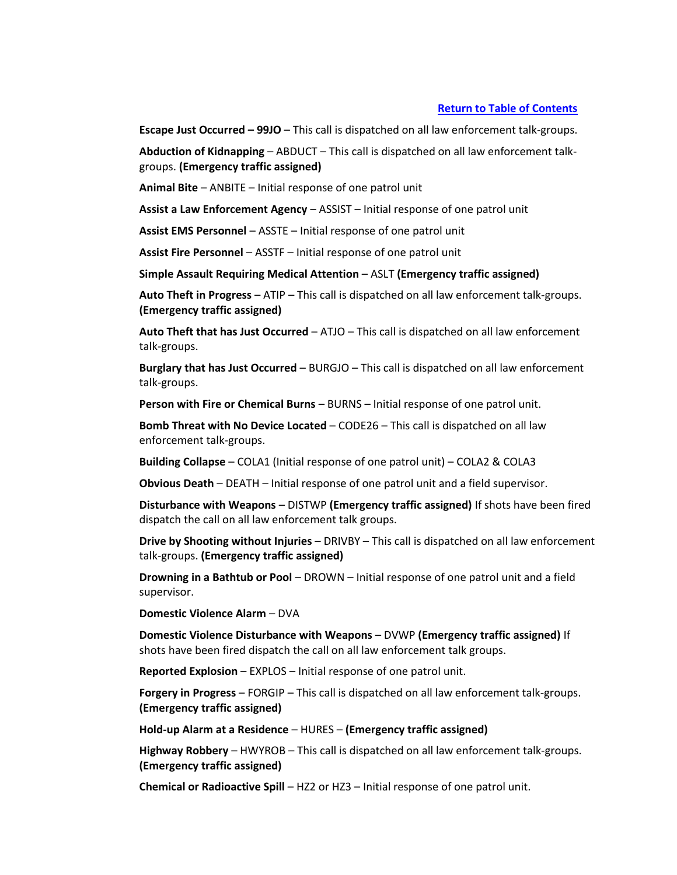**Escape Just Occurred – 99JO** – This call is dispatched on all law enforcement talk-groups.

**Abduction of Kidnapping** – ABDUCT – This call is dispatched on all law enforcement talkgroups. **(Emergency traffic assigned)**

**Animal Bite** – ANBITE – Initial response of one patrol unit

**Assist a Law Enforcement Agency** – ASSIST – Initial response of one patrol unit

**Assist EMS Personnel** – ASSTE – Initial response of one patrol unit

**Assist Fire Personnel** – ASSTF – Initial response of one patrol unit

**Simple Assault Requiring Medical Attention** – ASLT **(Emergency traffic assigned)**

**Auto Theft in Progress** – ATIP – This call is dispatched on all law enforcement talk-groups. **(Emergency traffic assigned)**

**Auto Theft that has Just Occurred** – ATJO – This call is dispatched on all law enforcement talk-groups.

**Burglary that has Just Occurred** – BURGJO – This call is dispatched on all law enforcement talk-groups.

**Person with Fire or Chemical Burns** – BURNS – Initial response of one patrol unit.

**Bomb Threat with No Device Located** – CODE26 – This call is dispatched on all law enforcement talk-groups.

**Building Collapse** – COLA1 (Initial response of one patrol unit) – COLA2 & COLA3

**Obvious Death** – DEATH – Initial response of one patrol unit and a field supervisor.

**Disturbance with Weapons** – DISTWP **(Emergency traffic assigned)** If shots have been fired dispatch the call on all law enforcement talk groups.

**Drive by Shooting without Injuries** – DRIVBY – This call is dispatched on all law enforcement talk-groups. **(Emergency traffic assigned)**

**Drowning in a Bathtub or Pool** – DROWN – Initial response of one patrol unit and a field supervisor.

**Domestic Violence Alarm** – DVA

**Domestic Violence Disturbance with Weapons** – DVWP **(Emergency traffic assigned)** If shots have been fired dispatch the call on all law enforcement talk groups.

**Reported Explosion** – EXPLOS – Initial response of one patrol unit.

**Forgery in Progress** – FORGIP – This call is dispatched on all law enforcement talk-groups. **(Emergency traffic assigned)**

**Hold-up Alarm at a Residence** – HURES – **(Emergency traffic assigned)**

**Highway Robbery** – HWYROB – This call is dispatched on all law enforcement talk-groups. **(Emergency traffic assigned)**

**Chemical or Radioactive Spill** – HZ2 or HZ3 – Initial response of one patrol unit.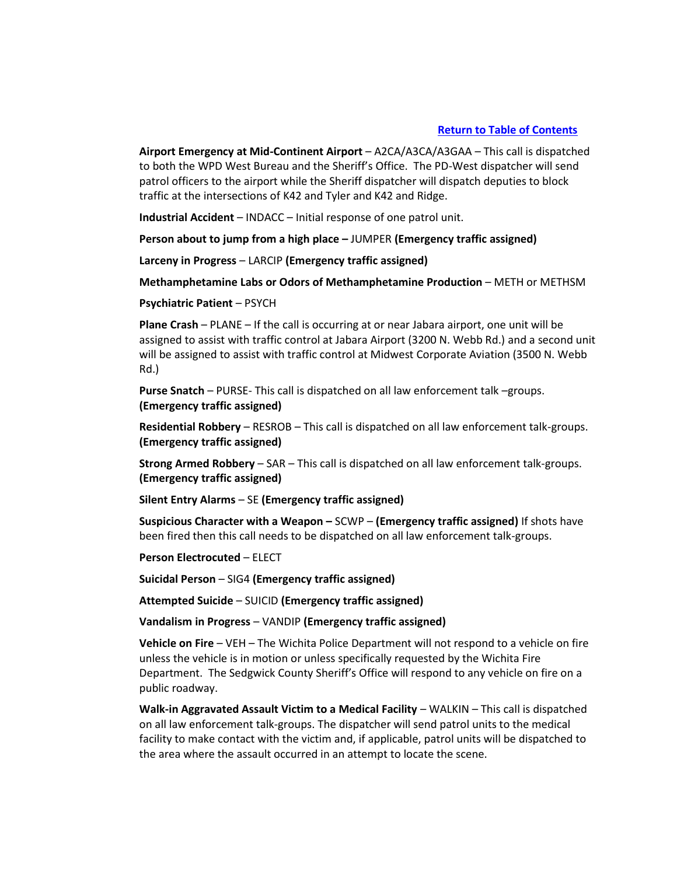**Airport Emergency at Mid-Continent Airport** – A2CA/A3CA/A3GAA – This call is dispatched to both the WPD West Bureau and the Sheriff's Office. The PD-West dispatcher will send patrol officers to the airport while the Sheriff dispatcher will dispatch deputies to block traffic at the intersections of K42 and Tyler and K42 and Ridge.

**Industrial Accident** – INDACC – Initial response of one patrol unit.

**Person about to jump from a high place –** JUMPER **(Emergency traffic assigned)**

**Larceny in Progress** – LARCIP **(Emergency traffic assigned)**

**Methamphetamine Labs or Odors of Methamphetamine Production** – METH or METHSM

**Psychiatric Patient** – PSYCH

**Plane Crash** – PLANE – If the call is occurring at or near Jabara airport, one unit will be assigned to assist with traffic control at Jabara Airport (3200 N. Webb Rd.) and a second unit will be assigned to assist with traffic control at Midwest Corporate Aviation (3500 N. Webb Rd.)

**Purse Snatch** – PURSE- This call is dispatched on all law enforcement talk –groups. **(Emergency traffic assigned)**

**Residential Robbery** – RESROB – This call is dispatched on all law enforcement talk-groups. **(Emergency traffic assigned)**

**Strong Armed Robbery** – SAR – This call is dispatched on all law enforcement talk-groups. **(Emergency traffic assigned)**

**Silent Entry Alarms** – SE **(Emergency traffic assigned)**

**Suspicious Character with a Weapon –** SCWP – **(Emergency traffic assigned)** If shots have been fired then this call needs to be dispatched on all law enforcement talk-groups.

**Person Electrocuted** – ELECT

**Suicidal Person** – SIG4 **(Emergency traffic assigned)**

**Attempted Suicide** – SUICID **(Emergency traffic assigned)**

**Vandalism in Progress** – VANDIP **(Emergency traffic assigned)**

**Vehicle on Fire** – VEH – The Wichita Police Department will not respond to a vehicle on fire unless the vehicle is in motion or unless specifically requested by the Wichita Fire Department. The Sedgwick County Sheriff's Office will respond to any vehicle on fire on a public roadway.

**Walk-in Aggravated Assault Victim to a Medical Facility** – WALKIN – This call is dispatched on all law enforcement talk-groups. The dispatcher will send patrol units to the medical facility to make contact with the victim and, if applicable, patrol units will be dispatched to the area where the assault occurred in an attempt to locate the scene.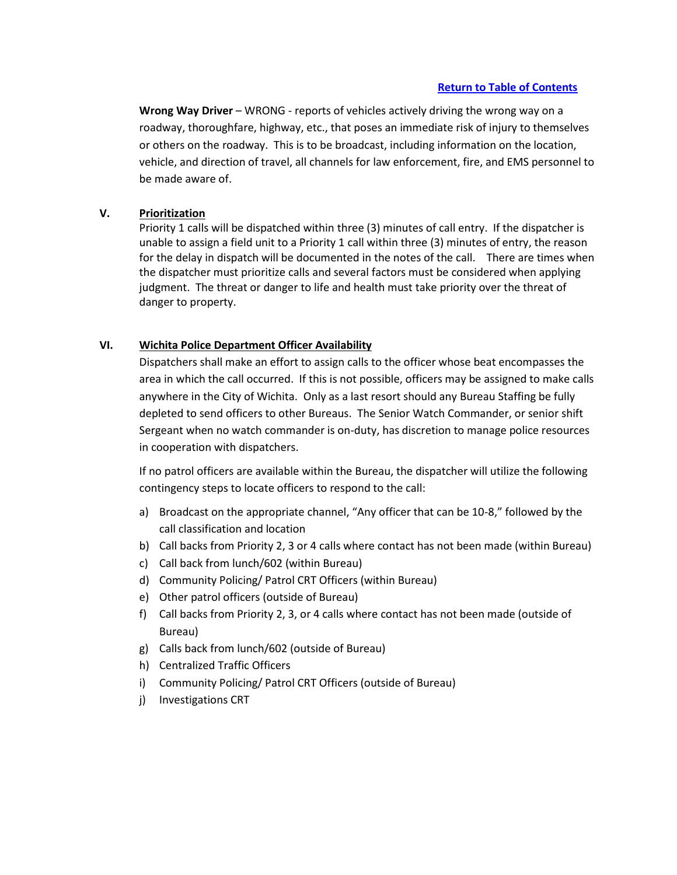**Wrong Way Driver** – WRONG - reports of vehicles actively driving the wrong way on a roadway, thoroughfare, highway, etc., that poses an immediate risk of injury to themselves or others on the roadway. This is to be broadcast, including information on the location, vehicle, and direction of travel, all channels for law enforcement, fire, and EMS personnel to be made aware of.

# **V. Prioritization**

Priority 1 calls will be dispatched within three (3) minutes of call entry. If the dispatcher is unable to assign a field unit to a Priority 1 call within three (3) minutes of entry, the reason for the delay in dispatch will be documented in the notes of the call. There are times when the dispatcher must prioritize calls and several factors must be considered when applying judgment. The threat or danger to life and health must take priority over the threat of danger to property.

# **VI. Wichita Police Department Officer Availability**

Dispatchers shall make an effort to assign calls to the officer whose beat encompasses the area in which the call occurred. If this is not possible, officers may be assigned to make calls anywhere in the City of Wichita. Only as a last resort should any Bureau Staffing be fully depleted to send officers to other Bureaus. The Senior Watch Commander, or senior shift Sergeant when no watch commander is on-duty, has discretion to manage police resources in cooperation with dispatchers.

If no patrol officers are available within the Bureau, the dispatcher will utilize the following contingency steps to locate officers to respond to the call:

- a) Broadcast on the appropriate channel, "Any officer that can be 10-8," followed by the call classification and location
- b) Call backs from Priority 2, 3 or 4 calls where contact has not been made (within Bureau)
- c) Call back from lunch/602 (within Bureau)
- d) Community Policing/ Patrol CRT Officers (within Bureau)
- e) Other patrol officers (outside of Bureau)
- f) Call backs from Priority 2, 3, or 4 calls where contact has not been made (outside of Bureau)
- g) Calls back from lunch/602 (outside of Bureau)
- h) Centralized Traffic Officers
- i) Community Policing/ Patrol CRT Officers (outside of Bureau)
- j) Investigations CRT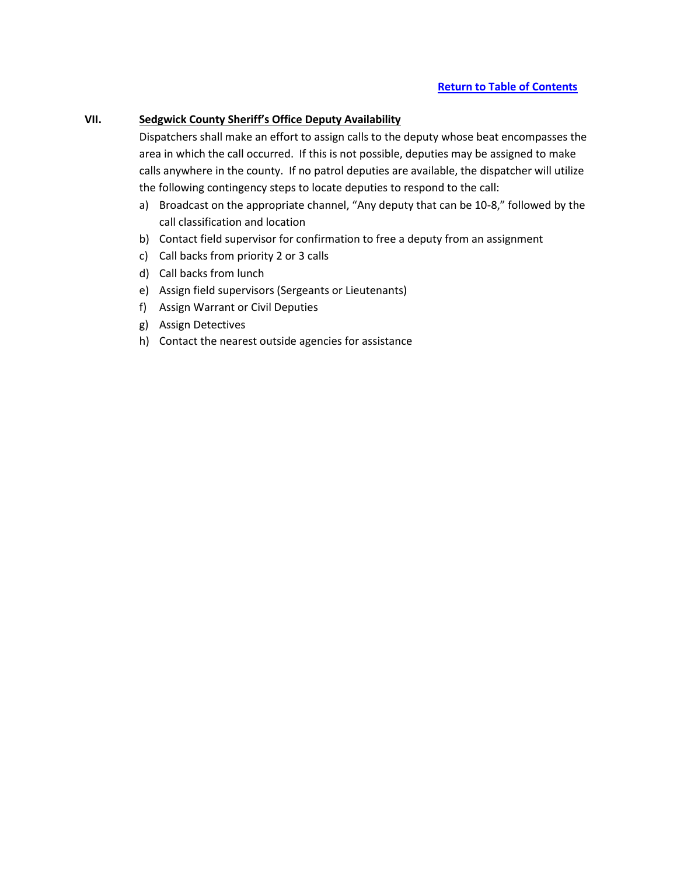# **VII. Sedgwick County Sheriff's Office Deputy Availability**

Dispatchers shall make an effort to assign calls to the deputy whose beat encompasses the area in which the call occurred. If this is not possible, deputies may be assigned to make calls anywhere in the county. If no patrol deputies are available, the dispatcher will utilize the following contingency steps to locate deputies to respond to the call:

- a) Broadcast on the appropriate channel, "Any deputy that can be 10-8," followed by the call classification and location
- b) Contact field supervisor for confirmation to free a deputy from an assignment
- c) Call backs from priority 2 or 3 calls
- d) Call backs from lunch
- e) Assign field supervisors (Sergeants or Lieutenants)
- f) Assign Warrant or Civil Deputies
- g) Assign Detectives
- h) Contact the nearest outside agencies for assistance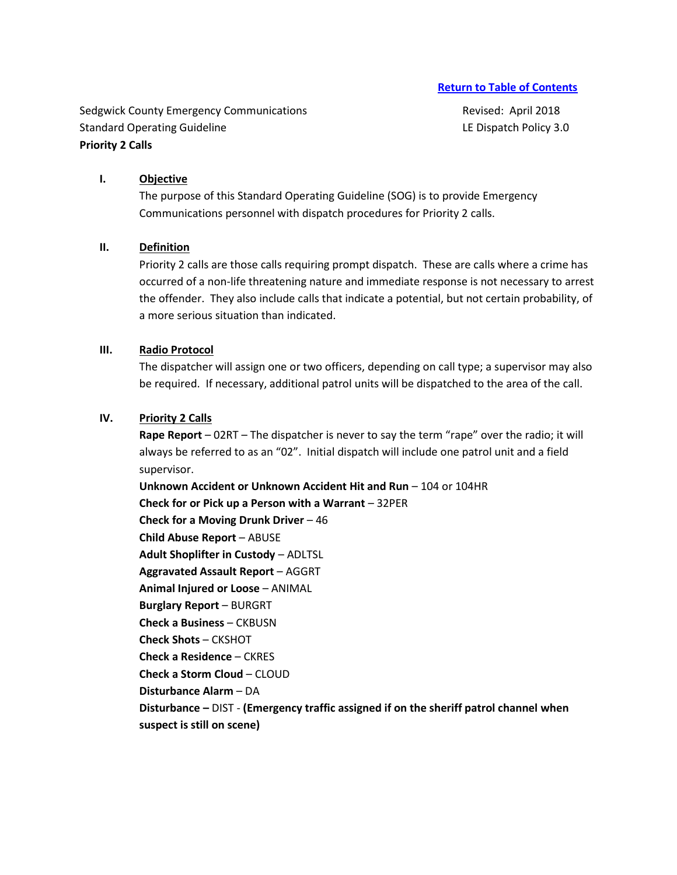Sedgwick County Emergency Communications **Revised: April 2018** Revised: April 2018 Standard Operating Guideline **LE Dispatch Policy 3.0** Canadard Operating Guideline LE Dispatch Policy 3.0 **Priority 2 Calls** 

#### **I. Objective**

The purpose of this Standard Operating Guideline (SOG) is to provide Emergency Communications personnel with dispatch procedures for Priority 2 calls.

#### **II. Definition**

Priority 2 calls are those calls requiring prompt dispatch. These are calls where a crime has occurred of a non-life threatening nature and immediate response is not necessary to arrest the offender. They also include calls that indicate a potential, but not certain probability, of a more serious situation than indicated.

#### **III. Radio Protocol**

The dispatcher will assign one or two officers, depending on call type; a supervisor may also be required. If necessary, additional patrol units will be dispatched to the area of the call.

#### **IV. Priority 2 Calls**

**Rape Report** – 02RT – The dispatcher is never to say the term "rape" over the radio; it will always be referred to as an "02". Initial dispatch will include one patrol unit and a field supervisor.

**Unknown Accident or Unknown Accident Hit and Run** – 104 or 104HR **Check for or Pick up a Person with a Warrant** – 32PER **Check for a Moving Drunk Driver** – 46 **Child Abuse Report** – ABUSE **Adult Shoplifter in Custody** – ADLTSL **Aggravated Assault Report** – AGGRT **Animal Injured or Loose** – ANIMAL **Burglary Report** – BURGRT **Check a Business** – CKBUSN **Check Shots** – CKSHOT **Check a Residence** – CKRES **Check a Storm Cloud** – CLOUD **Disturbance Alarm** – DA **Disturbance –** DIST - **(Emergency traffic assigned if on the sheriff patrol channel when suspect is still on scene)**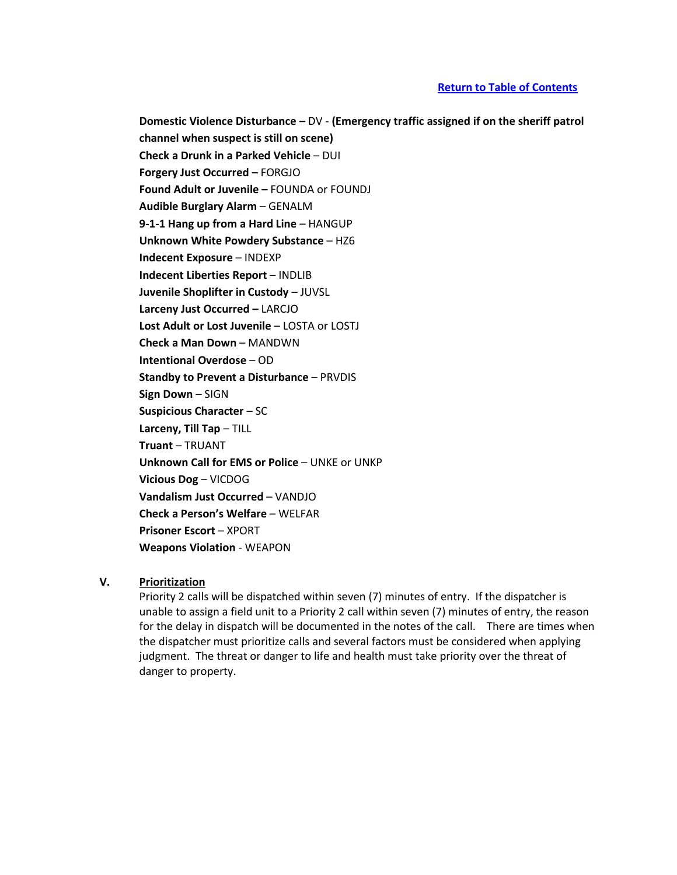**Domestic Violence Disturbance –** DV - **(Emergency traffic assigned if on the sheriff patrol channel when suspect is still on scene) Check a Drunk in a Parked Vehicle** – DUI **Forgery Just Occurred –** FORGJO **Found Adult or Juvenile –** FOUNDA or FOUNDJ **Audible Burglary Alarm** – GENALM **9-1-1 Hang up from a Hard Line** – HANGUP **Unknown White Powdery Substance** – HZ6 **Indecent Exposure** – INDEXP **Indecent Liberties Report** – INDLIB **Juvenile Shoplifter in Custody** – JUVSL **Larceny Just Occurred –** LARCJO **Lost Adult or Lost Juvenile** – LOSTA or LOSTJ **Check a Man Down** – MANDWN **Intentional Overdose** – OD **Standby to Prevent a Disturbance** – PRVDIS **Sign Down** – SIGN **Suspicious Character** – SC **Larceny, Till Tap** – TILL **Truant** – TRUANT **Unknown Call for EMS or Police** – UNKE or UNKP **Vicious Dog** – VICDOG **Vandalism Just Occurred** – VANDJO **Check a Person's Welfare** – WELFAR **Prisoner Escort** – XPORT **Weapons Violation** - WEAPON

## **V. Prioritization**

Priority 2 calls will be dispatched within seven (7) minutes of entry. If the dispatcher is unable to assign a field unit to a Priority 2 call within seven (7) minutes of entry, the reason for the delay in dispatch will be documented in the notes of the call. There are times when the dispatcher must prioritize calls and several factors must be considered when applying judgment. The threat or danger to life and health must take priority over the threat of danger to property.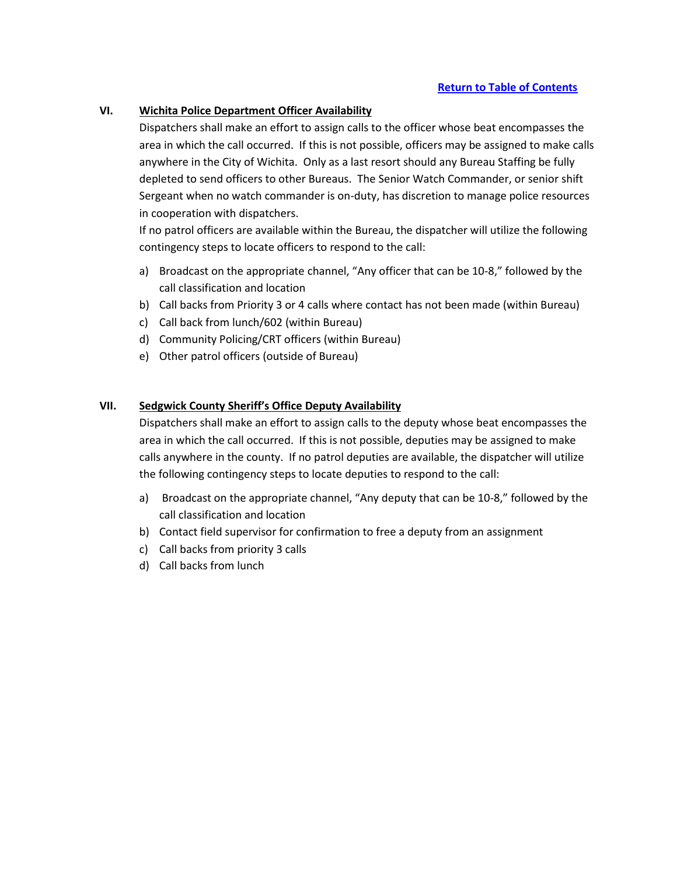### **VI. Wichita Police Department Officer Availability**

Dispatchers shall make an effort to assign calls to the officer whose beat encompasses the area in which the call occurred. If this is not possible, officers may be assigned to make calls anywhere in the City of Wichita. Only as a last resort should any Bureau Staffing be fully depleted to send officers to other Bureaus. The Senior Watch Commander, or senior shift Sergeant when no watch commander is on-duty, has discretion to manage police resources in cooperation with dispatchers.

If no patrol officers are available within the Bureau, the dispatcher will utilize the following contingency steps to locate officers to respond to the call:

- a) Broadcast on the appropriate channel, "Any officer that can be 10-8," followed by the call classification and location
- b) Call backs from Priority 3 or 4 calls where contact has not been made (within Bureau)
- c) Call back from lunch/602 (within Bureau)
- d) Community Policing/CRT officers (within Bureau)
- e) Other patrol officers (outside of Bureau)

## **VII. Sedgwick County Sheriff's Office Deputy Availability**

Dispatchers shall make an effort to assign calls to the deputy whose beat encompasses the area in which the call occurred. If this is not possible, deputies may be assigned to make calls anywhere in the county. If no patrol deputies are available, the dispatcher will utilize the following contingency steps to locate deputies to respond to the call:

- a) Broadcast on the appropriate channel, "Any deputy that can be 10-8," followed by the call classification and location
- b) Contact field supervisor for confirmation to free a deputy from an assignment
- c) Call backs from priority 3 calls
- d) Call backs from lunch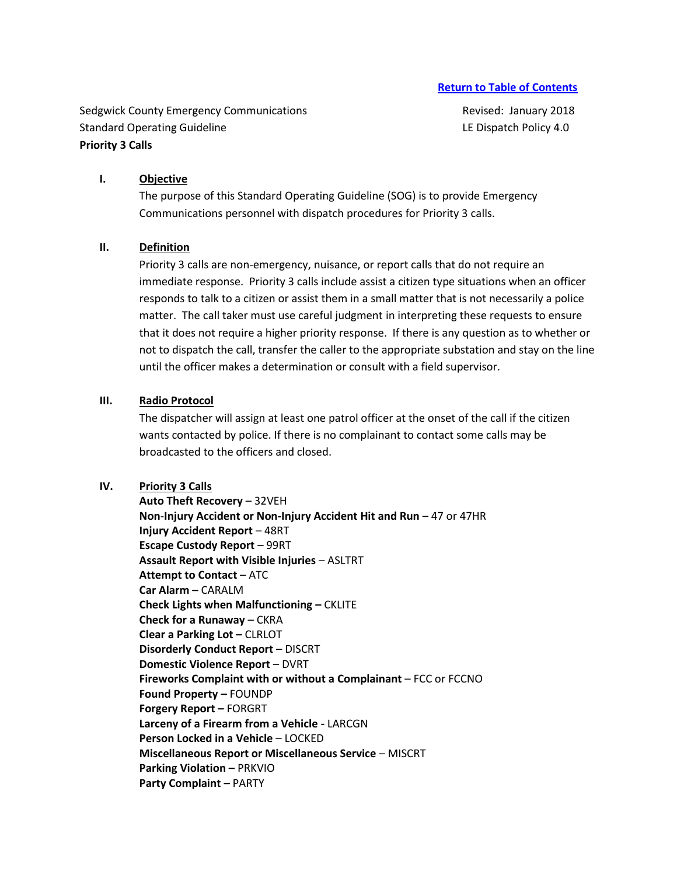Sedgwick County Emergency Communications **Revised: January 2018** Revised: January 2018 Standard Operating Guideline **LE Dispatch Policy 4.0** Canadard Operating Guideline LE Dispatch Policy 4.0 **Priority 3 Calls**

#### **I. Objective**

The purpose of this Standard Operating Guideline (SOG) is to provide Emergency Communications personnel with dispatch procedures for Priority 3 calls.

#### **II. Definition**

Priority 3 calls are non-emergency, nuisance, or report calls that do not require an immediate response. Priority 3 calls include assist a citizen type situations when an officer responds to talk to a citizen or assist them in a small matter that is not necessarily a police matter. The call taker must use careful judgment in interpreting these requests to ensure that it does not require a higher priority response. If there is any question as to whether or not to dispatch the call, transfer the caller to the appropriate substation and stay on the line until the officer makes a determination or consult with a field supervisor.

## **III. Radio Protocol**

The dispatcher will assign at least one patrol officer at the onset of the call if the citizen wants contacted by police. If there is no complainant to contact some calls may be broadcasted to the officers and closed.

## **IV. Priority 3 Calls**

**Auto Theft Recovery** – 32VEH **Non**-**Injury Accident or Non-Injury Accident Hit and Run** – 47 or 47HR **Injury Accident Report** – 48RT **Escape Custody Report** – 99RT **Assault Report with Visible Injuries** – ASLTRT **Attempt to Contact** – ATC **Car Alarm –** CARALM **Check Lights when Malfunctioning –** CKLITE **Check for a Runaway** – CKRA **Clear a Parking Lot –** CLRLOT **Disorderly Conduct Report** – DISCRT **Domestic Violence Report** – DVRT **Fireworks Complaint with or without a Complainant** – FCC or FCCNO **Found Property –** FOUNDP **Forgery Report –** FORGRT **Larceny of a Firearm from a Vehicle -** LARCGN **Person Locked in a Vehicle** – LOCKED **Miscellaneous Report or Miscellaneous Service** – MISCRT **Parking Violation – PRKVIO Party Complaint –** PARTY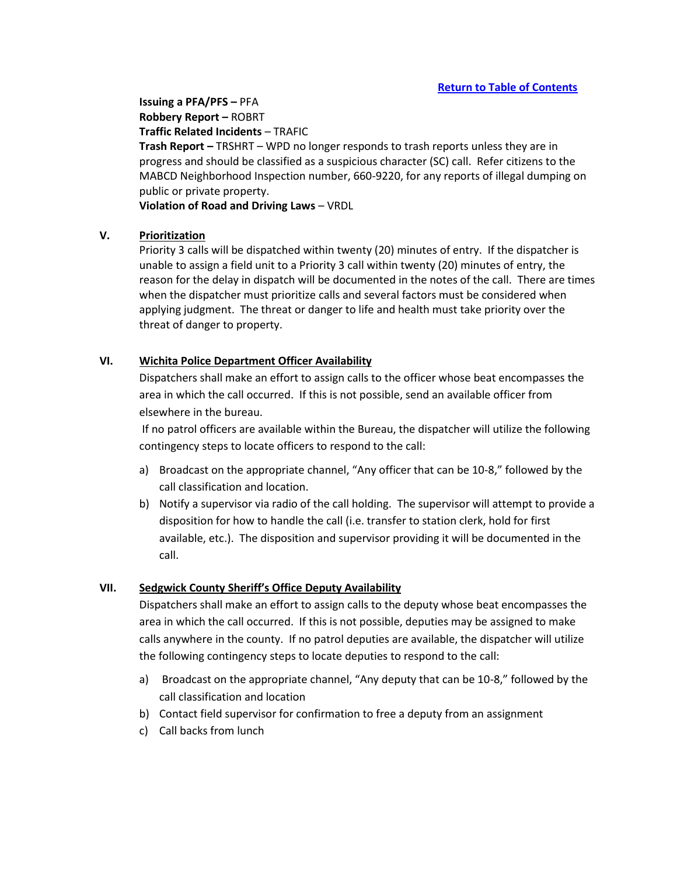**Issuing a PFA/PFS –** PFA **Robbery Report –** ROBRT **Traffic Related Incidents** – TRAFIC

**Trash Report –** TRSHRT – WPD no longer responds to trash reports unless they are in progress and should be classified as a suspicious character (SC) call. Refer citizens to the MABCD Neighborhood Inspection number, 660-9220, for any reports of illegal dumping on public or private property.

**Violation of Road and Driving Laws** – VRDL

# **V. Prioritization**

Priority 3 calls will be dispatched within twenty (20) minutes of entry. If the dispatcher is unable to assign a field unit to a Priority 3 call within twenty (20) minutes of entry, the reason for the delay in dispatch will be documented in the notes of the call. There are times when the dispatcher must prioritize calls and several factors must be considered when applying judgment. The threat or danger to life and health must take priority over the threat of danger to property.

# **VI. Wichita Police Department Officer Availability**

Dispatchers shall make an effort to assign calls to the officer whose beat encompasses the area in which the call occurred. If this is not possible, send an available officer from elsewhere in the bureau.

If no patrol officers are available within the Bureau, the dispatcher will utilize the following contingency steps to locate officers to respond to the call:

- a) Broadcast on the appropriate channel, "Any officer that can be 10-8," followed by the call classification and location.
- b) Notify a supervisor via radio of the call holding. The supervisor will attempt to provide a disposition for how to handle the call (i.e. transfer to station clerk, hold for first available, etc.). The disposition and supervisor providing it will be documented in the call.

# **VII. Sedgwick County Sheriff's Office Deputy Availability**

Dispatchers shall make an effort to assign calls to the deputy whose beat encompasses the area in which the call occurred. If this is not possible, deputies may be assigned to make calls anywhere in the county. If no patrol deputies are available, the dispatcher will utilize the following contingency steps to locate deputies to respond to the call:

- a) Broadcast on the appropriate channel, "Any deputy that can be 10-8," followed by the call classification and location
- b) Contact field supervisor for confirmation to free a deputy from an assignment
- c) Call backs from lunch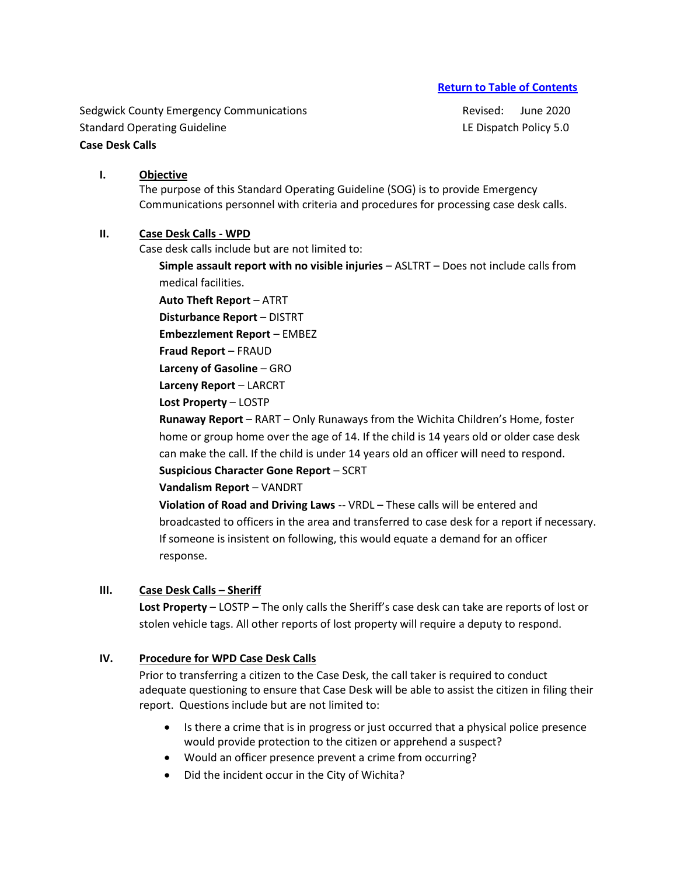Sedgwick County Emergency Communications and a settlement of Revised: June 2020 Standard Operating Guideline **LE Dispatch Policy 5.0** Canadard Operating Guideline **Case Desk Calls**

# **I. Objective**

The purpose of this Standard Operating Guideline (SOG) is to provide Emergency Communications personnel with criteria and procedures for processing case desk calls.

# **II. Case Desk Calls - WPD**

Case desk calls include but are not limited to:

**Simple assault report with no visible injuries** – ASLTRT – Does not include calls from medical facilities.

**Auto Theft Report** – ATRT

**Disturbance Report** – DISTRT

**Embezzlement Report** – EMBEZ

**Fraud Report** – FRAUD

**Larceny of Gasoline** – GRO

**Larceny Report** – LARCRT

**Lost Property** – LOSTP

**Runaway Report** – RART – Only Runaways from the Wichita Children's Home, foster home or group home over the age of 14. If the child is 14 years old or older case desk can make the call. If the child is under 14 years old an officer will need to respond.

**Suspicious Character Gone Report** – SCRT

**Vandalism Report** – VANDRT

**Violation of Road and Driving Laws** -- VRDL – These calls will be entered and broadcasted to officers in the area and transferred to case desk for a report if necessary. If someone is insistent on following, this would equate a demand for an officer response.

# **III.** Case Desk Calls – Sheriff

**Lost Property** – LOSTP – The only calls the Sheriff's case desk can take are reports of lost or stolen vehicle tags. All other reports of lost property will require a deputy to respond.

# **IV. Procedure for WPD Case Desk Calls**

Prior to transferring a citizen to the Case Desk, the call taker is required to conduct adequate questioning to ensure that Case Desk will be able to assist the citizen in filing their report. Questions include but are not limited to:

- Is there a crime that is in progress or just occurred that a physical police presence would provide protection to the citizen or apprehend a suspect?
- Would an officer presence prevent a crime from occurring?
- Did the incident occur in the City of Wichita?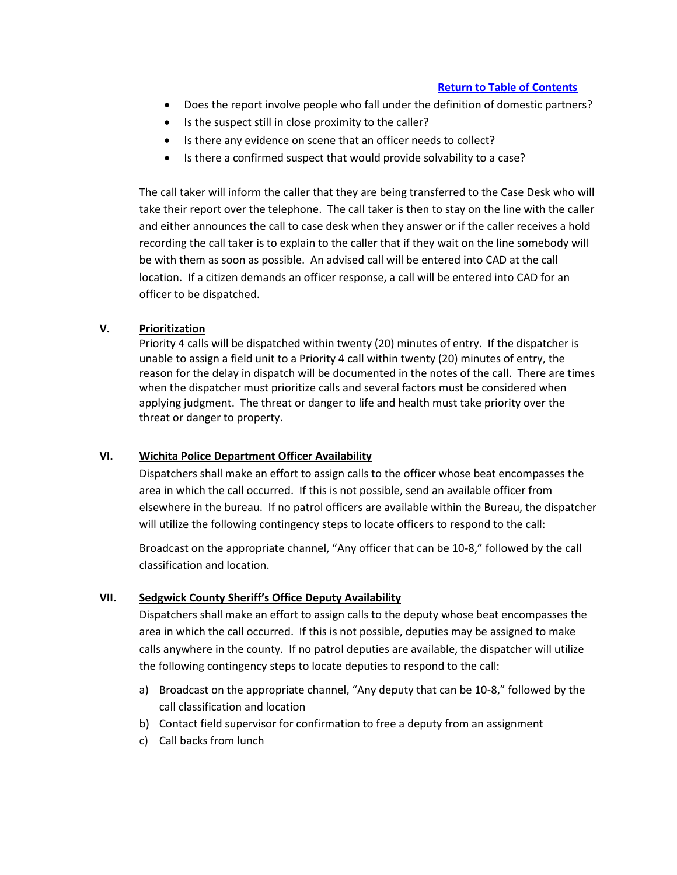- Does the report involve people who fall under the definition of domestic partners?
- Is the suspect still in close proximity to the caller?
- Is there any evidence on scene that an officer needs to collect?
- Is there a confirmed suspect that would provide solvability to a case?

The call taker will inform the caller that they are being transferred to the Case Desk who will take their report over the telephone. The call taker is then to stay on the line with the caller and either announces the call to case desk when they answer or if the caller receives a hold recording the call taker is to explain to the caller that if they wait on the line somebody will be with them as soon as possible. An advised call will be entered into CAD at the call location. If a citizen demands an officer response, a call will be entered into CAD for an officer to be dispatched.

# **V. Prioritization**

Priority 4 calls will be dispatched within twenty (20) minutes of entry. If the dispatcher is unable to assign a field unit to a Priority 4 call within twenty (20) minutes of entry, the reason for the delay in dispatch will be documented in the notes of the call. There are times when the dispatcher must prioritize calls and several factors must be considered when applying judgment. The threat or danger to life and health must take priority over the threat or danger to property.

## **VI. Wichita Police Department Officer Availability**

Dispatchers shall make an effort to assign calls to the officer whose beat encompasses the area in which the call occurred. If this is not possible, send an available officer from elsewhere in the bureau. If no patrol officers are available within the Bureau, the dispatcher will utilize the following contingency steps to locate officers to respond to the call:

Broadcast on the appropriate channel, "Any officer that can be 10-8," followed by the call classification and location.

## **VII. Sedgwick County Sheriff's Office Deputy Availability**

Dispatchers shall make an effort to assign calls to the deputy whose beat encompasses the area in which the call occurred. If this is not possible, deputies may be assigned to make calls anywhere in the county. If no patrol deputies are available, the dispatcher will utilize the following contingency steps to locate deputies to respond to the call:

- a) Broadcast on the appropriate channel, "Any deputy that can be 10-8," followed by the call classification and location
- b) Contact field supervisor for confirmation to free a deputy from an assignment
- c) Call backs from lunch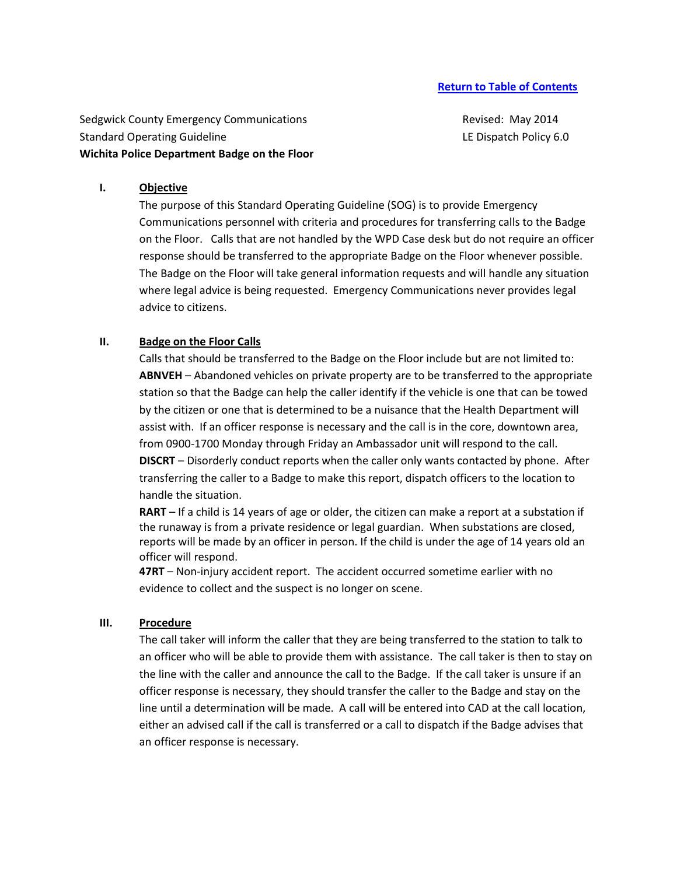Sedgwick County Emergency Communications **Revised: May 2014** Revised: May 2014 Standard Operating Guideline LE Dispatch Policy 6.0 **Wichita Police Department Badge on the Floor** 

## **I. Objective**

The purpose of this Standard Operating Guideline (SOG) is to provide Emergency Communications personnel with criteria and procedures for transferring calls to the Badge on the Floor. Calls that are not handled by the WPD Case desk but do not require an officer response should be transferred to the appropriate Badge on the Floor whenever possible. The Badge on the Floor will take general information requests and will handle any situation where legal advice is being requested. Emergency Communications never provides legal advice to citizens.

## **II. Badge on the Floor Calls**

Calls that should be transferred to the Badge on the Floor include but are not limited to: **ABNVEH** – Abandoned vehicles on private property are to be transferred to the appropriate station so that the Badge can help the caller identify if the vehicle is one that can be towed by the citizen or one that is determined to be a nuisance that the Health Department will assist with. If an officer response is necessary and the call is in the core, downtown area, from 0900-1700 Monday through Friday an Ambassador unit will respond to the call. **DISCRT** – Disorderly conduct reports when the caller only wants contacted by phone. After transferring the caller to a Badge to make this report, dispatch officers to the location to handle the situation.

**RART** – If a child is 14 years of age or older, the citizen can make a report at a substation if the runaway is from a private residence or legal guardian. When substations are closed, reports will be made by an officer in person. If the child is under the age of 14 years old an officer will respond.

**47RT** – Non-injury accident report. The accident occurred sometime earlier with no evidence to collect and the suspect is no longer on scene.

#### **III. Procedure**

The call taker will inform the caller that they are being transferred to the station to talk to an officer who will be able to provide them with assistance. The call taker is then to stay on the line with the caller and announce the call to the Badge. If the call taker is unsure if an officer response is necessary, they should transfer the caller to the Badge and stay on the line until a determination will be made. A call will be entered into CAD at the call location, either an advised call if the call is transferred or a call to dispatch if the Badge advises that an officer response is necessary.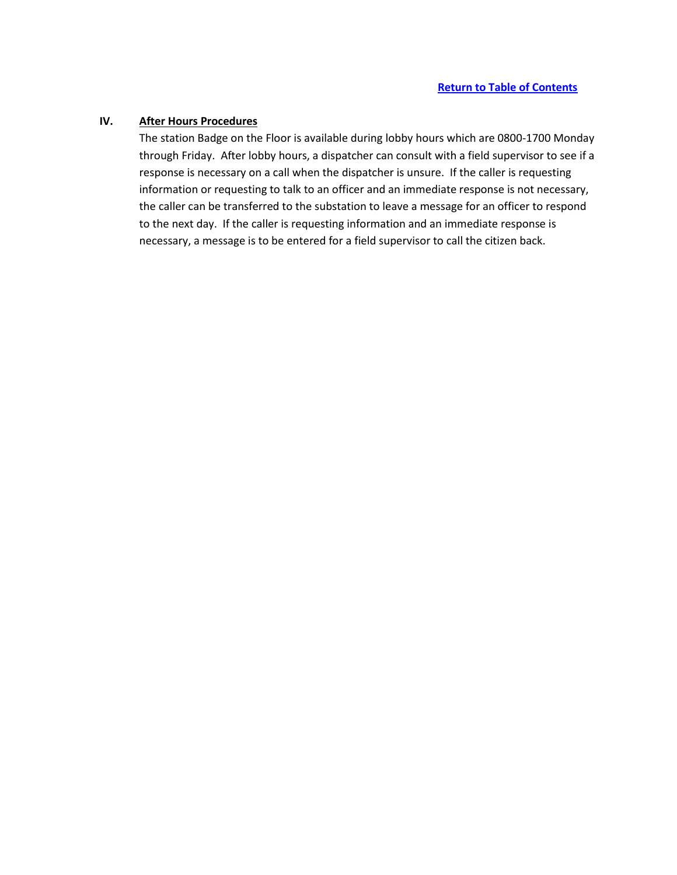# **IV. After Hours Procedures**

The station Badge on the Floor is available during lobby hours which are 0800-1700 Monday through Friday. After lobby hours, a dispatcher can consult with a field supervisor to see if a response is necessary on a call when the dispatcher is unsure. If the caller is requesting information or requesting to talk to an officer and an immediate response is not necessary, the caller can be transferred to the substation to leave a message for an officer to respond to the next day. If the caller is requesting information and an immediate response is necessary, a message is to be entered for a field supervisor to call the citizen back.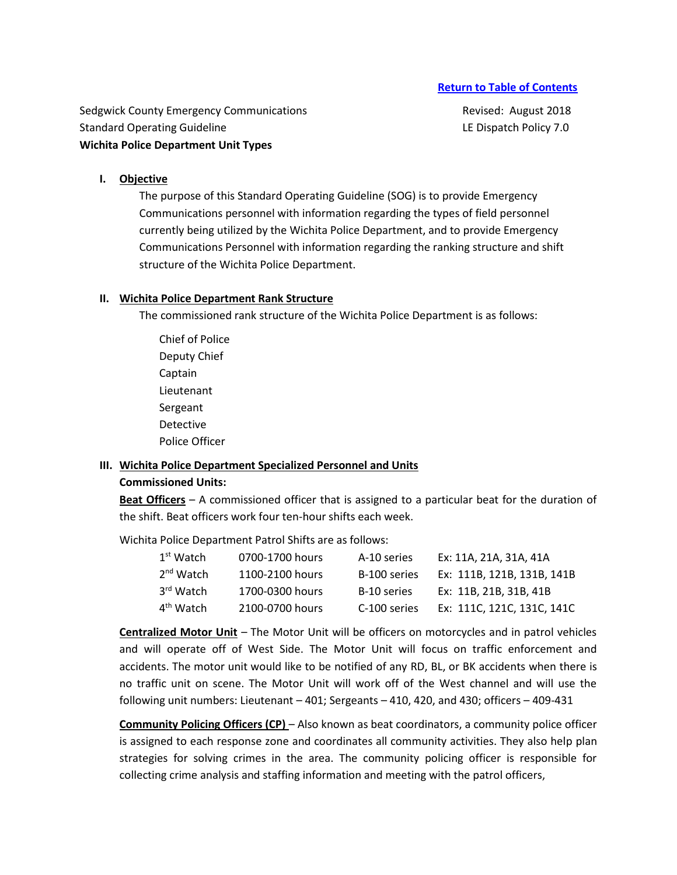Sedgwick County Emergency Communications **Revised: August 2018** Revised: August 2018 Standard Operating Guideline **LE Dispatch Policy 7.0** Canadard Operating Guideline **Wichita Police Department Unit Types** 

#### **I. Objective**

The purpose of this Standard Operating Guideline (SOG) is to provide Emergency Communications personnel with information regarding the types of field personnel currently being utilized by the Wichita Police Department, and to provide Emergency Communications Personnel with information regarding the ranking structure and shift structure of the Wichita Police Department.

#### **II. Wichita Police Department Rank Structure**

The commissioned rank structure of the Wichita Police Department is as follows:

Chief of Police Deputy Chief Captain Lieutenant Sergeant Detective Police Officer

# **III. Wichita Police Department Specialized Personnel and Units**

# **Commissioned Units:**

**Beat Officers** – A commissioned officer that is assigned to a particular beat for the duration of the shift. Beat officers work four ten-hour shifts each week.

Wichita Police Department Patrol Shifts are as follows:

| $1st$ Watch           | 0700-1700 hours | A-10 series  | Ex: 11A, 21A, 31A, 41A     |
|-----------------------|-----------------|--------------|----------------------------|
| 2 <sup>nd</sup> Watch | 1100-2100 hours | B-100 series | Ex: 111B, 121B, 131B, 141B |
| 3 <sup>rd</sup> Watch | 1700-0300 hours | B-10 series  | Ex: 11B. 21B. 31B. 41B     |
| 4 <sup>th</sup> Watch | 2100-0700 hours | C-100 series | Ex: 111C. 121C. 131C. 141C |

**Centralized Motor Unit** – The Motor Unit will be officers on motorcycles and in patrol vehicles and will operate off of West Side. The Motor Unit will focus on traffic enforcement and accidents. The motor unit would like to be notified of any RD, BL, or BK accidents when there is no traffic unit on scene. The Motor Unit will work off of the West channel and will use the following unit numbers: Lieutenant – 401; Sergeants – 410, 420, and 430; officers – 409-431

**Community Policing Officers (CP)** – Also known as beat coordinators, a community police officer is assigned to each response zone and coordinates all community activities. They also help plan strategies for solving crimes in the area. The community policing officer is responsible for collecting crime analysis and staffing information and meeting with the patrol officers,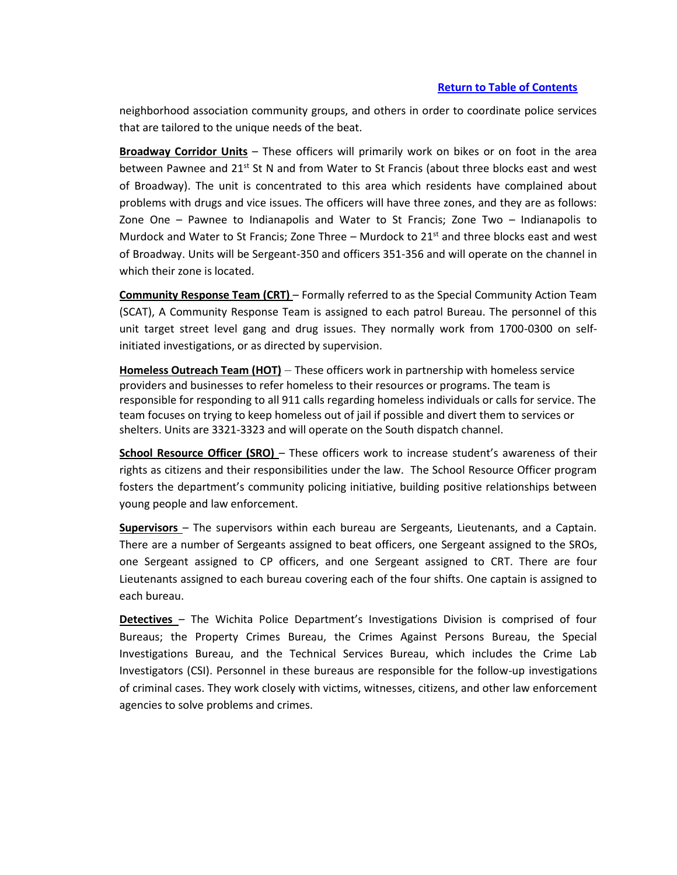neighborhood association community groups, and others in order to coordinate police services that are tailored to the unique needs of the beat.

**Broadway Corridor Units** – These officers will primarily work on bikes or on foot in the area between Pawnee and 21<sup>st</sup> St N and from Water to St Francis (about three blocks east and west of Broadway). The unit is concentrated to this area which residents have complained about problems with drugs and vice issues. The officers will have three zones, and they are as follows: Zone One – Pawnee to Indianapolis and Water to St Francis; Zone Two – Indianapolis to Murdock and Water to St Francis; Zone Three – Murdock to  $21<sup>st</sup>$  and three blocks east and west of Broadway. Units will be Sergeant-350 and officers 351-356 and will operate on the channel in which their zone is located.

**Community Response Team (CRT)** – Formally referred to as the Special Community Action Team (SCAT), A Community Response Team is assigned to each patrol Bureau. The personnel of this unit target street level gang and drug issues. They normally work from 1700-0300 on selfinitiated investigations, or as directed by supervision.

**Homeless Outreach Team (HOT)** – These officers work in partnership with homeless service providers and businesses to refer homeless to their resources or programs. The team is responsible for responding to all 911 calls regarding homeless individuals or calls for service. The team focuses on trying to keep homeless out of jail if possible and divert them to services or shelters. Units are 3321-3323 and will operate on the South dispatch channel.

**School Resource Officer (SRO)** – These officers work to increase student's awareness of their rights as citizens and their responsibilities under the law. The School Resource Officer program fosters the department's community policing initiative, building positive relationships between young people and law enforcement.

**Supervisors** – The supervisors within each bureau are Sergeants, Lieutenants, and a Captain. There are a number of Sergeants assigned to beat officers, one Sergeant assigned to the SROs, one Sergeant assigned to CP officers, and one Sergeant assigned to CRT. There are four Lieutenants assigned to each bureau covering each of the four shifts. One captain is assigned to each bureau.

**Detectives** – The Wichita Police Department's Investigations Division is comprised of four Bureaus; the Property Crimes Bureau, the Crimes Against Persons Bureau, the Special Investigations Bureau, and the Technical Services Bureau, which includes the Crime Lab Investigators (CSI). Personnel in these bureaus are responsible for the follow-up investigations of criminal cases. They work closely with victims, witnesses, citizens, and other law enforcement agencies to solve problems and crimes.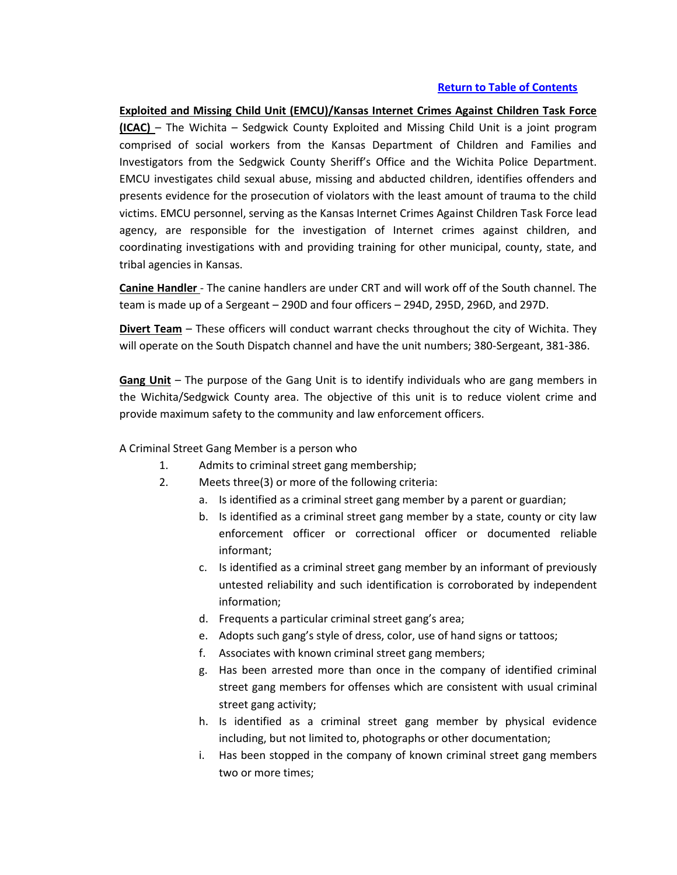**Exploited and Missing Child Unit (EMCU)/Kansas Internet Crimes Against Children Task Force (ICAC)** – The Wichita – Sedgwick County Exploited and Missing Child Unit is a joint program comprised of social workers from the Kansas Department of Children and Families and Investigators from the Sedgwick County Sheriff's Office and the Wichita Police Department. EMCU investigates child sexual abuse, missing and abducted children, identifies offenders and presents evidence for the prosecution of violators with the least amount of trauma to the child victims. EMCU personnel, serving as the Kansas Internet Crimes Against Children Task Force lead agency, are responsible for the investigation of Internet crimes against children, and coordinating investigations with and providing training for other municipal, county, state, and tribal agencies in Kansas.

**Canine Handler** - The canine handlers are under CRT and will work off of the South channel. The team is made up of a Sergeant – 290D and four officers – 294D, 295D, 296D, and 297D.

**Divert Team** – These officers will conduct warrant checks throughout the city of Wichita. They will operate on the South Dispatch channel and have the unit numbers; 380-Sergeant, 381-386.

**Gang Unit** – The purpose of the Gang Unit is to identify individuals who are gang members in the Wichita/Sedgwick County area. The objective of this unit is to reduce violent crime and provide maximum safety to the community and law enforcement officers.

## A Criminal Street Gang Member is a person who

- 1. Admits to criminal street gang membership;
- 2. Meets three(3) or more of the following criteria:
	- a. Is identified as a criminal street gang member by a parent or guardian;
	- b. Is identified as a criminal street gang member by a state, county or city law enforcement officer or correctional officer or documented reliable informant;
	- c. Is identified as a criminal street gang member by an informant of previously untested reliability and such identification is corroborated by independent information;
	- d. Frequents a particular criminal street gang's area;
	- e. Adopts such gang's style of dress, color, use of hand signs or tattoos;
	- f. Associates with known criminal street gang members;
	- g. Has been arrested more than once in the company of identified criminal street gang members for offenses which are consistent with usual criminal street gang activity;
	- h. Is identified as a criminal street gang member by physical evidence including, but not limited to, photographs or other documentation;
	- i. Has been stopped in the company of known criminal street gang members two or more times;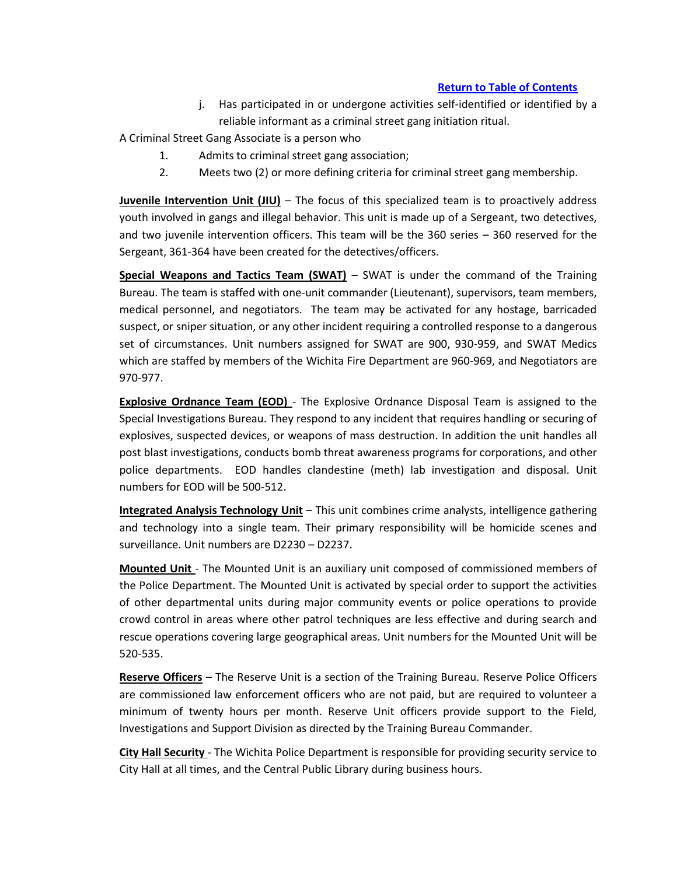j. Has participated in or undergone activities self-identified or identified by a reliable informant as a criminal street gang initiation ritual.

A Criminal Street Gang Associate is a person who

- 1. Admits to criminal street gang association;
- 2. Meets two (2) or more defining criteria for criminal street gang membership.

**Juvenile Intervention Unit (JIU)** – The focus of this specialized team is to proactively address youth involved in gangs and illegal behavior. This unit is made up of a Sergeant, two detectives, and two juvenile intervention officers. This team will be the 360 series – 360 reserved for the Sergeant, 361-364 have been created for the detectives/officers.

**Special Weapons and Tactics Team (SWAT)** – SWAT is under the command of the Training Bureau. The team is staffed with one-unit commander (Lieutenant), supervisors, team members, medical personnel, and negotiators. The team may be activated for any hostage, barricaded suspect, or sniper situation, or any other incident requiring a controlled response to a dangerous set of circumstances. Unit numbers assigned for SWAT are 900, 930-959, and SWAT Medics which are staffed by members of the Wichita Fire Department are 960-969, and Negotiators are 970-977.

**Explosive Ordnance Team (EOD)** - The Explosive Ordnance Disposal Team is assigned to the Special Investigations Bureau. They respond to any incident that requires handling or securing of explosives, suspected devices, or weapons of mass destruction. In addition the unit handles all post blast investigations, conducts bomb threat awareness programs for corporations, and other police departments. EOD handles clandestine (meth) lab investigation and disposal. Unit numbers for EOD will be 500-512.

**Integrated Analysis Technology Unit** – This unit combines crime analysts, intelligence gathering and technology into a single team. Their primary responsibility will be homicide scenes and surveillance. Unit numbers are D2230 – D2237.

**Mounted Unit** - The Mounted Unit is an auxiliary unit composed of commissioned members of the Police Department. The Mounted Unit is activated by special order to support the activities of other departmental units during major community events or police operations to provide crowd control in areas where other patrol techniques are less effective and during search and rescue operations covering large geographical areas. Unit numbers for the Mounted Unit will be 520-535.

**Reserve Officers** – The Reserve Unit is a section of the Training Bureau. Reserve Police Officers are commissioned law enforcement officers who are not paid, but are required to volunteer a minimum of twenty hours per month. Reserve Unit officers provide support to the Field, Investigations and Support Division as directed by the Training Bureau Commander.

**City Hall Security** - The Wichita Police Department is responsible for providing security service to City Hall at all times, and the Central Public Library during business hours.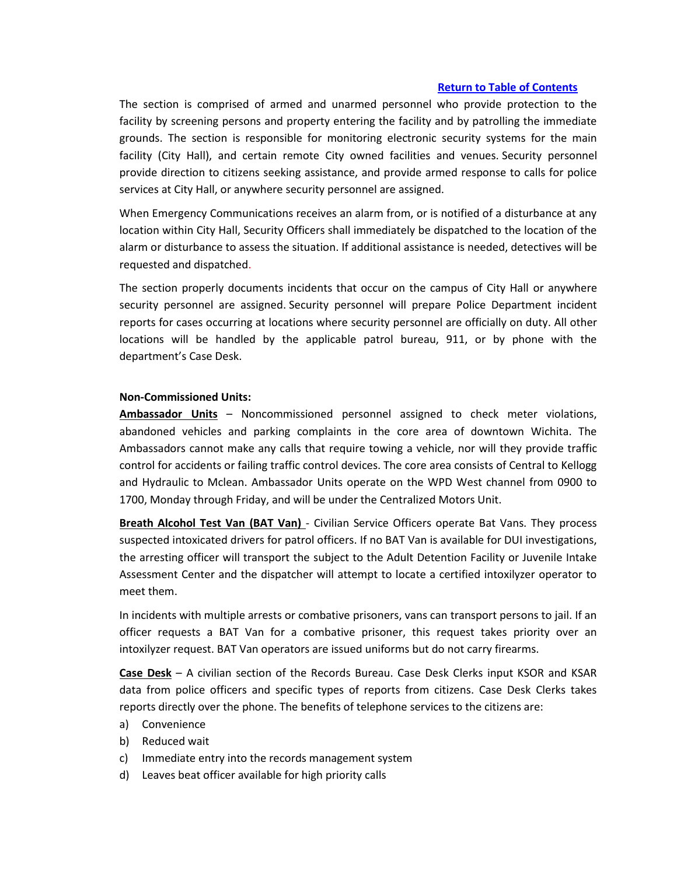The section is comprised of armed and unarmed personnel who provide protection to the facility by screening persons and property entering the facility and by patrolling the immediate grounds. The section is responsible for monitoring electronic security systems for the main facility (City Hall), and certain remote City owned facilities and venues. Security personnel provide direction to citizens seeking assistance, and provide armed response to calls for police services at City Hall, or anywhere security personnel are assigned.

When Emergency Communications receives an alarm from, or is notified of a disturbance at any location within City Hall, Security Officers shall immediately be dispatched to the location of the alarm or disturbance to assess the situation. If additional assistance is needed, detectives will be requested and dispatched.

The section properly documents incidents that occur on the campus of City Hall or anywhere security personnel are assigned. Security personnel will prepare Police Department incident reports for cases occurring at locations where security personnel are officially on duty. All other locations will be handled by the applicable patrol bureau, 911, or by phone with the department's Case Desk.

#### **Non-Commissioned Units:**

**Ambassador Units** – Noncommissioned personnel assigned to check meter violations, abandoned vehicles and parking complaints in the core area of downtown Wichita. The Ambassadors cannot make any calls that require towing a vehicle, nor will they provide traffic control for accidents or failing traffic control devices. The core area consists of Central to Kellogg and Hydraulic to Mclean. Ambassador Units operate on the WPD West channel from 0900 to 1700, Monday through Friday, and will be under the Centralized Motors Unit.

**Breath Alcohol Test Van (BAT Van)** - Civilian Service Officers operate Bat Vans. They process suspected intoxicated drivers for patrol officers. If no BAT Van is available for DUI investigations, the arresting officer will transport the subject to the Adult Detention Facility or Juvenile Intake Assessment Center and the dispatcher will attempt to locate a certified intoxilyzer operator to meet them.

In incidents with multiple arrests or combative prisoners, vans can transport persons to jail. If an officer requests a BAT Van for a combative prisoner, this request takes priority over an intoxilyzer request. BAT Van operators are issued uniforms but do not carry firearms.

**Case Desk** – A civilian section of the Records Bureau. Case Desk Clerks input KSOR and KSAR data from police officers and specific types of reports from citizens. Case Desk Clerks takes reports directly over the phone. The benefits of telephone services to the citizens are:

- a) Convenience
- b) Reduced wait
- c) Immediate entry into the records management system
- d) Leaves beat officer available for high priority calls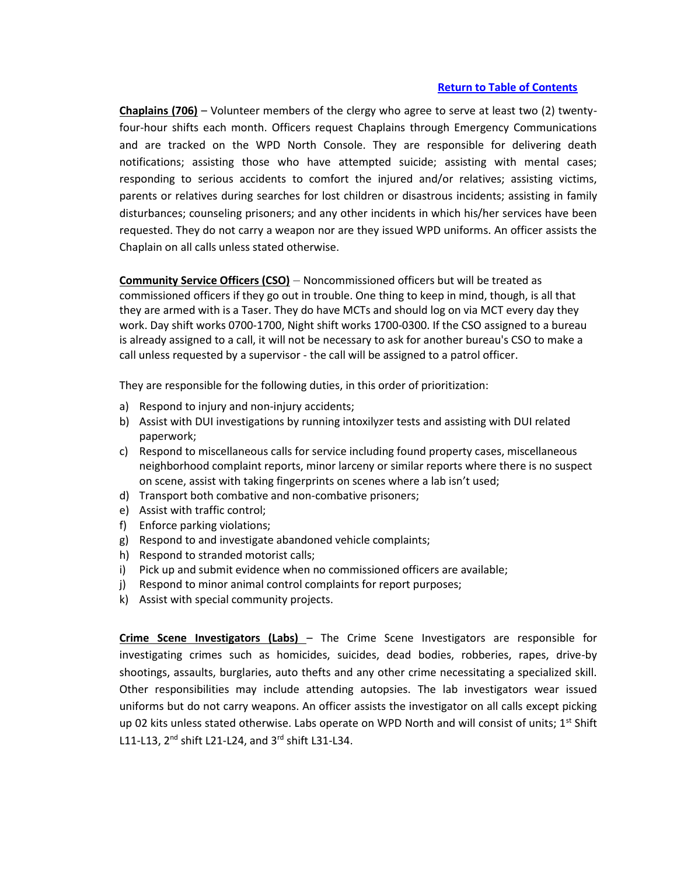**Chaplains (706)** – Volunteer members of the clergy who agree to serve at least two (2) twentyfour-hour shifts each month. Officers request Chaplains through Emergency Communications and are tracked on the WPD North Console. They are responsible for delivering death notifications; assisting those who have attempted suicide; assisting with mental cases; responding to serious accidents to comfort the injured and/or relatives; assisting victims, parents or relatives during searches for lost children or disastrous incidents; assisting in family disturbances; counseling prisoners; and any other incidents in which his/her services have been requested. They do not carry a weapon nor are they issued WPD uniforms. An officer assists the Chaplain on all calls unless stated otherwise.

**Community Service Officers (CSO)** – Noncommissioned officers but will be treated as commissioned officers if they go out in trouble. One thing to keep in mind, though, is all that they are armed with is a Taser. They do have MCTs and should log on via MCT every day they work. Day shift works 0700-1700, Night shift works 1700-0300. If the CSO assigned to a bureau is already assigned to a call, it will not be necessary to ask for another bureau's CSO to make a call unless requested by a supervisor - the call will be assigned to a patrol officer.

They are responsible for the following duties, in this order of prioritization:

- a) Respond to injury and non-injury accidents;
- b) Assist with DUI investigations by running intoxilyzer tests and assisting with DUI related paperwork;
- c) Respond to miscellaneous calls for service including found property cases, miscellaneous neighborhood complaint reports, minor larceny or similar reports where there is no suspect on scene, assist with taking fingerprints on scenes where a lab isn't used;
- d) Transport both combative and non-combative prisoners;
- e) Assist with traffic control;
- f) Enforce parking violations;
- g) Respond to and investigate abandoned vehicle complaints;
- h) Respond to stranded motorist calls;
- i) Pick up and submit evidence when no commissioned officers are available;
- j) Respond to minor animal control complaints for report purposes;
- k) Assist with special community projects.

**Crime Scene Investigators (Labs)** – The Crime Scene Investigators are responsible for investigating crimes such as homicides, suicides, dead bodies, robberies, rapes, drive-by shootings, assaults, burglaries, auto thefts and any other crime necessitating a specialized skill. Other responsibilities may include attending autopsies. The lab investigators wear issued uniforms but do not carry weapons. An officer assists the investigator on all calls except picking up 02 kits unless stated otherwise. Labs operate on WPD North and will consist of units; 1<sup>st</sup> Shift L11-L13,  $2^{nd}$  shift L21-L24, and  $3^{rd}$  shift L31-L34.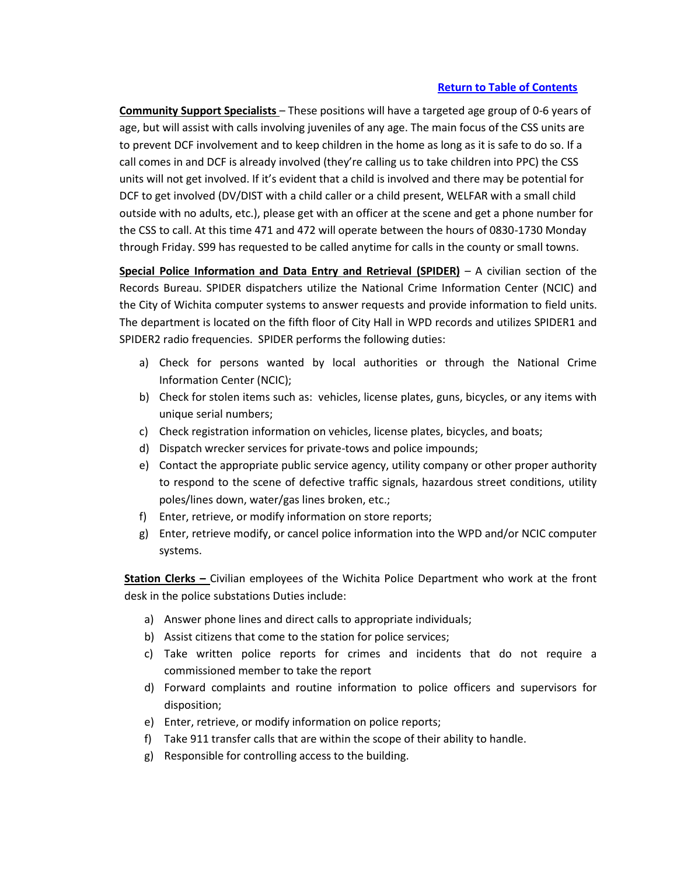**Community Support Specialists** – These positions will have a targeted age group of 0-6 years of age, but will assist with calls involving juveniles of any age. The main focus of the CSS units are to prevent DCF involvement and to keep children in the home as long as it is safe to do so. If a call comes in and DCF is already involved (they're calling us to take children into PPC) the CSS units will not get involved. If it's evident that a child is involved and there may be potential for DCF to get involved (DV/DIST with a child caller or a child present, WELFAR with a small child outside with no adults, etc.), please get with an officer at the scene and get a phone number for the CSS to call. At this time 471 and 472 will operate between the hours of 0830-1730 Monday through Friday. S99 has requested to be called anytime for calls in the county or small towns.

**Special Police Information and Data Entry and Retrieval (SPIDER)** – A civilian section of the Records Bureau. SPIDER dispatchers utilize the National Crime Information Center (NCIC) and the City of Wichita computer systems to answer requests and provide information to field units. The department is located on the fifth floor of City Hall in WPD records and utilizes SPIDER1 and SPIDER2 radio frequencies. SPIDER performs the following duties:

- a) Check for persons wanted by local authorities or through the National Crime Information Center (NCIC);
- b) Check for stolen items such as: vehicles, license plates, guns, bicycles, or any items with unique serial numbers;
- c) Check registration information on vehicles, license plates, bicycles, and boats;
- d) Dispatch wrecker services for private-tows and police impounds;
- e) Contact the appropriate public service agency, utility company or other proper authority to respond to the scene of defective traffic signals, hazardous street conditions, utility poles/lines down, water/gas lines broken, etc.;
- f) Enter, retrieve, or modify information on store reports;
- g) Enter, retrieve modify, or cancel police information into the WPD and/or NCIC computer systems.

**Station Clerks –** Civilian employees of the Wichita Police Department who work at the front desk in the police substations Duties include:

- a) Answer phone lines and direct calls to appropriate individuals;
- b) Assist citizens that come to the station for police services;
- c) Take written police reports for crimes and incidents that do not require a commissioned member to take the report
- d) Forward complaints and routine information to police officers and supervisors for disposition;
- e) Enter, retrieve, or modify information on police reports;
- f) Take 911 transfer calls that are within the scope of their ability to handle.
- g) Responsible for controlling access to the building.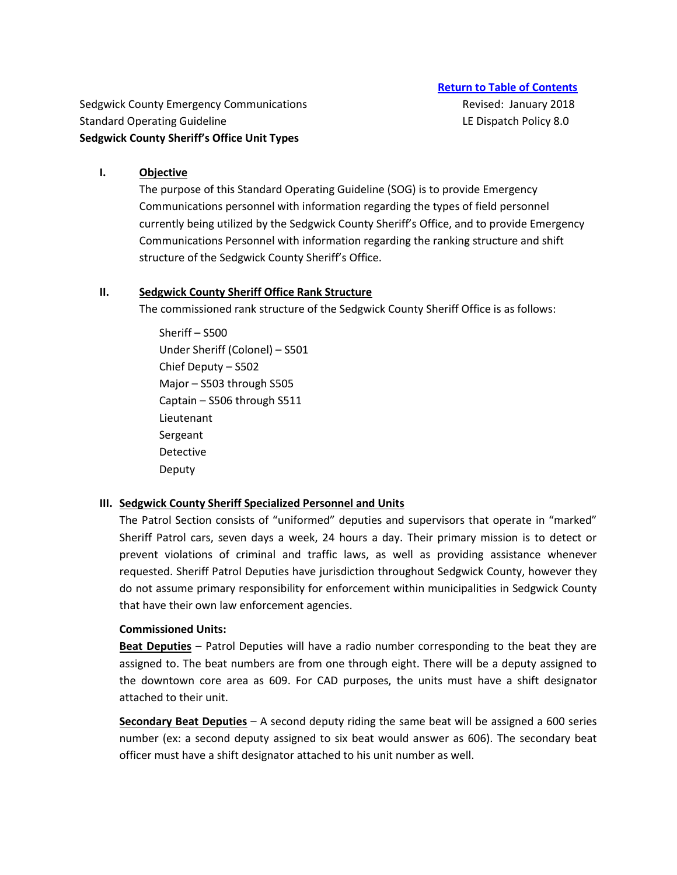Sedgwick County Emergency Communications **Revised: January 2018** Revised: January 2018 Standard Operating Guideline **LE Dispatch Policy 8.0** Canadard Operating Guideline LE Dispatch Policy 8.0 **Sedgwick County Sheriff's Office Unit Types** 

#### **I. Objective**

The purpose of this Standard Operating Guideline (SOG) is to provide Emergency Communications personnel with information regarding the types of field personnel currently being utilized by the Sedgwick County Sheriff's Office, and to provide Emergency Communications Personnel with information regarding the ranking structure and shift structure of the Sedgwick County Sheriff's Office.

## **II. Sedgwick County Sheriff Office Rank Structure**

The commissioned rank structure of the Sedgwick County Sheriff Office is as follows:

Sheriff – S500 Under Sheriff (Colonel) – S501 Chief Deputy – S502 Major – S503 through S505 Captain – S506 through S511 Lieutenant Sergeant Detective Deputy

## **III. Sedgwick County Sheriff Specialized Personnel and Units**

The Patrol Section consists of "uniformed" deputies and supervisors that operate in "marked" Sheriff Patrol cars, seven days a week, 24 hours a day. Their primary mission is to detect or prevent violations of criminal and traffic laws, as well as providing assistance whenever requested. Sheriff Patrol Deputies have jurisdiction throughout Sedgwick County, however they do not assume primary responsibility for enforcement within municipalities in Sedgwick County that have their own law enforcement agencies.

## **Commissioned Units:**

**Beat Deputies** – Patrol Deputies will have a radio number corresponding to the beat they are assigned to. The beat numbers are from one through eight. There will be a deputy assigned to the downtown core area as 609. For CAD purposes, the units must have a shift designator attached to their unit.

**Secondary Beat Deputies** – A second deputy riding the same beat will be assigned a 600 series number (ex: a second deputy assigned to six beat would answer as 606). The secondary beat officer must have a shift designator attached to his unit number as well.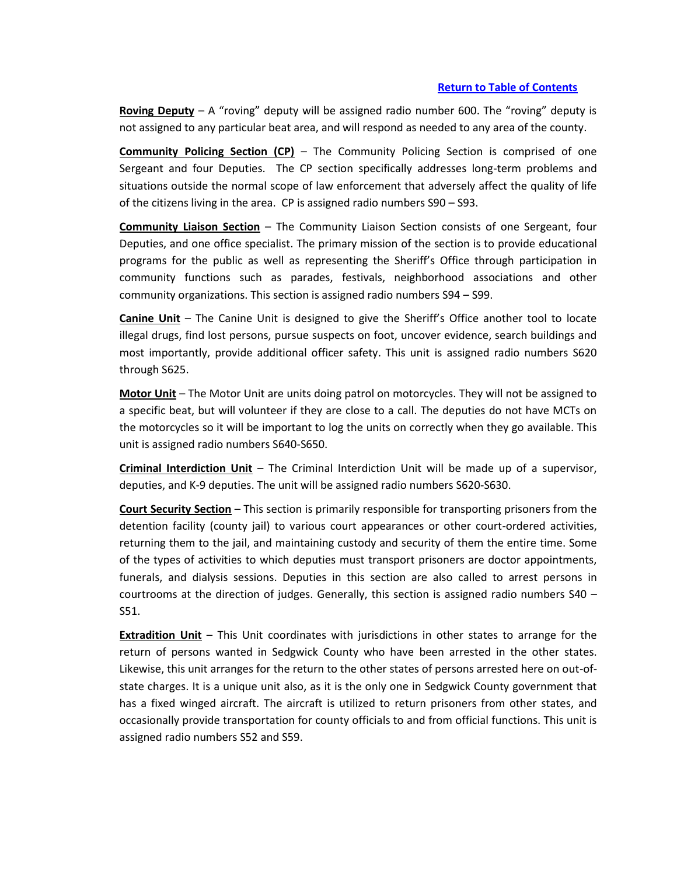**Roving Deputy** – A "roving" deputy will be assigned radio number 600. The "roving" deputy is not assigned to any particular beat area, and will respond as needed to any area of the county.

**Community Policing Section (CP)** – The Community Policing Section is comprised of one Sergeant and four Deputies. The CP section specifically addresses long-term problems and situations outside the normal scope of law enforcement that adversely affect the quality of life of the citizens living in the area. CP is assigned radio numbers S90 – S93.

**Community Liaison Section** – The Community Liaison Section consists of one Sergeant, four Deputies, and one office specialist. The primary mission of the section is to provide educational programs for the public as well as representing the Sheriff's Office through participation in community functions such as parades, festivals, neighborhood associations and other community organizations. This section is assigned radio numbers S94 – S99.

**Canine Unit** – The Canine Unit is designed to give the Sheriff's Office another tool to locate illegal drugs, find lost persons, pursue suspects on foot, uncover evidence, search buildings and most importantly, provide additional officer safety. This unit is assigned radio numbers S620 through S625.

**Motor Unit** – The Motor Unit are units doing patrol on motorcycles. They will not be assigned to a specific beat, but will volunteer if they are close to a call. The deputies do not have MCTs on the motorcycles so it will be important to log the units on correctly when they go available. This unit is assigned radio numbers S640-S650.

**Criminal Interdiction Unit** – The Criminal Interdiction Unit will be made up of a supervisor, deputies, and K-9 deputies. The unit will be assigned radio numbers S620-S630.

**Court Security Section** – This section is primarily responsible for transporting prisoners from the detention facility (county jail) to various court appearances or other court-ordered activities, returning them to the jail, and maintaining custody and security of them the entire time. Some of the types of activities to which deputies must transport prisoners are doctor appointments, funerals, and dialysis sessions. Deputies in this section are also called to arrest persons in courtrooms at the direction of judges. Generally, this section is assigned radio numbers S40 – S51.

**Extradition Unit** – This Unit coordinates with jurisdictions in other states to arrange for the return of persons wanted in Sedgwick County who have been arrested in the other states. Likewise, this unit arranges for the return to the other states of persons arrested here on out-ofstate charges. It is a unique unit also, as it is the only one in Sedgwick County government that has a fixed winged aircraft. The aircraft is utilized to return prisoners from other states, and occasionally provide transportation for county officials to and from official functions. This unit is assigned radio numbers S52 and S59.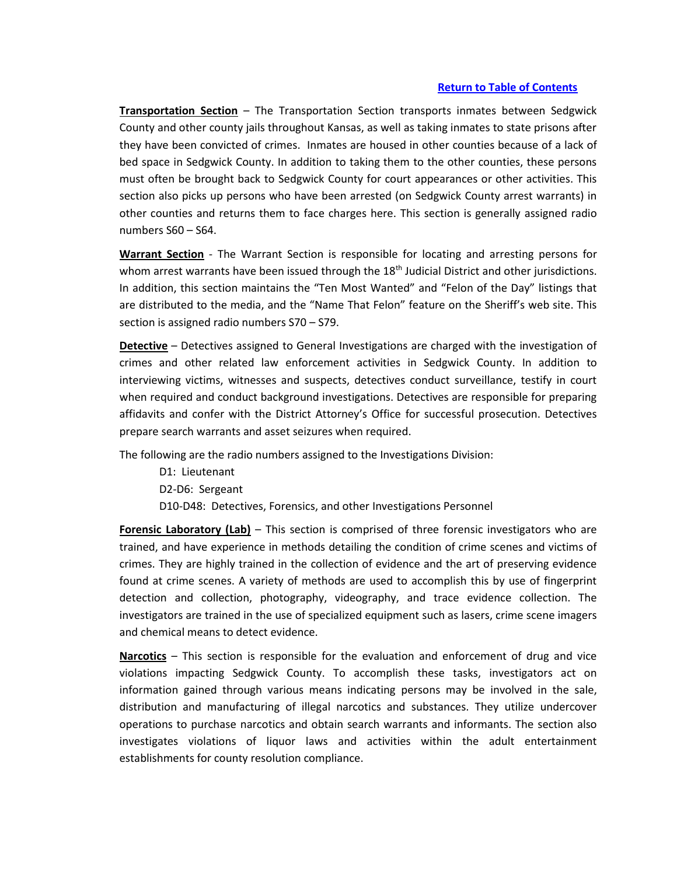**Transportation Section** – The Transportation Section transports inmates between Sedgwick County and other county jails throughout Kansas, as well as taking inmates to state prisons after they have been convicted of crimes. Inmates are housed in other counties because of a lack of bed space in Sedgwick County. In addition to taking them to the other counties, these persons must often be brought back to Sedgwick County for court appearances or other activities. This section also picks up persons who have been arrested (on Sedgwick County arrest warrants) in other counties and returns them to face charges here. This section is generally assigned radio numbers S60 – S64.

**Warrant Section** - The Warrant Section is responsible for locating and arresting persons for whom arrest warrants have been issued through the  $18<sup>th</sup>$  Judicial District and other jurisdictions. In addition, this section maintains the "Ten Most Wanted" and "Felon of the Day" listings that are distributed to the media, and the "Name That Felon" feature on the Sheriff's web site. This section is assigned radio numbers S70 – S79.

**Detective** – Detectives assigned to General Investigations are charged with the investigation of crimes and other related law enforcement activities in Sedgwick County. In addition to interviewing victims, witnesses and suspects, detectives conduct surveillance, testify in court when required and conduct background investigations. Detectives are responsible for preparing affidavits and confer with the District Attorney's Office for successful prosecution. Detectives prepare search warrants and asset seizures when required.

The following are the radio numbers assigned to the Investigations Division:

D1: Lieutenant D2-D6: Sergeant D10-D48: Detectives, Forensics, and other Investigations Personnel

**Forensic Laboratory (Lab)** – This section is comprised of three forensic investigators who are trained, and have experience in methods detailing the condition of crime scenes and victims of crimes. They are highly trained in the collection of evidence and the art of preserving evidence found at crime scenes. A variety of methods are used to accomplish this by use of fingerprint detection and collection, photography, videography, and trace evidence collection. The investigators are trained in the use of specialized equipment such as lasers, crime scene imagers and chemical means to detect evidence.

**Narcotics** – This section is responsible for the evaluation and enforcement of drug and vice violations impacting Sedgwick County. To accomplish these tasks, investigators act on information gained through various means indicating persons may be involved in the sale, distribution and manufacturing of illegal narcotics and substances. They utilize undercover operations to purchase narcotics and obtain search warrants and informants. The section also investigates violations of liquor laws and activities within the adult entertainment establishments for county resolution compliance.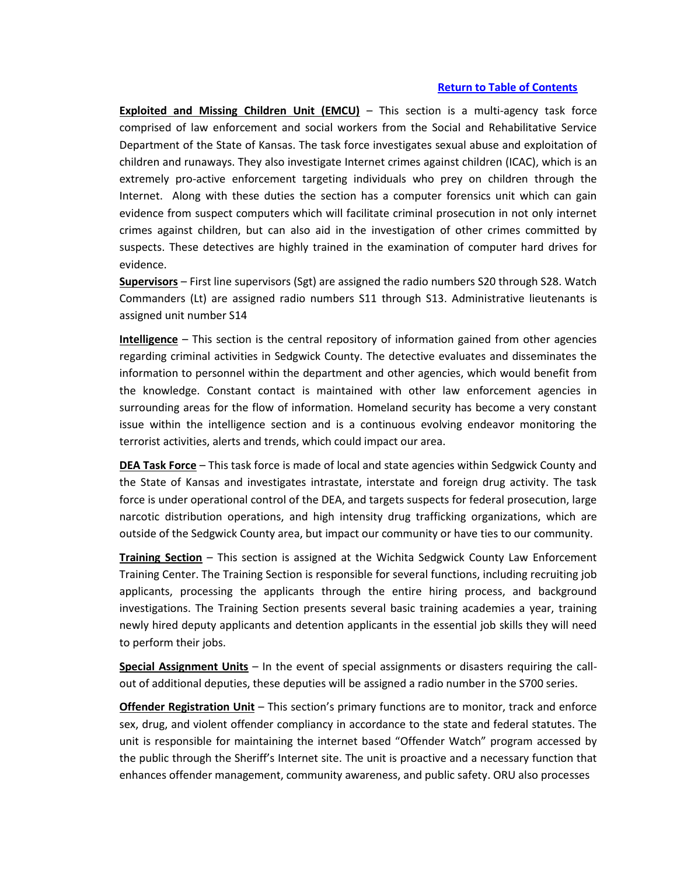**Exploited and Missing Children Unit (EMCU)** – This section is a multi-agency task force comprised of law enforcement and social workers from the Social and Rehabilitative Service Department of the State of Kansas. The task force investigates sexual abuse and exploitation of children and runaways. They also investigate Internet crimes against children (ICAC), which is an extremely pro-active enforcement targeting individuals who prey on children through the Internet. Along with these duties the section has a computer forensics unit which can gain evidence from suspect computers which will facilitate criminal prosecution in not only internet crimes against children, but can also aid in the investigation of other crimes committed by suspects. These detectives are highly trained in the examination of computer hard drives for evidence.

**Supervisors** – First line supervisors (Sgt) are assigned the radio numbers S20 through S28. Watch Commanders (Lt) are assigned radio numbers S11 through S13. Administrative lieutenants is assigned unit number S14

**Intelligence** – This section is the central repository of information gained from other agencies regarding criminal activities in Sedgwick County. The detective evaluates and disseminates the information to personnel within the department and other agencies, which would benefit from the knowledge. Constant contact is maintained with other law enforcement agencies in surrounding areas for the flow of information. Homeland security has become a very constant issue within the intelligence section and is a continuous evolving endeavor monitoring the terrorist activities, alerts and trends, which could impact our area.

**DEA Task Force** – This task force is made of local and state agencies within Sedgwick County and the State of Kansas and investigates intrastate, interstate and foreign drug activity. The task force is under operational control of the DEA, and targets suspects for federal prosecution, large narcotic distribution operations, and high intensity drug trafficking organizations, which are outside of the Sedgwick County area, but impact our community or have ties to our community.

**Training Section** – This section is assigned at the Wichita Sedgwick County Law Enforcement Training Center. The Training Section is responsible for several functions, including recruiting job applicants, processing the applicants through the entire hiring process, and background investigations. The Training Section presents several basic training academies a year, training newly hired deputy applicants and detention applicants in the essential job skills they will need to perform their jobs.

**Special Assignment Units** – In the event of special assignments or disasters requiring the callout of additional deputies, these deputies will be assigned a radio number in the S700 series.

**Offender Registration Unit** – This section's primary functions are to monitor, track and enforce sex, drug, and violent offender compliancy in accordance to the state and federal statutes. The unit is responsible for maintaining the internet based "Offender Watch" program accessed by the public through the Sheriff's Internet site. The unit is proactive and a necessary function that enhances offender management, community awareness, and public safety. ORU also processes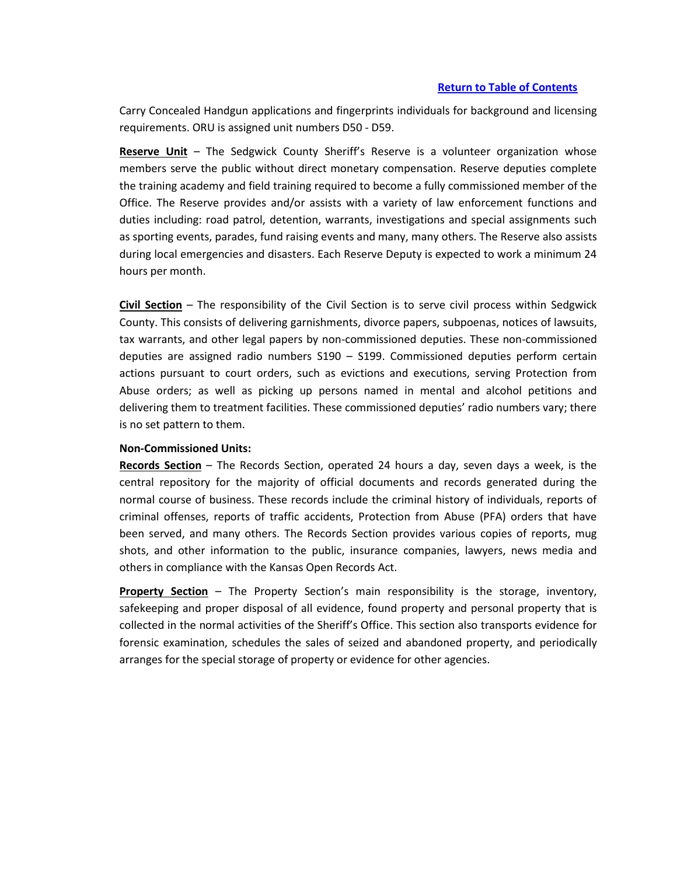Carry Concealed Handgun applications and fingerprints individuals for background and licensing requirements. ORU is assigned unit numbers D50 - D59.

**Reserve Unit** – The Sedgwick County Sheriff's Reserve is a volunteer organization whose members serve the public without direct monetary compensation. Reserve deputies complete the training academy and field training required to become a fully commissioned member of the Office. The Reserve provides and/or assists with a variety of law enforcement functions and duties including: road patrol, detention, warrants, investigations and special assignments such as sporting events, parades, fund raising events and many, many others. The Reserve also assists during local emergencies and disasters. Each Reserve Deputy is expected to work a minimum 24 hours per month.

**Civil Section** – The responsibility of the Civil Section is to serve civil process within Sedgwick County. This consists of delivering garnishments, divorce papers, subpoenas, notices of lawsuits, tax warrants, and other legal papers by non-commissioned deputies. These non-commissioned deputies are assigned radio numbers S190 – S199. Commissioned deputies perform certain actions pursuant to court orders, such as evictions and executions, serving Protection from Abuse orders; as well as picking up persons named in mental and alcohol petitions and delivering them to treatment facilities. These commissioned deputies' radio numbers vary; there is no set pattern to them.

#### **Non-Commissioned Units:**

**Records Section** – The Records Section, operated 24 hours a day, seven days a week, is the central repository for the majority of official documents and records generated during the normal course of business. These records include the criminal history of individuals, reports of criminal offenses, reports of traffic accidents, Protection from Abuse (PFA) orders that have been served, and many others. The Records Section provides various copies of reports, mug shots, and other information to the public, insurance companies, lawyers, news media and others in compliance with the Kansas Open Records Act.

**Property Section** – The Property Section's main responsibility is the storage, inventory, safekeeping and proper disposal of all evidence, found property and personal property that is collected in the normal activities of the Sheriff's Office. This section also transports evidence for forensic examination, schedules the sales of seized and abandoned property, and periodically arranges for the special storage of property or evidence for other agencies.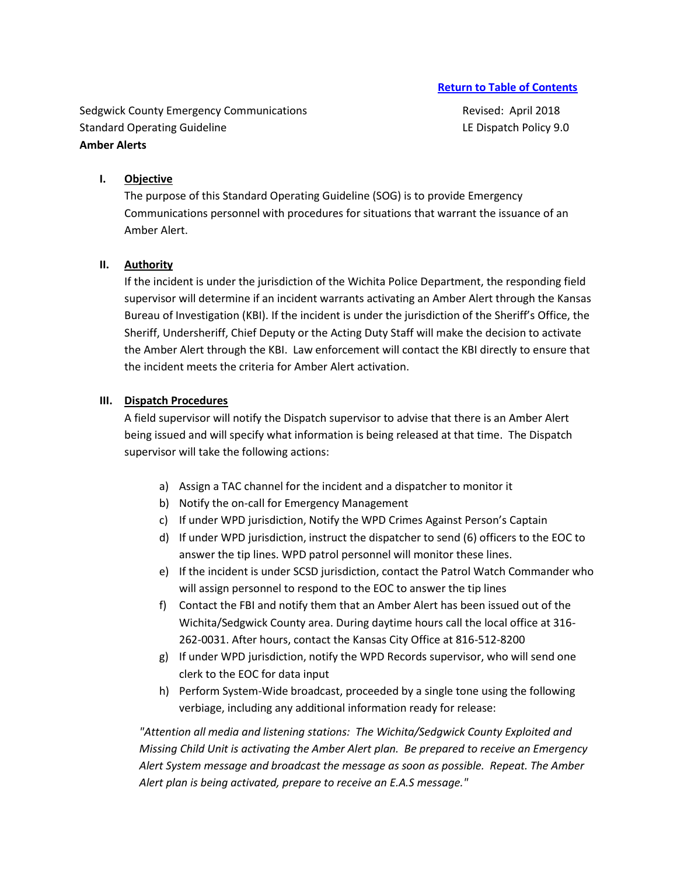Sedgwick County Emergency Communications **Revised: April 2018** Revised: April 2018 Standard Operating Guideline **LE Dispatch Policy 9.0** LE Dispatch Policy 9.0 **Amber Alerts**

## **I. Objective**

The purpose of this Standard Operating Guideline (SOG) is to provide Emergency Communications personnel with procedures for situations that warrant the issuance of an Amber Alert.

#### **II. Authority**

If the incident is under the jurisdiction of the Wichita Police Department, the responding field supervisor will determine if an incident warrants activating an Amber Alert through the Kansas Bureau of Investigation (KBI). If the incident is under the jurisdiction of the Sheriff's Office, the Sheriff, Undersheriff, Chief Deputy or the Acting Duty Staff will make the decision to activate the Amber Alert through the KBI. Law enforcement will contact the KBI directly to ensure that the incident meets the criteria for Amber Alert activation.

#### **III. Dispatch Procedures**

A field supervisor will notify the Dispatch supervisor to advise that there is an Amber Alert being issued and will specify what information is being released at that time. The Dispatch supervisor will take the following actions:

- a) Assign a TAC channel for the incident and a dispatcher to monitor it
- b) Notify the on-call for Emergency Management
- c) If under WPD jurisdiction, Notify the WPD Crimes Against Person's Captain
- d) If under WPD jurisdiction, instruct the dispatcher to send (6) officers to the EOC to answer the tip lines. WPD patrol personnel will monitor these lines.
- e) If the incident is under SCSD jurisdiction, contact the Patrol Watch Commander who will assign personnel to respond to the EOC to answer the tip lines
- f) Contact the FBI and notify them that an Amber Alert has been issued out of the Wichita/Sedgwick County area. During daytime hours call the local office at 316- 262-0031. After hours, contact the Kansas City Office at 816-512-8200
- g) If under WPD jurisdiction, notify the WPD Records supervisor, who will send one clerk to the EOC for data input
- h) Perform System-Wide broadcast, proceeded by a single tone using the following verbiage, including any additional information ready for release:

*"Attention all media and listening stations: The Wichita/Sedgwick County Exploited and Missing Child Unit is activating the Amber Alert plan. Be prepared to receive an Emergency Alert System message and broadcast the message as soon as possible. Repeat. The Amber Alert plan is being activated, prepare to receive an E.A.S message."*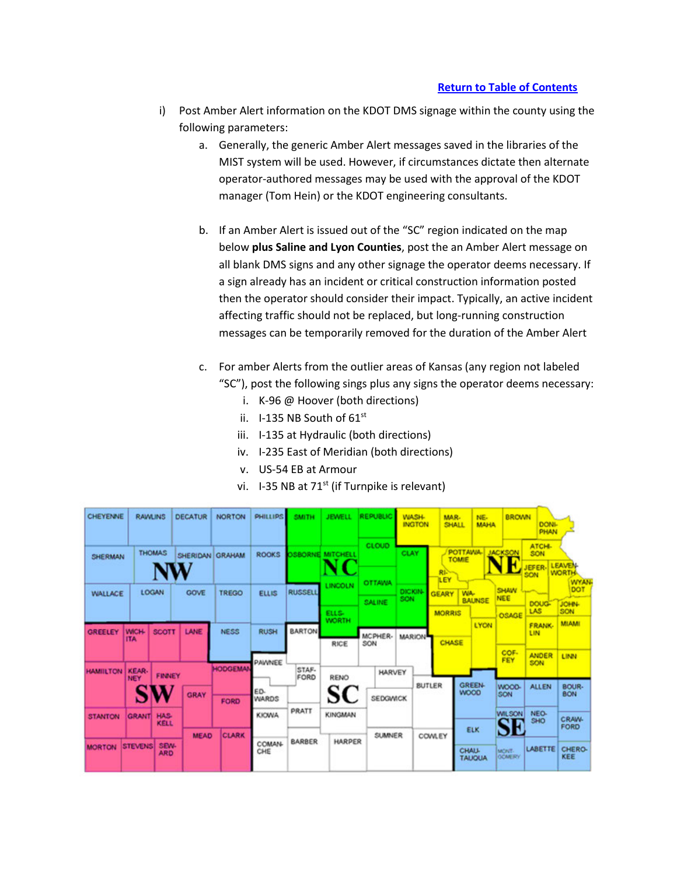- i) Post Amber Alert information on the KDOT DMS signage within the county using the following parameters:
	- a. Generally, the generic Amber Alert messages saved in the libraries of the MIST system will be used. However, if circumstances dictate then alternate operator-authored messages may be used with the approval of the KDOT manager (Tom Hein) or the KDOT engineering consultants.
	- b. If an Amber Alert is issued out of the "SC" region indicated on the map below **plus Saline and Lyon Counties**, post the an Amber Alert message on all blank DMS signs and any other signage the operator deems necessary. If a sign already has an incident or critical construction information posted then the operator should consider their impact. Typically, an active incident affecting traffic should not be replaced, but long-running construction messages can be temporarily removed for the duration of the Amber Alert
	- c. For amber Alerts from the outlier areas of Kansas (any region not labeled "SC"), post the following sings plus any signs the operator deems necessary:
		- i. K-96 @ Hoover (both directions)
		- ii.  $1-135$  NB South of  $61<sup>st</sup>$
		- iii. I-135 at Hydraulic (both directions)
		- iv. I-235 East of Meridian (both directions)
		- v. US-54 EB at Armour
		- vi. I-35 NB at  $71^{st}$  (if Turnpike is relevant)

| CHEYENNE        | <b>RAWLINS</b>             |                    | <b>DECATUR</b>  | <b>NORTON</b>  | PHILLIPS            | <b>SMITH</b>   | <b>JEWELL</b>         | <b>REPUBLIC</b> | <b>WASH.</b><br><b>INGTON</b> |                                                | MAR.<br>SHALL           | NE-<br><b>MAHA</b> | <b>BROWN</b>               | <b>DONI-</b><br>PHAN       |                                    |
|-----------------|----------------------------|--------------------|-----------------|----------------|---------------------|----------------|-----------------------|-----------------|-------------------------------|------------------------------------------------|-------------------------|--------------------|----------------------------|----------------------------|------------------------------------|
| SHERMAN         |                            | <b>THOMAS</b>      | SHERIDAN GRAHAM |                | <b>ROOKS</b>        | <b>SBORNE</b>  | <b>MITCHELL</b>       | CLOUD           | <b>CLAY</b>                   |                                                | <b>POTTAWA</b><br>TOMIE |                    | <b>JACKSON</b>             | ATCH-<br>SON<br>EFER-      | <b>LEAVEN</b>                      |
| <b>WALLACE</b>  |                            | LOGAN              | <b>GOVE</b>     | TREGO          | <b>ELLIS</b>        | <b>RUSSELL</b> | LINCOLN               | OTTAWA          | <b>DICKIN</b>                 | RE <sup>2</sup><br><b>ILEY</b><br><b>GEARY</b> | WA.                     |                    | <b>SHAW</b>                | SON                        | <b>WORTH</b><br><b>WYAN</b><br>DOT |
|                 |                            |                    |                 |                |                     |                | ELLS-<br><b>WORTH</b> | SALINE          | SON                           | <b>MORRIS</b>                                  |                         | <b>BALINSE</b>     | <b>NEE</b><br><b>OSAGE</b> | <b>DOUG-</b><br><b>LAS</b> | JOHN-<br>SON                       |
| <b>GREELEY</b>  | <b>WICH-</b><br><b>ITA</b> | <b>SCOTT</b>       | LANE            | <b>NESS</b>    | <b>RUSH</b>         | <b>BARTON</b>  | <b>RICE</b>           | MCPHER-<br>SON  | <b>MARION</b>                 | CHASE                                          |                         | <b>LYON</b>        |                            | <b>FRANK</b><br>LIN        | <b>MLAMI</b>                       |
| <b>HAMILTON</b> | <b>KEAR</b>                |                    |                 | <b>HODGEMA</b> | <b>PAWNEE</b>       | STAF-          |                       | <b>HARVEY</b>   |                               |                                                |                         |                    | <b>COF-</b>                | <b>ANDER</b><br>SON        | LINN                               |
|                 | <b>NEY</b>                 | <b>FINNEY</b>      | <b>GRAY</b>     | FORD           | ED-<br><b>WARDS</b> | FORD           | RENO                  | SEDGWICK        |                               | <b>BUTLER</b>                                  | <b>WOOD</b>             | <b>GREEN-</b>      | WOOD-<br>SON               | <b>ALLEN</b>               | BOUR-<br><b>BON</b>                |
| <b>STANTON</b>  | <b>GRANT</b>               | <b>HAS</b><br>KELL |                 |                | <b>KIOWA</b>        | PRATT          | KINGMAN               |                 |                               |                                                |                         |                    | <b>WILSON</b><br>SE        | NEO-<br><b>SHO</b>         | <b>CRAW-</b><br>FORD               |
| <b>MORTON</b>   | <b>STEVENS</b>             | SEW-<br><b>ARD</b> | <b>MEAD</b>     | <b>CLARK</b>   | <b>COMAN-</b>       | <b>BARBER</b>  | <b>HARPER</b>         | <b>SUMNER</b>   |                               | <b>COWLEY</b>                                  |                         | ELK                |                            |                            |                                    |
|                 |                            |                    |                 |                | CHE                 |                |                       |                 |                               |                                                | <b>CHALL</b>            | <b>TAUQUA</b>      | MONT-<br><b>GCMERY</b>     | <b>LABETTE</b>             | <b>CHERO-</b><br>KEE               |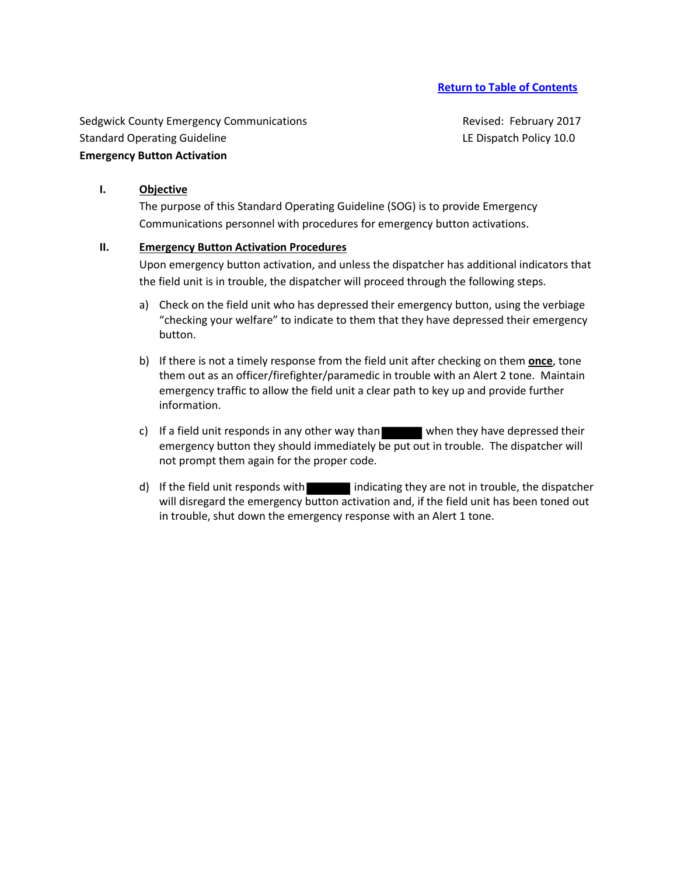Sedgwick County Emergency Communications **Revised: February 2017** Revised: February 2017 Standard Operating Guideline Letter Letter and LE Dispatch Policy 10.0 **Emergency Button Activation**

#### **I. Objective**

The purpose of this Standard Operating Guideline (SOG) is to provide Emergency Communications personnel with procedures for emergency button activations.

#### **II. Emergency Button Activation Procedures**

Upon emergency button activation, and unless the dispatcher has additional indicators that the field unit is in trouble, the dispatcher will proceed through the following steps.

- a) Check on the field unit who has depressed their emergency button, using the verbiage "checking your welfare" to indicate to them that they have depressed their emergency button.
- b) If there is not a timely response from the field unit after checking on them **once**, tone them out as an officer/firefighter/paramedic in trouble with an Alert 2 tone. Maintain emergency traffic to allow the field unit a clear path to key up and provide further information.
- c) If a field unit responds in any other way than when they have depressed their emergency button they should immediately be put out in trouble. The dispatcher will not prompt them again for the proper code.
- d) If the field unit responds with indicating they are not in trouble, the dispatcher will disregard the emergency button activation and, if the field unit has been toned out in trouble, shut down the emergency response with an Alert 1 tone.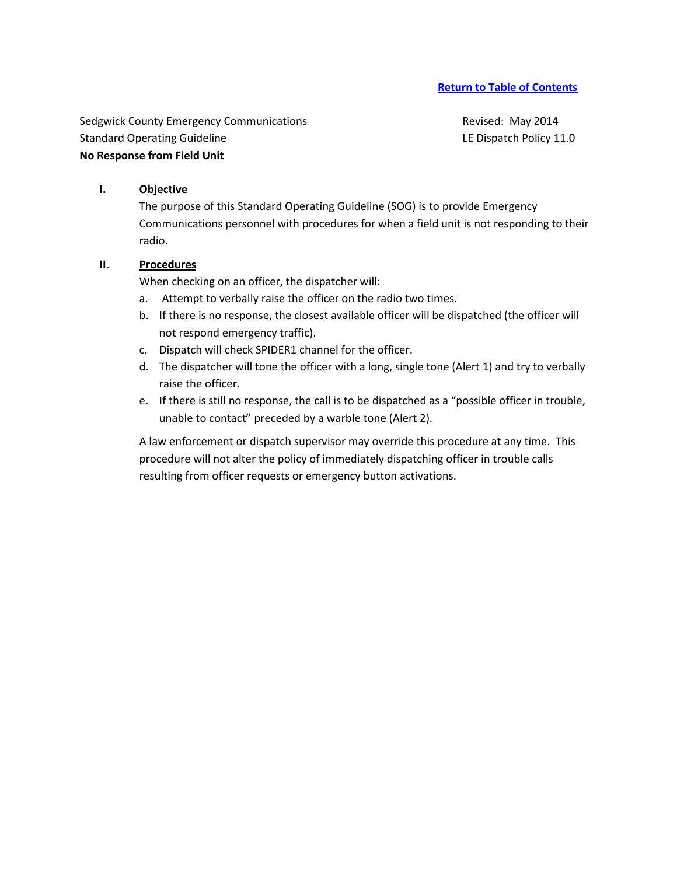Sedgwick County Emergency Communications and a settlement of Revised: May 2014 Standard Operating Guideline Letter Letter and LE Dispatch Policy 11.0 **No Response from Field Unit**

# **I. Objective**

The purpose of this Standard Operating Guideline (SOG) is to provide Emergency Communications personnel with procedures for when a field unit is not responding to their radio.

## **II. Procedures**

When checking on an officer, the dispatcher will:

- a. Attempt to verbally raise the officer on the radio two times.
- b. If there is no response, the closest available officer will be dispatched (the officer will not respond emergency traffic).
- c. Dispatch will check SPIDER1 channel for the officer.
- d. The dispatcher will tone the officer with a long, single tone (Alert 1) and try to verbally raise the officer.
- e. If there is still no response, the call is to be dispatched as a "possible officer in trouble, unable to contact" preceded by a warble tone (Alert 2).

A law enforcement or dispatch supervisor may override this procedure at any time. This procedure will not alter the policy of immediately dispatching officer in trouble calls resulting from officer requests or emergency button activations.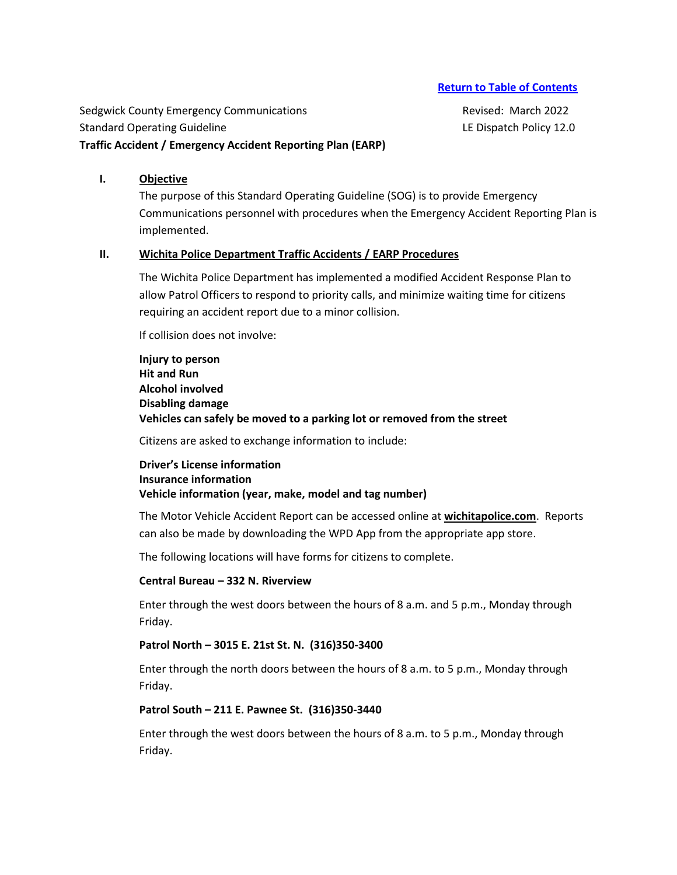Sedgwick County Emergency Communications **Revised: March 2022** Standard Operating Guideline Letter Letter and LE Dispatch Policy 12.0 **Traffic Accident / Emergency Accident Reporting Plan (EARP)**

#### **I. Objective**

The purpose of this Standard Operating Guideline (SOG) is to provide Emergency Communications personnel with procedures when the Emergency Accident Reporting Plan is implemented.

#### **II. Wichita Police Department Traffic Accidents / EARP Procedures**

The Wichita Police Department has implemented a modified Accident Response Plan to allow Patrol Officers to respond to priority calls, and minimize waiting time for citizens requiring an accident report due to a minor collision.

If collision does not involve:

**Injury to person Hit and Run Alcohol involved Disabling damage Vehicles can safely be moved to a parking lot or removed from the street**

Citizens are asked to exchange information to include:

**Driver's License information Insurance information Vehicle information (year, make, model and tag number)**

The Motor Vehicle Accident Report can be accessed online at **wichitapolice.com**. Reports can also be made by downloading the WPD App from the appropriate app store.

The following locations will have forms for citizens to complete.

#### **Central Bureau – 332 N. Riverview**

Enter through the west doors between the hours of 8 a.m. and 5 p.m., Monday through Friday.

#### **Patrol North – 3015 E. 21st St. N. (316)350-3400**

Enter through the north doors between the hours of 8 a.m. to 5 p.m., Monday through Friday.

#### **Patrol South – 211 E. Pawnee St. (316)350-3440**

Enter through the west doors between the hours of 8 a.m. to 5 p.m., Monday through Friday.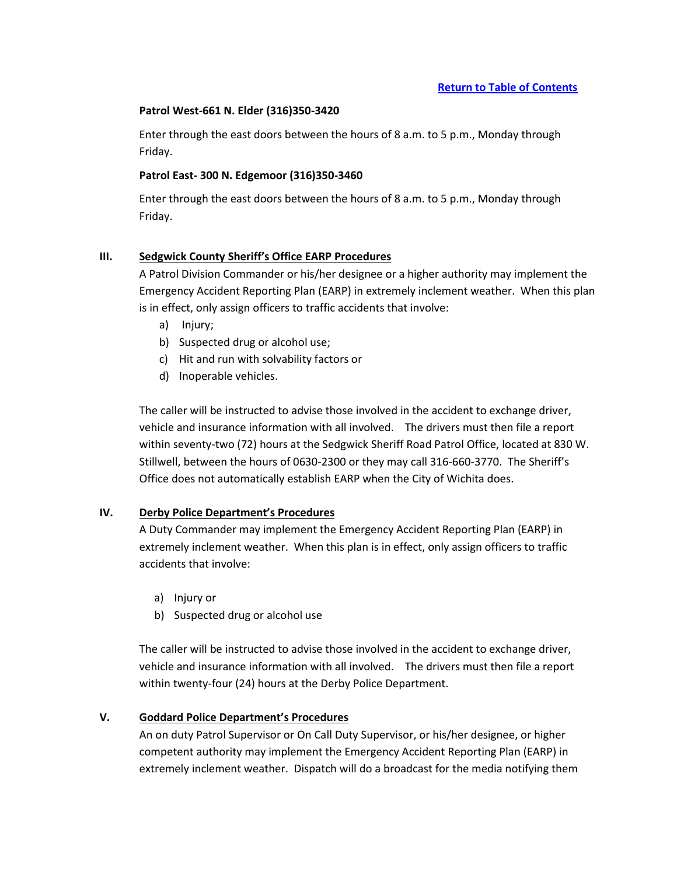### **Patrol West-661 N. Elder (316)350-3420**

Enter through the east doors between the hours of 8 a.m. to 5 p.m., Monday through Friday.

## **Patrol East- 300 N. Edgemoor (316)350-3460**

Enter through the east doors between the hours of 8 a.m. to 5 p.m., Monday through Friday.

## **III. Sedgwick County Sheriff's Office EARP Procedures**

A Patrol Division Commander or his/her designee or a higher authority may implement the Emergency Accident Reporting Plan (EARP) in extremely inclement weather. When this plan is in effect, only assign officers to traffic accidents that involve:

- a) Injury;
- b) Suspected drug or alcohol use;
- c) Hit and run with solvability factors or
- d) Inoperable vehicles.

The caller will be instructed to advise those involved in the accident to exchange driver, vehicle and insurance information with all involved. The drivers must then file a report within seventy-two (72) hours at the Sedgwick Sheriff Road Patrol Office, located at 830 W. Stillwell, between the hours of 0630-2300 or they may call 316-660-3770. The Sheriff's Office does not automatically establish EARP when the City of Wichita does.

## **IV. Derby Police Department's Procedures**

A Duty Commander may implement the Emergency Accident Reporting Plan (EARP) in extremely inclement weather. When this plan is in effect, only assign officers to traffic accidents that involve:

- a) Injury or
- b) Suspected drug or alcohol use

The caller will be instructed to advise those involved in the accident to exchange driver, vehicle and insurance information with all involved. The drivers must then file a report within twenty-four (24) hours at the Derby Police Department.

## **V. Goddard Police Department's Procedures**

An on duty Patrol Supervisor or On Call Duty Supervisor, or his/her designee, or higher competent authority may implement the Emergency Accident Reporting Plan (EARP) in extremely inclement weather. Dispatch will do a broadcast for the media notifying them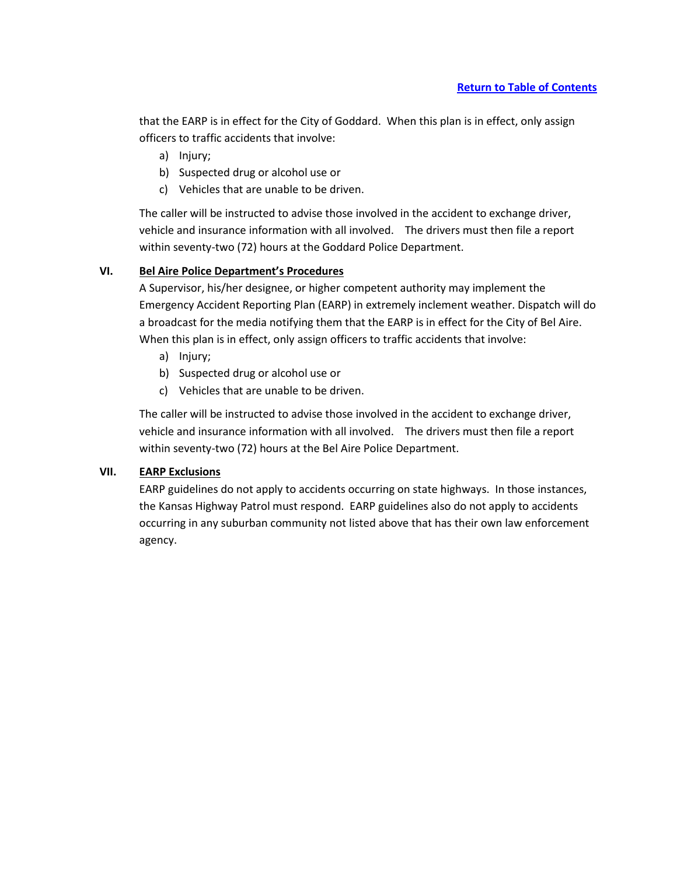that the EARP is in effect for the City of Goddard. When this plan is in effect, only assign officers to traffic accidents that involve:

- a) Injury;
- b) Suspected drug or alcohol use or
- c) Vehicles that are unable to be driven.

The caller will be instructed to advise those involved in the accident to exchange driver, vehicle and insurance information with all involved. The drivers must then file a report within seventy-two (72) hours at the Goddard Police Department.

# **VI. Bel Aire Police Department's Procedures**

A Supervisor, his/her designee, or higher competent authority may implement the Emergency Accident Reporting Plan (EARP) in extremely inclement weather. Dispatch will do a broadcast for the media notifying them that the EARP is in effect for the City of Bel Aire. When this plan is in effect, only assign officers to traffic accidents that involve:

- a) Injury;
- b) Suspected drug or alcohol use or
- c) Vehicles that are unable to be driven.

The caller will be instructed to advise those involved in the accident to exchange driver, vehicle and insurance information with all involved. The drivers must then file a report within seventy-two (72) hours at the Bel Aire Police Department.

# **VII. EARP Exclusions**

EARP guidelines do not apply to accidents occurring on state highways. In those instances, the Kansas Highway Patrol must respond. EARP guidelines also do not apply to accidents occurring in any suburban community not listed above that has their own law enforcement agency.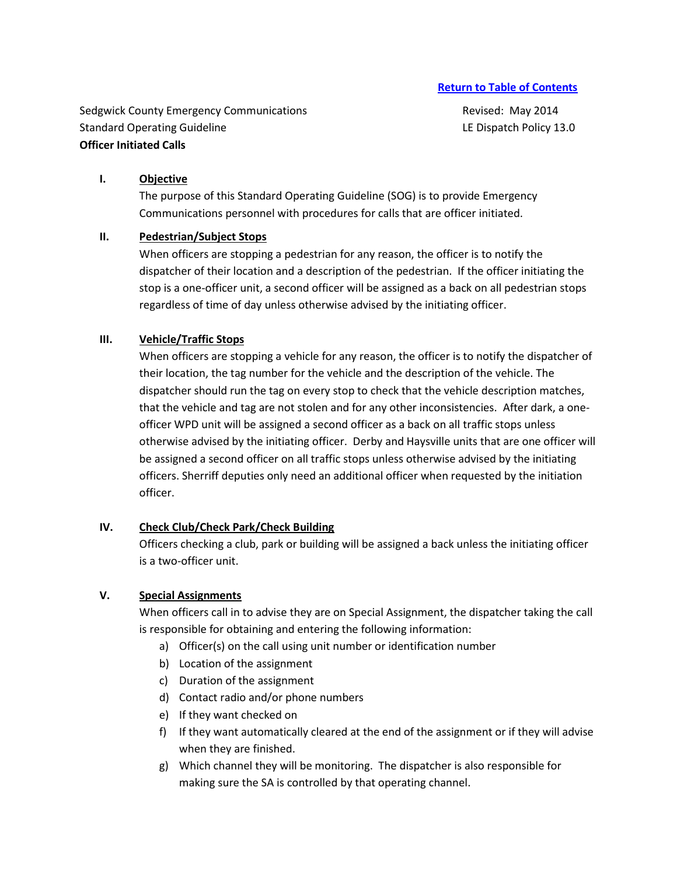Sedgwick County Emergency Communications **Revised: May 2014** Revised: May 2014 Standard Operating Guideline Letter League and LE Dispatch Policy 13.0 **Officer Initiated Calls** 

# **I. Objective**

The purpose of this Standard Operating Guideline (SOG) is to provide Emergency Communications personnel with procedures for calls that are officer initiated.

# **II. Pedestrian/Subject Stops**

When officers are stopping a pedestrian for any reason, the officer is to notify the dispatcher of their location and a description of the pedestrian. If the officer initiating the stop is a one-officer unit, a second officer will be assigned as a back on all pedestrian stops regardless of time of day unless otherwise advised by the initiating officer.

# **III. Vehicle/Traffic Stops**

When officers are stopping a vehicle for any reason, the officer is to notify the dispatcher of their location, the tag number for the vehicle and the description of the vehicle. The dispatcher should run the tag on every stop to check that the vehicle description matches, that the vehicle and tag are not stolen and for any other inconsistencies. After dark, a oneofficer WPD unit will be assigned a second officer as a back on all traffic stops unless otherwise advised by the initiating officer. Derby and Haysville units that are one officer will be assigned a second officer on all traffic stops unless otherwise advised by the initiating officers. Sherriff deputies only need an additional officer when requested by the initiation officer.

## **IV. Check Club/Check Park/Check Building**

Officers checking a club, park or building will be assigned a back unless the initiating officer is a two-officer unit.

# **V. Special Assignments**

When officers call in to advise they are on Special Assignment, the dispatcher taking the call is responsible for obtaining and entering the following information:

- a) Officer(s) on the call using unit number or identification number
- b) Location of the assignment
- c) Duration of the assignment
- d) Contact radio and/or phone numbers
- e) If they want checked on
- f) If they want automatically cleared at the end of the assignment or if they will advise when they are finished.
- g) Which channel they will be monitoring. The dispatcher is also responsible for making sure the SA is controlled by that operating channel.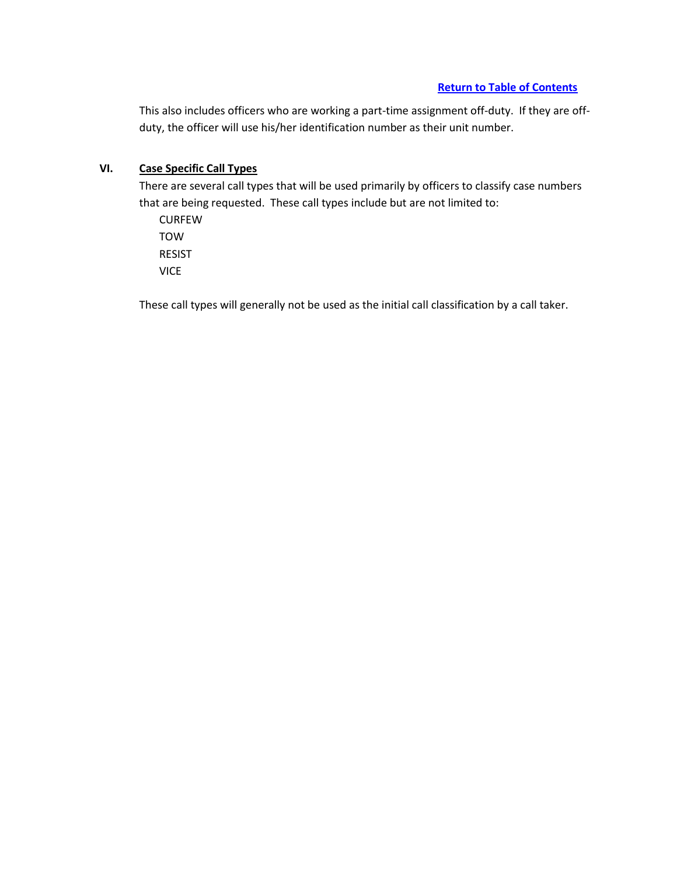This also includes officers who are working a part-time assignment off-duty. If they are offduty, the officer will use his/her identification number as their unit number.

# **VI. Case Specific Call Types**

There are several call types that will be used primarily by officers to classify case numbers that are being requested. These call types include but are not limited to:

CURFEW TOW RESIST VICE

These call types will generally not be used as the initial call classification by a call taker.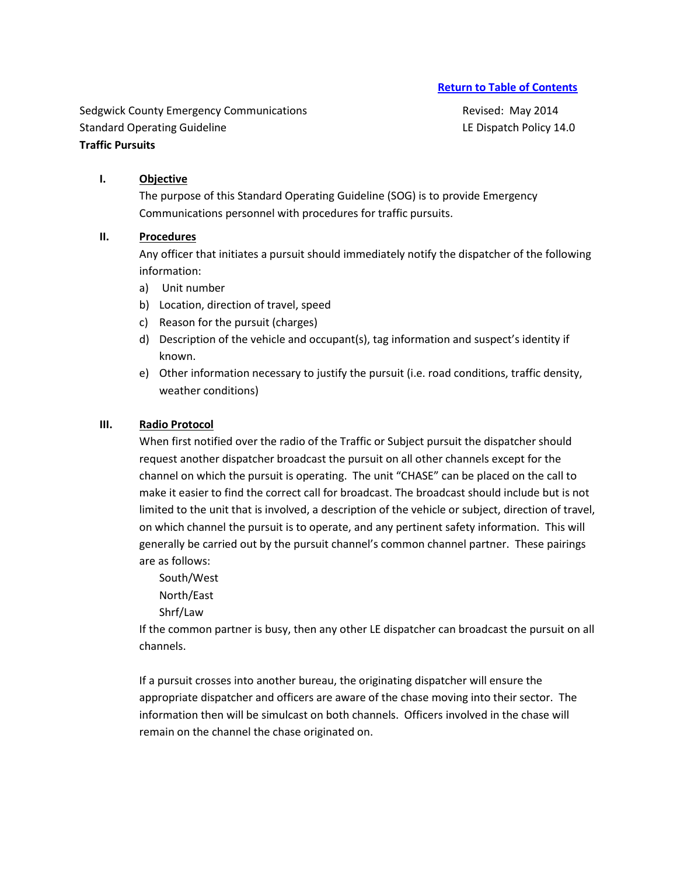Sedgwick County Emergency Communications **Revised: May 2014** Revised: May 2014 Standard Operating Guideline Letter League and LE Dispatch Policy 14.0 **Traffic Pursuits**

# **I. Objective**

The purpose of this Standard Operating Guideline (SOG) is to provide Emergency Communications personnel with procedures for traffic pursuits.

# **II. Procedures**

Any officer that initiates a pursuit should immediately notify the dispatcher of the following information:

- a) Unit number
- b) Location, direction of travel, speed
- c) Reason for the pursuit (charges)
- d) Description of the vehicle and occupant(s), tag information and suspect's identity if known.
- e) Other information necessary to justify the pursuit (i.e. road conditions, traffic density, weather conditions)

# **III. Radio Protocol**

When first notified over the radio of the Traffic or Subject pursuit the dispatcher should request another dispatcher broadcast the pursuit on all other channels except for the channel on which the pursuit is operating. The unit "CHASE" can be placed on the call to make it easier to find the correct call for broadcast. The broadcast should include but is not limited to the unit that is involved, a description of the vehicle or subject, direction of travel, on which channel the pursuit is to operate, and any pertinent safety information. This will generally be carried out by the pursuit channel's common channel partner. These pairings are as follows:

South/West

North/East

Shrf/Law

If the common partner is busy, then any other LE dispatcher can broadcast the pursuit on all channels.

If a pursuit crosses into another bureau, the originating dispatcher will ensure the appropriate dispatcher and officers are aware of the chase moving into their sector. The information then will be simulcast on both channels. Officers involved in the chase will remain on the channel the chase originated on.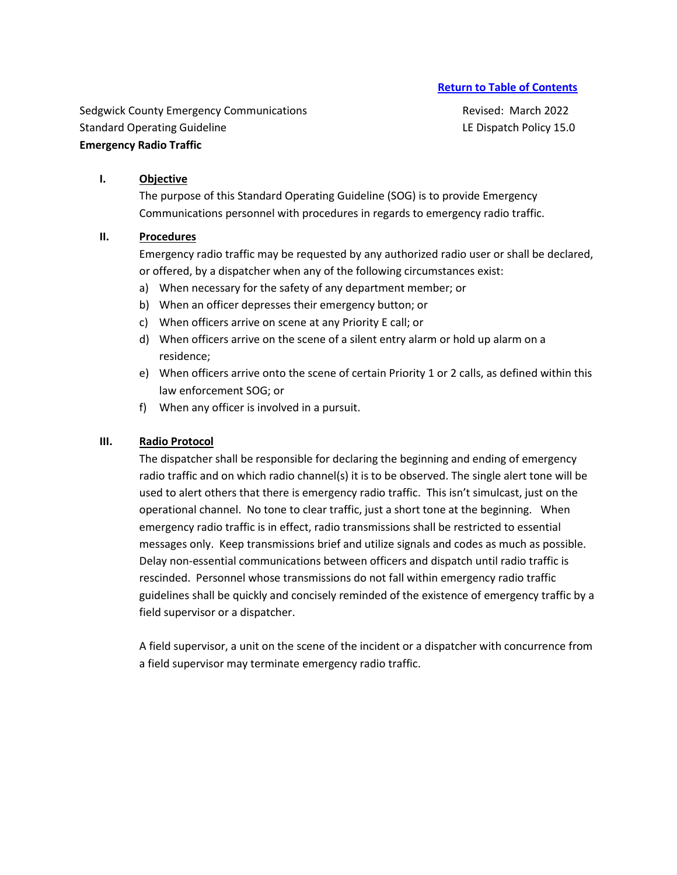Sedgwick County Emergency Communications **Revised: March 2022** Revised: March 2022 Standard Operating Guideline Letter Letter and LE Dispatch Policy 15.0 **Emergency Radio Traffic** 

## **I. Objective**

The purpose of this Standard Operating Guideline (SOG) is to provide Emergency Communications personnel with procedures in regards to emergency radio traffic.

#### **II. Procedures**

Emergency radio traffic may be requested by any authorized radio user or shall be declared, or offered, by a dispatcher when any of the following circumstances exist:

- a) When necessary for the safety of any department member; or
- b) When an officer depresses their emergency button; or
- c) When officers arrive on scene at any Priority E call; or
- d) When officers arrive on the scene of a silent entry alarm or hold up alarm on a residence;
- e) When officers arrive onto the scene of certain Priority 1 or 2 calls, as defined within this law enforcement SOG; or
- f) When any officer is involved in a pursuit.

## **III. Radio Protocol**

The dispatcher shall be responsible for declaring the beginning and ending of emergency radio traffic and on which radio channel(s) it is to be observed. The single alert tone will be used to alert others that there is emergency radio traffic. This isn't simulcast, just on the operational channel. No tone to clear traffic, just a short tone at the beginning. When emergency radio traffic is in effect, radio transmissions shall be restricted to essential messages only. Keep transmissions brief and utilize signals and codes as much as possible. Delay non-essential communications between officers and dispatch until radio traffic is rescinded. Personnel whose transmissions do not fall within emergency radio traffic guidelines shall be quickly and concisely reminded of the existence of emergency traffic by a field supervisor or a dispatcher.

A field supervisor, a unit on the scene of the incident or a dispatcher with concurrence from a field supervisor may terminate emergency radio traffic.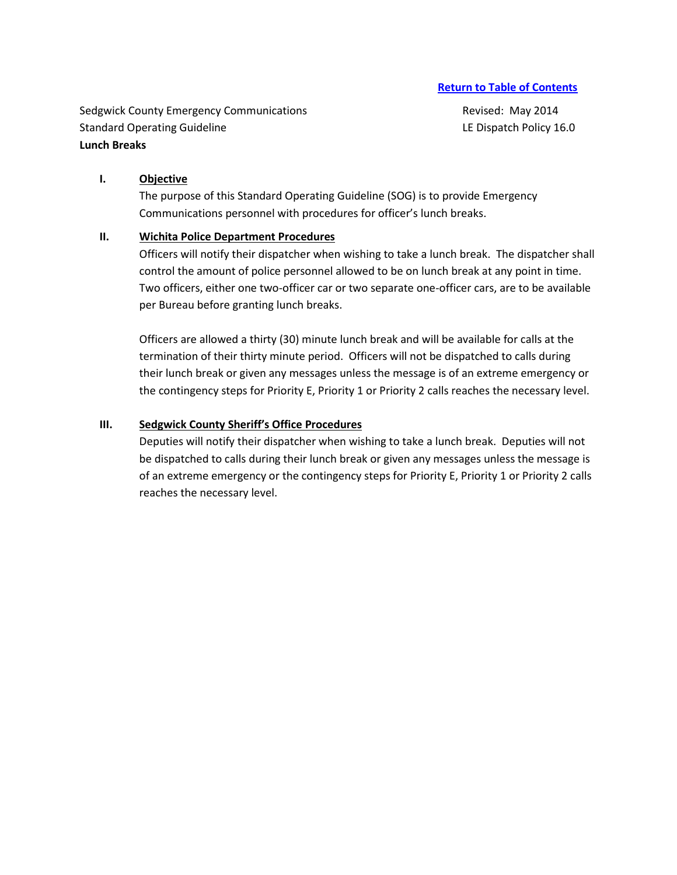Sedgwick County Emergency Communications **Revised: May 2014** Revised: May 2014 Standard Operating Guideline Letter Letter and LE Dispatch Policy 16.0 **Lunch Breaks** 

# **I. Objective**

The purpose of this Standard Operating Guideline (SOG) is to provide Emergency Communications personnel with procedures for officer's lunch breaks.

## **II. Wichita Police Department Procedures**

Officers will notify their dispatcher when wishing to take a lunch break. The dispatcher shall control the amount of police personnel allowed to be on lunch break at any point in time. Two officers, either one two-officer car or two separate one-officer cars, are to be available per Bureau before granting lunch breaks.

Officers are allowed a thirty (30) minute lunch break and will be available for calls at the termination of their thirty minute period. Officers will not be dispatched to calls during their lunch break or given any messages unless the message is of an extreme emergency or the contingency steps for Priority E, Priority 1 or Priority 2 calls reaches the necessary level.

#### **III. Sedgwick County Sheriff's Office Procedures**

Deputies will notify their dispatcher when wishing to take a lunch break. Deputies will not be dispatched to calls during their lunch break or given any messages unless the message is of an extreme emergency or the contingency steps for Priority E, Priority 1 or Priority 2 calls reaches the necessary level.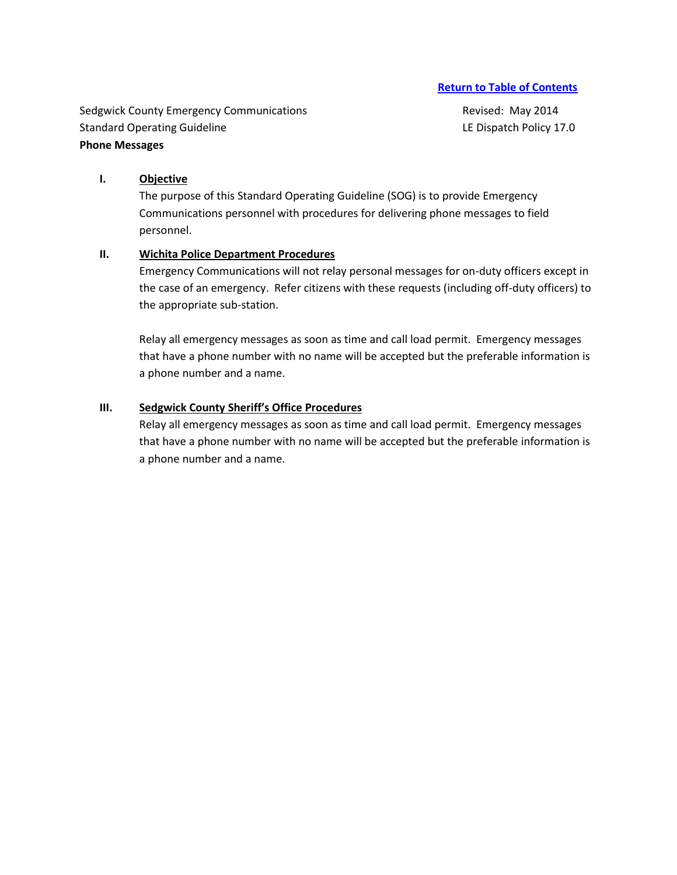Sedgwick County Emergency Communications **Revised: May 2014** Revised: May 2014 Standard Operating Guideline Letter Letter and LE Dispatch Policy 17.0 **Phone Messages** 

# **I. Objective**

The purpose of this Standard Operating Guideline (SOG) is to provide Emergency Communications personnel with procedures for delivering phone messages to field personnel.

#### **II. Wichita Police Department Procedures**

Emergency Communications will not relay personal messages for on-duty officers except in the case of an emergency. Refer citizens with these requests (including off-duty officers) to the appropriate sub-station.

Relay all emergency messages as soon as time and call load permit. Emergency messages that have a phone number with no name will be accepted but the preferable information is a phone number and a name.

### **III. Sedgwick County Sheriff's Office Procedures**

Relay all emergency messages as soon as time and call load permit. Emergency messages that have a phone number with no name will be accepted but the preferable information is a phone number and a name.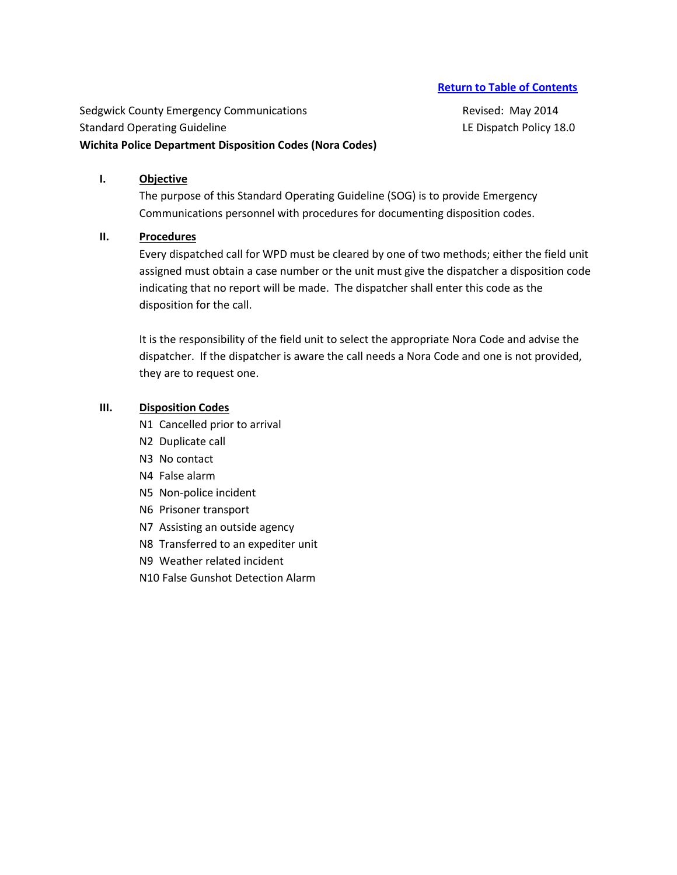Sedgwick County Emergency Communications **Revised: May 2014** Revised: May 2014 Standard Operating Guideline Letter League and LE Dispatch Policy 18.0 **Wichita Police Department Disposition Codes (Nora Codes)**

## **I. Objective**

The purpose of this Standard Operating Guideline (SOG) is to provide Emergency Communications personnel with procedures for documenting disposition codes.

### **II. Procedures**

Every dispatched call for WPD must be cleared by one of two methods; either the field unit assigned must obtain a case number or the unit must give the dispatcher a disposition code indicating that no report will be made. The dispatcher shall enter this code as the disposition for the call.

It is the responsibility of the field unit to select the appropriate Nora Code and advise the dispatcher. If the dispatcher is aware the call needs a Nora Code and one is not provided, they are to request one.

# **III. Disposition Codes**

N1 Cancelled prior to arrival

- N2 Duplicate call
- N3 No contact
- N4 False alarm
- N5 Non-police incident
- N6 Prisoner transport
- N7 Assisting an outside agency
- N8 Transferred to an expediter unit
- N9 Weather related incident
- N10 False Gunshot Detection Alarm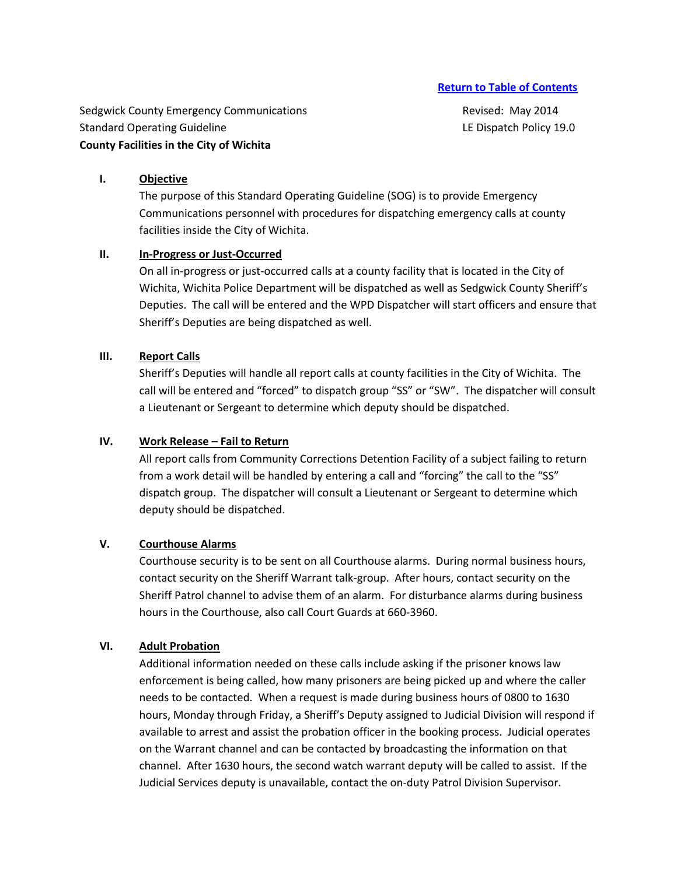Sedgwick County Emergency Communications **Revised: May 2014** Revised: May 2014 Standard Operating Guideline Letter Letter and LE Dispatch Policy 19.0 **County Facilities in the City of Wichita**

## **I. Objective**

The purpose of this Standard Operating Guideline (SOG) is to provide Emergency Communications personnel with procedures for dispatching emergency calls at county facilities inside the City of Wichita.

# **II. In-Progress or Just-Occurred**

On all in-progress or just-occurred calls at a county facility that is located in the City of Wichita, Wichita Police Department will be dispatched as well as Sedgwick County Sheriff's Deputies. The call will be entered and the WPD Dispatcher will start officers and ensure that Sheriff's Deputies are being dispatched as well.

# **III. Report Calls**

Sheriff's Deputies will handle all report calls at county facilities in the City of Wichita. The call will be entered and "forced" to dispatch group "SS" or "SW". The dispatcher will consult a Lieutenant or Sergeant to determine which deputy should be dispatched.

# **IV.** Work Release – Fail to Return

All report calls from Community Corrections Detention Facility of a subject failing to return from a work detail will be handled by entering a call and "forcing" the call to the "SS" dispatch group. The dispatcher will consult a Lieutenant or Sergeant to determine which deputy should be dispatched.

# **V. Courthouse Alarms**

Courthouse security is to be sent on all Courthouse alarms. During normal business hours, contact security on the Sheriff Warrant talk-group. After hours, contact security on the Sheriff Patrol channel to advise them of an alarm. For disturbance alarms during business hours in the Courthouse, also call Court Guards at 660-3960.

## **VI. Adult Probation**

Additional information needed on these calls include asking if the prisoner knows law enforcement is being called, how many prisoners are being picked up and where the caller needs to be contacted. When a request is made during business hours of 0800 to 1630 hours, Monday through Friday, a Sheriff's Deputy assigned to Judicial Division will respond if available to arrest and assist the probation officer in the booking process. Judicial operates on the Warrant channel and can be contacted by broadcasting the information on that channel. After 1630 hours, the second watch warrant deputy will be called to assist. If the Judicial Services deputy is unavailable, contact the on-duty Patrol Division Supervisor.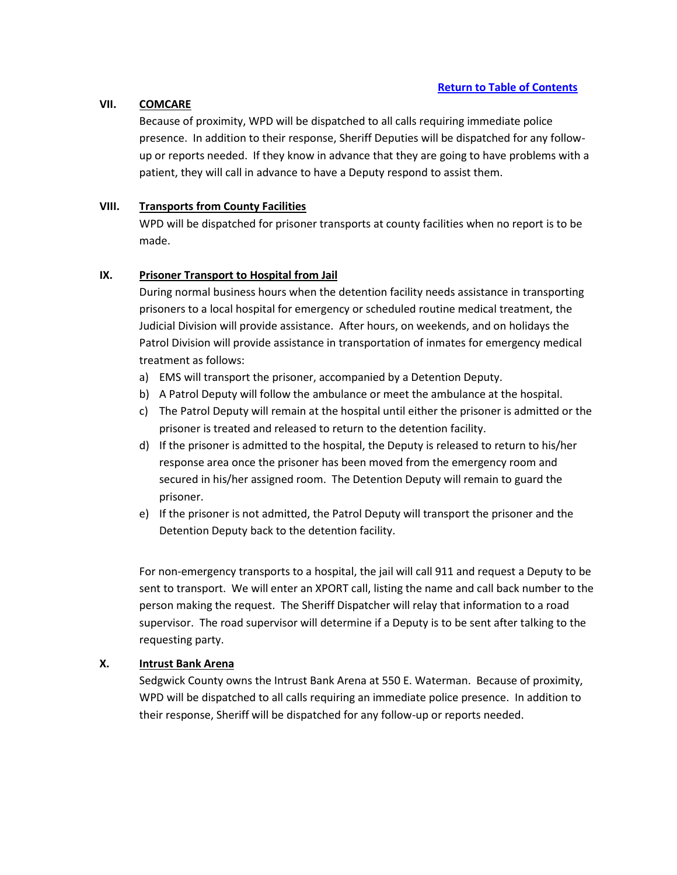# **VII. COMCARE**

Because of proximity, WPD will be dispatched to all calls requiring immediate police presence. In addition to their response, Sheriff Deputies will be dispatched for any followup or reports needed. If they know in advance that they are going to have problems with a patient, they will call in advance to have a Deputy respond to assist them.

# **VIII. Transports from County Facilities**

WPD will be dispatched for prisoner transports at county facilities when no report is to be made.

# **IX. Prisoner Transport to Hospital from Jail**

During normal business hours when the detention facility needs assistance in transporting prisoners to a local hospital for emergency or scheduled routine medical treatment, the Judicial Division will provide assistance. After hours, on weekends, and on holidays the Patrol Division will provide assistance in transportation of inmates for emergency medical treatment as follows:

- a) EMS will transport the prisoner, accompanied by a Detention Deputy.
- b) A Patrol Deputy will follow the ambulance or meet the ambulance at the hospital.
- c) The Patrol Deputy will remain at the hospital until either the prisoner is admitted or the prisoner is treated and released to return to the detention facility.
- d) If the prisoner is admitted to the hospital, the Deputy is released to return to his/her response area once the prisoner has been moved from the emergency room and secured in his/her assigned room. The Detention Deputy will remain to guard the prisoner.
- e) If the prisoner is not admitted, the Patrol Deputy will transport the prisoner and the Detention Deputy back to the detention facility.

For non-emergency transports to a hospital, the jail will call 911 and request a Deputy to be sent to transport. We will enter an XPORT call, listing the name and call back number to the person making the request. The Sheriff Dispatcher will relay that information to a road supervisor. The road supervisor will determine if a Deputy is to be sent after talking to the requesting party.

# **X. Intrust Bank Arena**

Sedgwick County owns the Intrust Bank Arena at 550 E. Waterman. Because of proximity, WPD will be dispatched to all calls requiring an immediate police presence. In addition to their response, Sheriff will be dispatched for any follow-up or reports needed.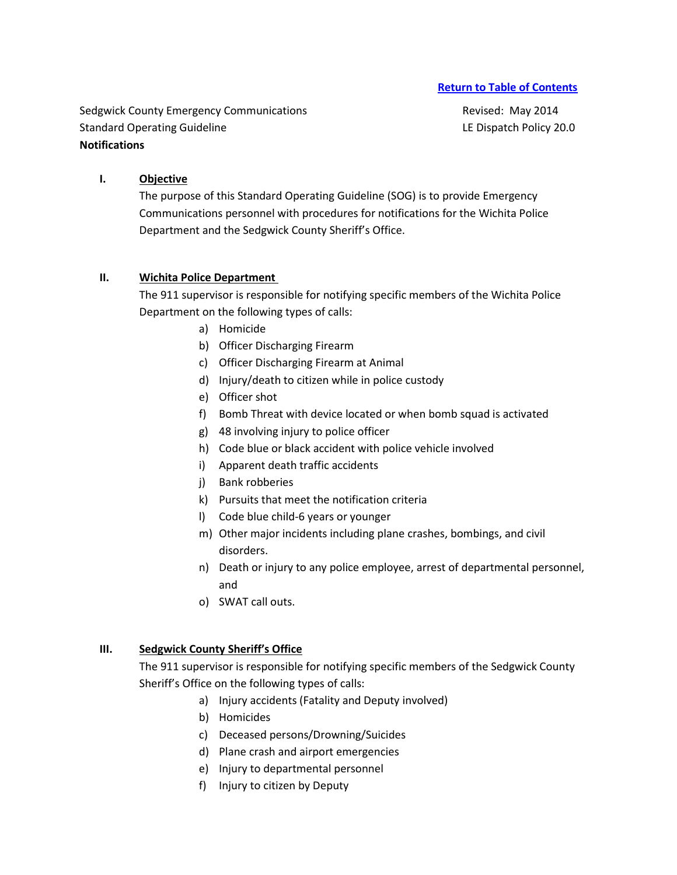Sedgwick County Emergency Communications **Revised: May 2014** Revised: May 2014 Standard Operating Guideline Letter Letter and LE Dispatch Policy 20.0 **Notifications**

# **I. Objective**

The purpose of this Standard Operating Guideline (SOG) is to provide Emergency Communications personnel with procedures for notifications for the Wichita Police Department and the Sedgwick County Sheriff's Office.

## **II. Wichita Police Department**

The 911 supervisor is responsible for notifying specific members of the Wichita Police Department on the following types of calls:

- a) Homicide
- b) Officer Discharging Firearm
- c) Officer Discharging Firearm at Animal
- d) Injury/death to citizen while in police custody
- e) Officer shot
- f) Bomb Threat with device located or when bomb squad is activated
- g) 48 involving injury to police officer
- h) Code blue or black accident with police vehicle involved
- i) Apparent death traffic accidents
- j) Bank robberies
- k) Pursuits that meet the notification criteria
- l) Code blue child-6 years or younger
- m) Other major incidents including plane crashes, bombings, and civil disorders.
- n) Death or injury to any police employee, arrest of departmental personnel, and
- o) SWAT call outs.

## **III. Sedgwick County Sheriff's Office**

The 911 supervisor is responsible for notifying specific members of the Sedgwick County Sheriff's Office on the following types of calls:

- a) Injury accidents (Fatality and Deputy involved)
- b) Homicides
- c) Deceased persons/Drowning/Suicides
- d) Plane crash and airport emergencies
- e) Injury to departmental personnel
- f) Injury to citizen by Deputy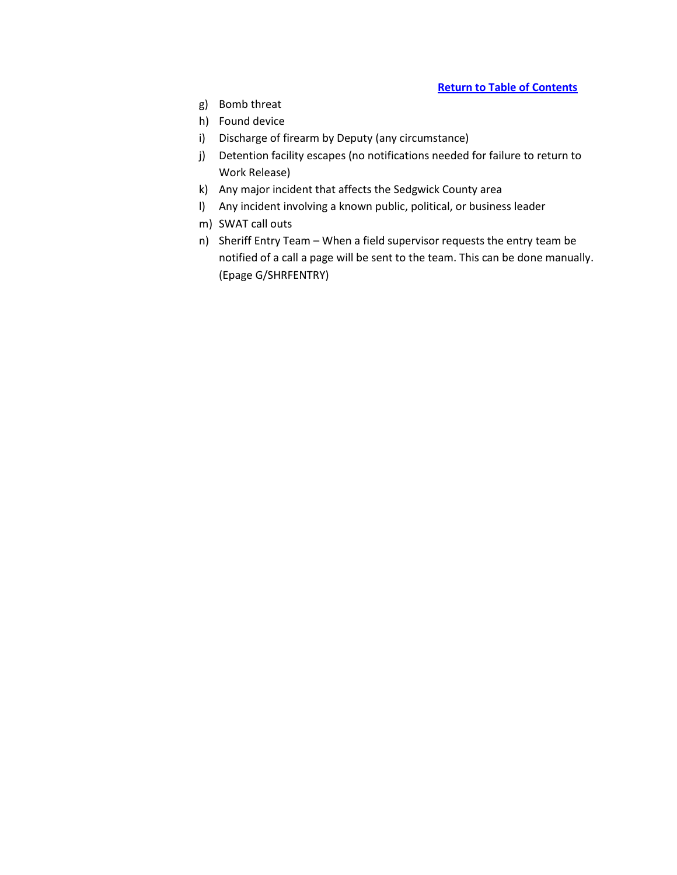- g) Bomb threat
- h) Found device
- i) Discharge of firearm by Deputy (any circumstance)
- j) Detention facility escapes (no notifications needed for failure to return to Work Release)
- k) Any major incident that affects the Sedgwick County area
- l) Any incident involving a known public, political, or business leader
- m) SWAT call outs
- n) Sheriff Entry Team When a field supervisor requests the entry team be notified of a call a page will be sent to the team. This can be done manually. (Epage G/SHRFENTRY)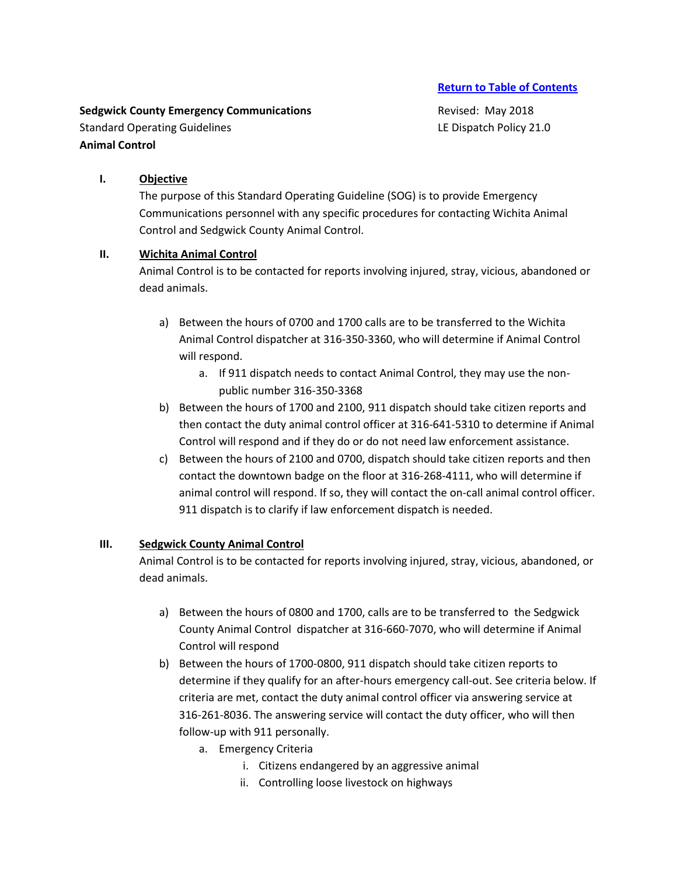**Sedgwick County Emergency Communications Revised: May 2018** Standard Operating Guidelines **LE Dispatch Policy 21.0 Animal Control**

# **I. Objective**

The purpose of this Standard Operating Guideline (SOG) is to provide Emergency Communications personnel with any specific procedures for contacting Wichita Animal Control and Sedgwick County Animal Control.

# **II. Wichita Animal Control**

Animal Control is to be contacted for reports involving injured, stray, vicious, abandoned or dead animals.

- a) Between the hours of 0700 and 1700 calls are to be transferred to the Wichita Animal Control dispatcher at 316-350-3360, who will determine if Animal Control will respond.
	- a. If 911 dispatch needs to contact Animal Control, they may use the nonpublic number 316-350-3368
- b) Between the hours of 1700 and 2100, 911 dispatch should take citizen reports and then contact the duty animal control officer at 316-641-5310 to determine if Animal Control will respond and if they do or do not need law enforcement assistance.
- c) Between the hours of 2100 and 0700, dispatch should take citizen reports and then contact the downtown badge on the floor at 316-268-4111, who will determine if animal control will respond. If so, they will contact the on-call animal control officer. 911 dispatch is to clarify if law enforcement dispatch is needed.

# **III. Sedgwick County Animal Control**

Animal Control is to be contacted for reports involving injured, stray, vicious, abandoned, or dead animals.

- a) Between the hours of 0800 and 1700, calls are to be transferred to the Sedgwick County Animal Control dispatcher at 316-660-7070, who will determine if Animal Control will respond
- b) Between the hours of 1700-0800, 911 dispatch should take citizen reports to determine if they qualify for an after-hours emergency call-out. See criteria below. If criteria are met, contact the duty animal control officer via answering service at 316-261-8036. The answering service will contact the duty officer, who will then follow-up with 911 personally.
	- a. Emergency Criteria
		- i. Citizens endangered by an aggressive animal
		- ii. Controlling loose livestock on highways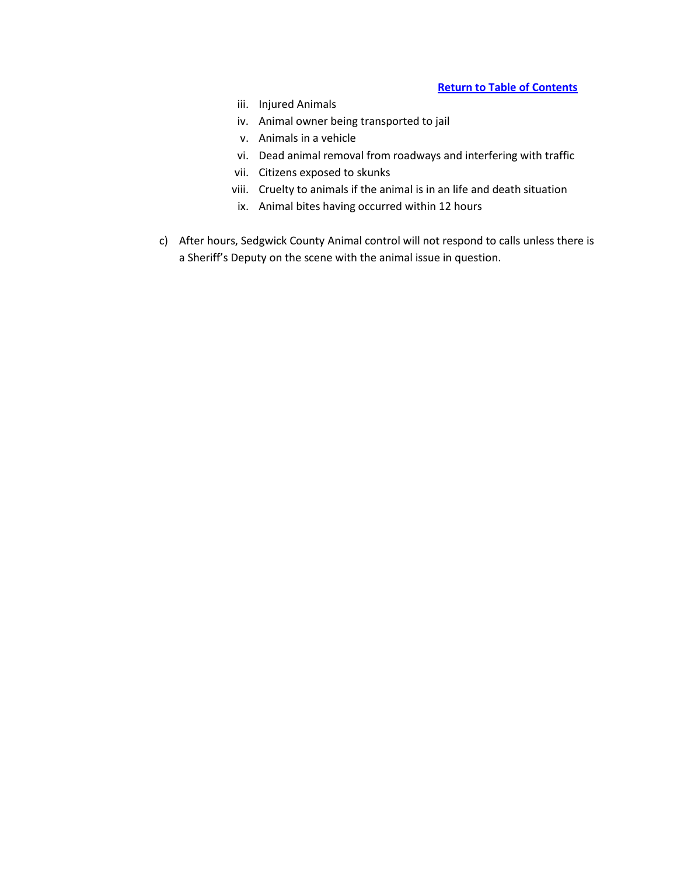- iii. Injured Animals
- iv. Animal owner being transported to jail
- v. Animals in a vehicle
- vi. Dead animal removal from roadways and interfering with traffic
- vii. Citizens exposed to skunks
- viii. Cruelty to animals if the animal is in an life and death situation
- ix. Animal bites having occurred within 12 hours
- c) After hours, Sedgwick County Animal control will not respond to calls unless there is a Sheriff's Deputy on the scene with the animal issue in question.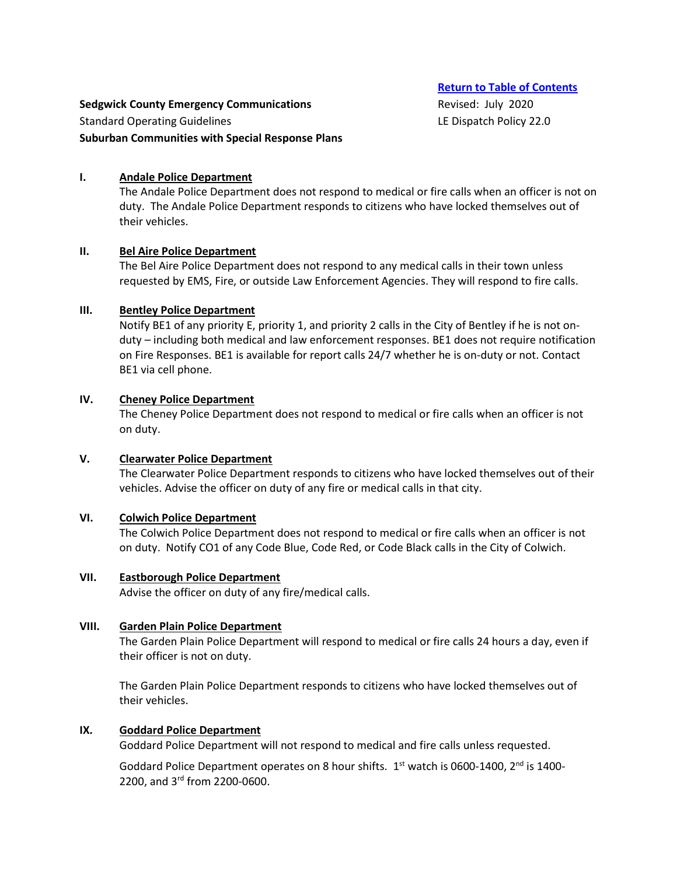#### **Sedgwick County Emergency Communications Revised: July 2020**

Standard Operating Guidelines **LE Dispatch Policy 22.0** 

#### **Suburban Communities with Special Response Plans**

#### **I. Andale Police Department**

The Andale Police Department does not respond to medical or fire calls when an officer is not on duty. The Andale Police Department responds to citizens who have locked themselves out of their vehicles.

#### **II. Bel Aire Police Department**

The Bel Aire Police Department does not respond to any medical calls in their town unless requested by EMS, Fire, or outside Law Enforcement Agencies. They will respond to fire calls.

#### **III. Bentley Police Department**

Notify BE1 of any priority E, priority 1, and priority 2 calls in the City of Bentley if he is not onduty – including both medical and law enforcement responses. BE1 does not require notification on Fire Responses. BE1 is available for report calls 24/7 whether he is on-duty or not. Contact BE1 via cell phone.

#### **IV. Cheney Police Department**

The Cheney Police Department does not respond to medical or fire calls when an officer is not on duty.

#### **V. Clearwater Police Department**

The Clearwater Police Department responds to citizens who have locked themselves out of their vehicles. Advise the officer on duty of any fire or medical calls in that city.

### **VI. Colwich Police Department**

The Colwich Police Department does not respond to medical or fire calls when an officer is not on duty. Notify CO1 of any Code Blue, Code Red, or Code Black calls in the City of Colwich.

#### **VII. Eastborough Police Department**

Advise the officer on duty of any fire/medical calls.

#### **VIII. Garden Plain Police Department**

The Garden Plain Police Department will respond to medical or fire calls 24 hours a day, even if their officer is not on duty.

The Garden Plain Police Department responds to citizens who have locked themselves out of their vehicles.

#### **IX. Goddard Police Department**

Goddard Police Department will not respond to medical and fire calls unless requested.

Goddard Police Department operates on 8 hour shifts.  $1<sup>st</sup>$  watch is 0600-1400, 2<sup>nd</sup> is 1400-2200, and 3rd from 2200-0600.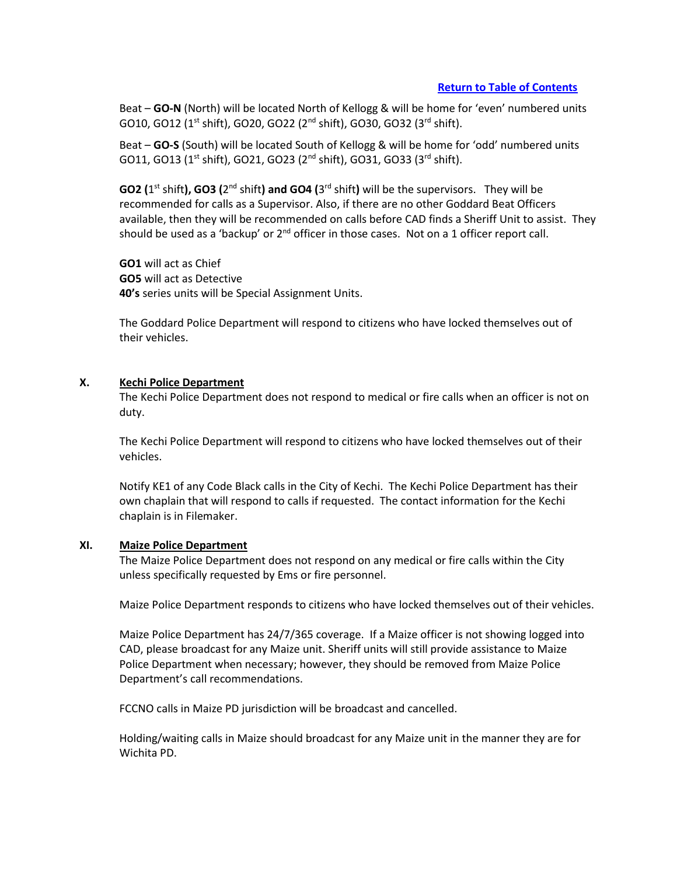Beat – **GO-N** (North) will be located North of Kellogg & will be home for 'even' numbered units GO10, GO12 (1<sup>st</sup> shift), GO20, GO22 (2<sup>nd</sup> shift), GO30, GO32 (3<sup>rd</sup> shift).

Beat – **GO-S** (South) will be located South of Kellogg & will be home for 'odd' numbered units  $G$ O11,  $G$ O13 (1<sup>st</sup> shift),  $G$ O21,  $G$ O23 ( $2<sup>nd</sup>$  shift),  $G$ O31,  $G$ O33 ( $3<sup>rd</sup>$  shift).

GO2 (1<sup>st</sup> shift), GO3 (2<sup>nd</sup> shift) and GO4 (3<sup>rd</sup> shift) will be the supervisors. They will be recommended for calls as a Supervisor. Also, if there are no other Goddard Beat Officers available, then they will be recommended on calls before CAD finds a Sheriff Unit to assist. They should be used as a 'backup' or  $2^{nd}$  officer in those cases. Not on a 1 officer report call.

**GO1** will act as Chief **GO5** will act as Detective **40's** series units will be Special Assignment Units.

The Goddard Police Department will respond to citizens who have locked themselves out of their vehicles.

#### **X. Kechi Police Department**

The Kechi Police Department does not respond to medical or fire calls when an officer is not on duty.

The Kechi Police Department will respond to citizens who have locked themselves out of their vehicles.

Notify KE1 of any Code Black calls in the City of Kechi. The Kechi Police Department has their own chaplain that will respond to calls if requested. The contact information for the Kechi chaplain is in Filemaker.

#### **XI. Maize Police Department**

The Maize Police Department does not respond on any medical or fire calls within the City unless specifically requested by Ems or fire personnel.

Maize Police Department responds to citizens who have locked themselves out of their vehicles.

Maize Police Department has 24/7/365 coverage. If a Maize officer is not showing logged into CAD, please broadcast for any Maize unit. Sheriff units will still provide assistance to Maize Police Department when necessary; however, they should be removed from Maize Police Department's call recommendations.

FCCNO calls in Maize PD jurisdiction will be broadcast and cancelled.

Holding/waiting calls in Maize should broadcast for any Maize unit in the manner they are for Wichita PD.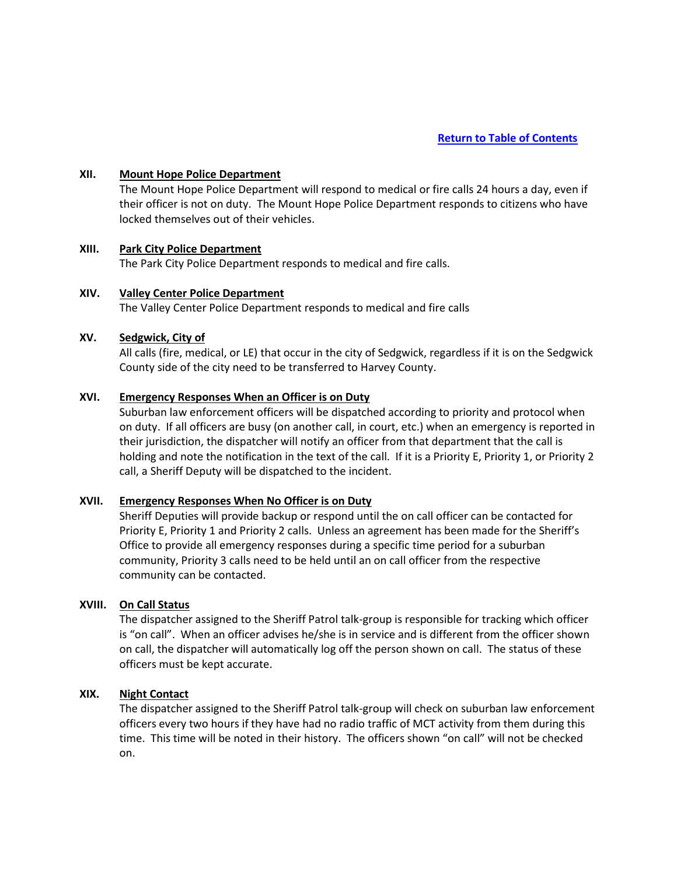#### **XII. Mount Hope Police Department**

The Mount Hope Police Department will respond to medical or fire calls 24 hours a day, even if their officer is not on duty. The Mount Hope Police Department responds to citizens who have locked themselves out of their vehicles.

# **XIII. Park City Police Department**

The Park City Police Department responds to medical and fire calls.

#### **XIV. Valley Center Police Department**

The Valley Center Police Department responds to medical and fire calls

#### **XV. Sedgwick, City of**

All calls (fire, medical, or LE) that occur in the city of Sedgwick, regardless if it is on the Sedgwick County side of the city need to be transferred to Harvey County.

#### **XVI. Emergency Responses When an Officer is on Duty**

Suburban law enforcement officers will be dispatched according to priority and protocol when on duty. If all officers are busy (on another call, in court, etc.) when an emergency is reported in their jurisdiction, the dispatcher will notify an officer from that department that the call is holding and note the notification in the text of the call. If it is a Priority E, Priority 1, or Priority 2 call, a Sheriff Deputy will be dispatched to the incident.

#### **XVII. Emergency Responses When No Officer is on Duty**

Sheriff Deputies will provide backup or respond until the on call officer can be contacted for Priority E, Priority 1 and Priority 2 calls. Unless an agreement has been made for the Sheriff's Office to provide all emergency responses during a specific time period for a suburban community, Priority 3 calls need to be held until an on call officer from the respective community can be contacted.

# **XVIII. On Call Status**

The dispatcher assigned to the Sheriff Patrol talk-group is responsible for tracking which officer is "on call". When an officer advises he/she is in service and is different from the officer shown on call, the dispatcher will automatically log off the person shown on call. The status of these officers must be kept accurate.

#### **XIX. Night Contact**

The dispatcher assigned to the Sheriff Patrol talk-group will check on suburban law enforcement officers every two hours if they have had no radio traffic of MCT activity from them during this time. This time will be noted in their history. The officers shown "on call" will not be checked on.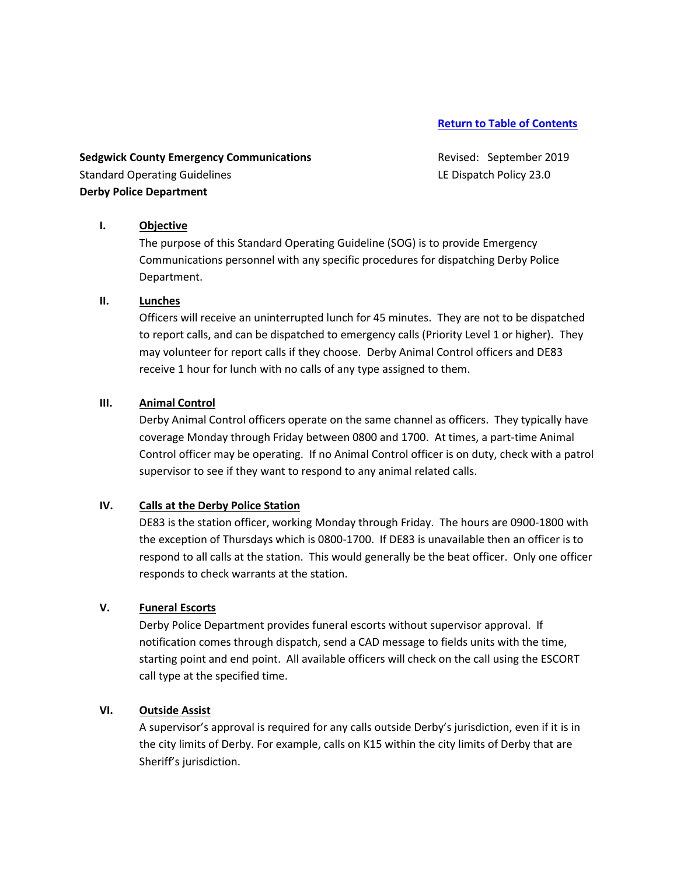**Sedgwick County Emergency Communications Revised: September 2019** Standard Operating Guidelines **LE Dispatch Policy 23.0** LE Dispatch Policy 23.0 **Derby Police Department**

## **I. Objective**

The purpose of this Standard Operating Guideline (SOG) is to provide Emergency Communications personnel with any specific procedures for dispatching Derby Police Department.

#### **II. Lunches**

Officers will receive an uninterrupted lunch for 45 minutes. They are not to be dispatched to report calls, and can be dispatched to emergency calls (Priority Level 1 or higher). They may volunteer for report calls if they choose. Derby Animal Control officers and DE83 receive 1 hour for lunch with no calls of any type assigned to them.

#### **III. Animal Control**

Derby Animal Control officers operate on the same channel as officers. They typically have coverage Monday through Friday between 0800 and 1700. At times, a part-time Animal Control officer may be operating. If no Animal Control officer is on duty, check with a patrol supervisor to see if they want to respond to any animal related calls.

### **IV. Calls at the Derby Police Station**

DE83 is the station officer, working Monday through Friday. The hours are 0900-1800 with the exception of Thursdays which is 0800-1700. If DE83 is unavailable then an officer is to respond to all calls at the station. This would generally be the beat officer. Only one officer responds to check warrants at the station.

# **V. Funeral Escorts**

Derby Police Department provides funeral escorts without supervisor approval. If notification comes through dispatch, send a CAD message to fields units with the time, starting point and end point. All available officers will check on the call using the ESCORT call type at the specified time.

# **VI. Outside Assist**

A supervisor's approval is required for any calls outside Derby's jurisdiction, even if it is in the city limits of Derby. For example, calls on K15 within the city limits of Derby that are Sheriff's jurisdiction.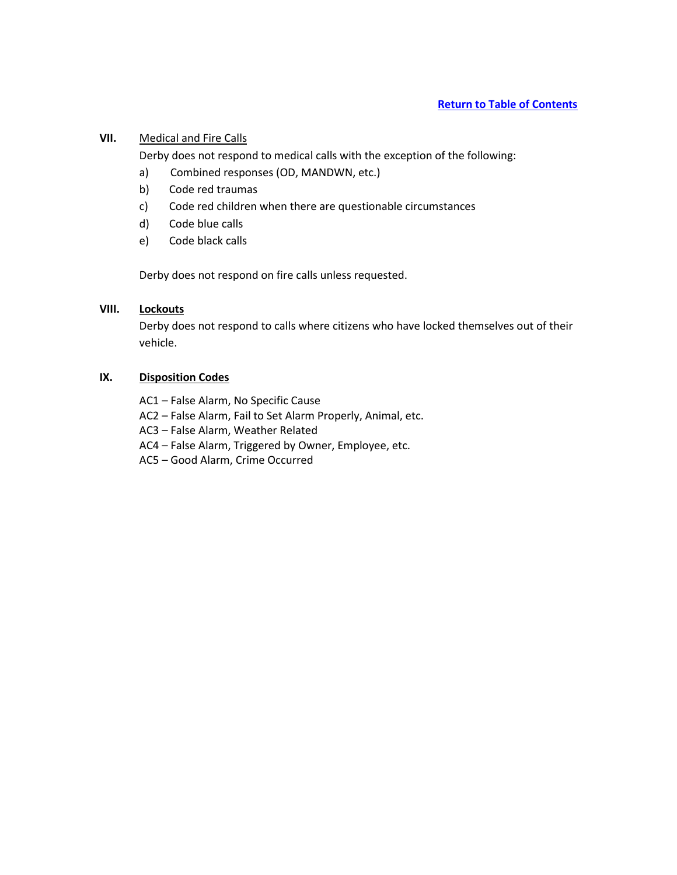# **VII.** Medical and Fire Calls

Derby does not respond to medical calls with the exception of the following:

- a) Combined responses (OD, MANDWN, etc.)
- b) Code red traumas
- c) Code red children when there are questionable circumstances
- d) Code blue calls
- e) Code black calls

Derby does not respond on fire calls unless requested.

## **VIII. Lockouts**

Derby does not respond to calls where citizens who have locked themselves out of their vehicle.

## **IX. Disposition Codes**

- AC1 False Alarm, No Specific Cause
- AC2 False Alarm, Fail to Set Alarm Properly, Animal, etc.
- AC3 False Alarm, Weather Related
- AC4 False Alarm, Triggered by Owner, Employee, etc.
- AC5 Good Alarm, Crime Occurred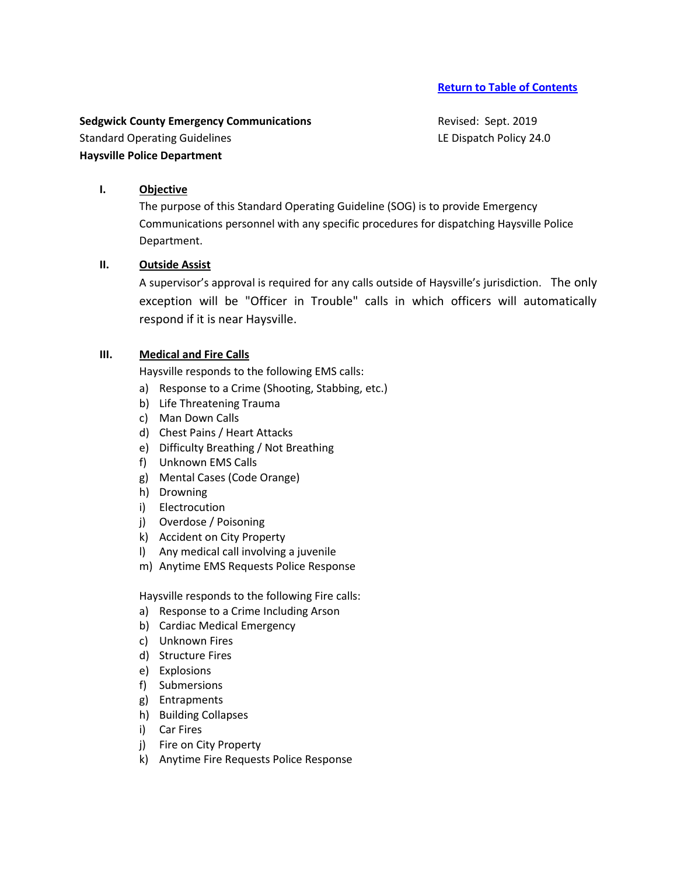**Sedgwick County Emergency Communications Revised: Sept. 2019** Standard Operating Guidelines **LE Dispatch Policy 24.0** LE Dispatch Policy 24.0 **Haysville Police Department**

# **I. Objective**

The purpose of this Standard Operating Guideline (SOG) is to provide Emergency Communications personnel with any specific procedures for dispatching Haysville Police Department.

#### **II. Outside Assist**

A supervisor's approval is required for any calls outside of Haysville's jurisdiction. The only exception will be "Officer in Trouble" calls in which officers will automatically respond if it is near Haysville.

#### **III. Medical and Fire Calls**

Haysville responds to the following EMS calls:

- a) Response to a Crime (Shooting, Stabbing, etc.)
- b) Life Threatening Trauma
- c) Man Down Calls
- d) Chest Pains / Heart Attacks
- e) Difficulty Breathing / Not Breathing
- f) Unknown EMS Calls
- g) Mental Cases (Code Orange)
- h) Drowning
- i) Electrocution
- j) Overdose / Poisoning
- k) Accident on City Property
- l) Any medical call involving a juvenile
- m) Anytime EMS Requests Police Response

Haysville responds to the following Fire calls:

- a) Response to a Crime Including Arson
- b) Cardiac Medical Emergency
- c) Unknown Fires
- d) Structure Fires
- e) Explosions
- f) Submersions
- g) Entrapments
- h) Building Collapses
- i) Car Fires
- j) Fire on City Property
- k) Anytime Fire Requests Police Response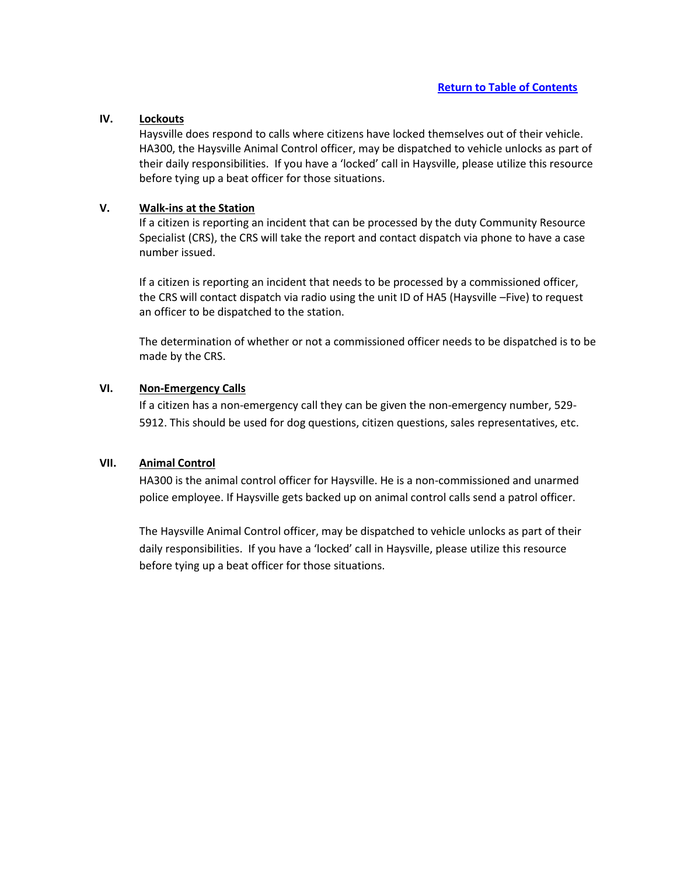## **IV. Lockouts**

Haysville does respond to calls where citizens have locked themselves out of their vehicle. HA300, the Haysville Animal Control officer, may be dispatched to vehicle unlocks as part of their daily responsibilities. If you have a 'locked' call in Haysville, please utilize this resource before tying up a beat officer for those situations.

#### **V. Walk-ins at the Station**

If a citizen is reporting an incident that can be processed by the duty Community Resource Specialist (CRS), the CRS will take the report and contact dispatch via phone to have a case number issued.

If a citizen is reporting an incident that needs to be processed by a commissioned officer, the CRS will contact dispatch via radio using the unit ID of HA5 (Haysville –Five) to request an officer to be dispatched to the station.

The determination of whether or not a commissioned officer needs to be dispatched is to be made by the CRS.

# **VI. Non-Emergency Calls**

If a citizen has a non-emergency call they can be given the non-emergency number, 529- 5912. This should be used for dog questions, citizen questions, sales representatives, etc.

#### **VII. Animal Control**

HA300 is the animal control officer for Haysville. He is a non-commissioned and unarmed police employee. If Haysville gets backed up on animal control calls send a patrol officer.

The Haysville Animal Control officer, may be dispatched to vehicle unlocks as part of their daily responsibilities. If you have a 'locked' call in Haysville, please utilize this resource before tying up a beat officer for those situations.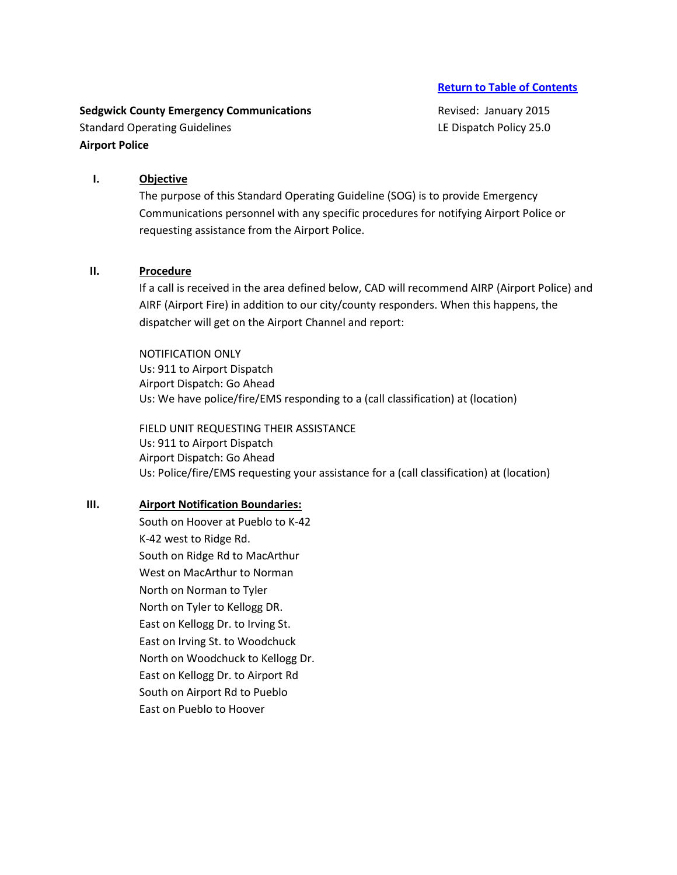**Sedgwick County Emergency Communications Revised: January 2015 Revised: January 2015** Standard Operating Guidelines **LE Dispatch Policy 25.0 Airport Police**

# **I. Objective**

The purpose of this Standard Operating Guideline (SOG) is to provide Emergency Communications personnel with any specific procedures for notifying Airport Police or requesting assistance from the Airport Police.

## **II. Procedure**

If a call is received in the area defined below, CAD will recommend AIRP (Airport Police) and AIRF (Airport Fire) in addition to our city/county responders. When this happens, the dispatcher will get on the Airport Channel and report:

NOTIFICATION ONLY Us: 911 to Airport Dispatch Airport Dispatch: Go Ahead Us: We have police/fire/EMS responding to a (call classification) at (location)

FIELD UNIT REQUESTING THEIR ASSISTANCE Us: 911 to Airport Dispatch Airport Dispatch: Go Ahead Us: Police/fire/EMS requesting your assistance for a (call classification) at (location)

## **III. Airport Notification Boundaries:**

South on Hoover at Pueblo to K-42 K-42 west to Ridge Rd. South on Ridge Rd to MacArthur West on MacArthur to Norman North on Norman to Tyler North on Tyler to Kellogg DR. East on Kellogg Dr. to Irving St. East on Irving St. to Woodchuck North on Woodchuck to Kellogg Dr. East on Kellogg Dr. to Airport Rd South on Airport Rd to Pueblo East on Pueblo to Hoover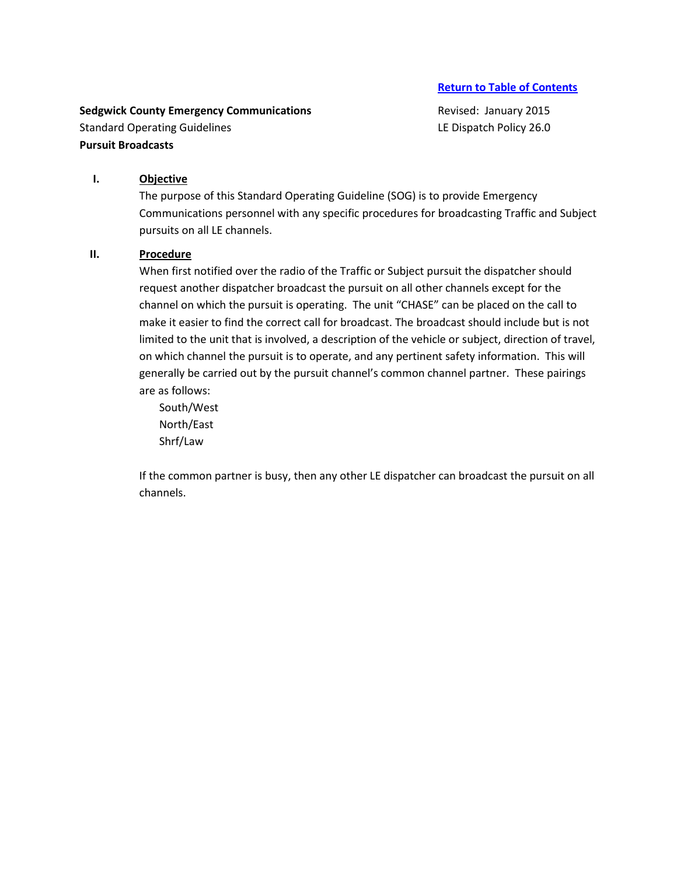**Sedgwick County Emergency Communications Revised: January 2015 Revised: January 2015** Standard Operating Guidelines **LE Dispatch Policy 26.0 Pursuit Broadcasts**

# **I. Objective**

The purpose of this Standard Operating Guideline (SOG) is to provide Emergency Communications personnel with any specific procedures for broadcasting Traffic and Subject pursuits on all LE channels.

#### **II. Procedure**

When first notified over the radio of the Traffic or Subject pursuit the dispatcher should request another dispatcher broadcast the pursuit on all other channels except for the channel on which the pursuit is operating. The unit "CHASE" can be placed on the call to make it easier to find the correct call for broadcast. The broadcast should include but is not limited to the unit that is involved, a description of the vehicle or subject, direction of travel, on which channel the pursuit is to operate, and any pertinent safety information. This will generally be carried out by the pursuit channel's common channel partner. These pairings are as follows:

South/West North/East Shrf/Law

If the common partner is busy, then any other LE dispatcher can broadcast the pursuit on all channels.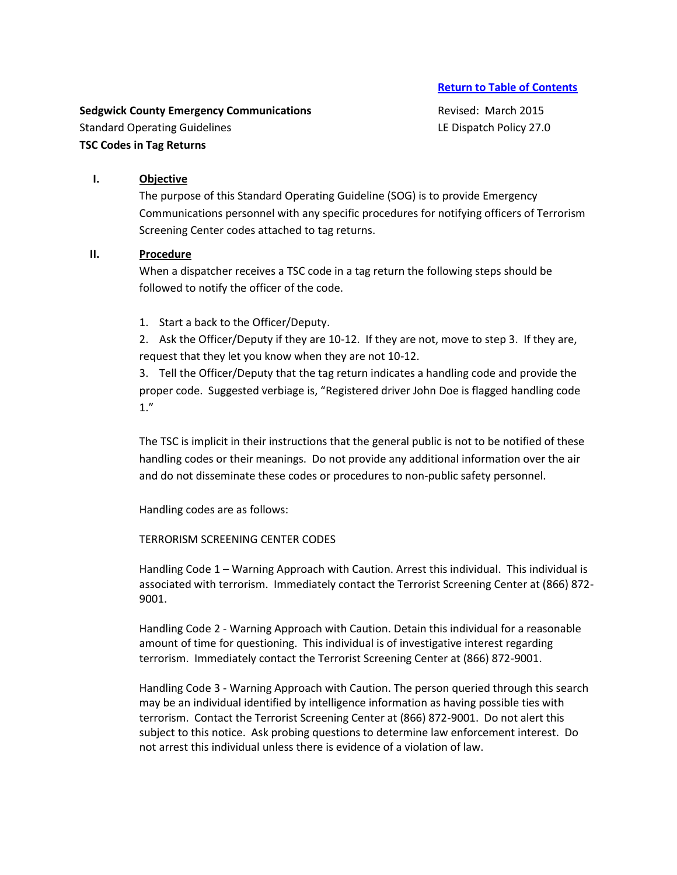**Sedgwick County Emergency Communications Revised: March 2015** Standard Operating Guidelines **LE Dispatch Policy 27.0 TSC Codes in Tag Returns**

## **I. Objective**

The purpose of this Standard Operating Guideline (SOG) is to provide Emergency Communications personnel with any specific procedures for notifying officers of Terrorism Screening Center codes attached to tag returns.

## **II. Procedure**

When a dispatcher receives a TSC code in a tag return the following steps should be followed to notify the officer of the code.

1. Start a back to the Officer/Deputy.

2. Ask the Officer/Deputy if they are 10-12. If they are not, move to step 3. If they are, request that they let you know when they are not 10-12.

3. Tell the Officer/Deputy that the tag return indicates a handling code and provide the proper code. Suggested verbiage is, "Registered driver John Doe is flagged handling code 1."

The TSC is implicit in their instructions that the general public is not to be notified of these handling codes or their meanings. Do not provide any additional information over the air and do not disseminate these codes or procedures to non-public safety personnel.

Handling codes are as follows:

TERRORISM SCREENING CENTER CODES

Handling Code 1 – Warning Approach with Caution. Arrest this individual. This individual is associated with terrorism. Immediately contact the Terrorist Screening Center at (866) 872- 9001.

Handling Code 2 - Warning Approach with Caution. Detain this individual for a reasonable amount of time for questioning. This individual is of investigative interest regarding terrorism. Immediately contact the Terrorist Screening Center at (866) 872-9001.

Handling Code 3 - Warning Approach with Caution. The person queried through this search may be an individual identified by intelligence information as having possible ties with terrorism. Contact the Terrorist Screening Center at (866) 872-9001. Do not alert this subject to this notice. Ask probing questions to determine law enforcement interest. Do not arrest this individual unless there is evidence of a violation of law.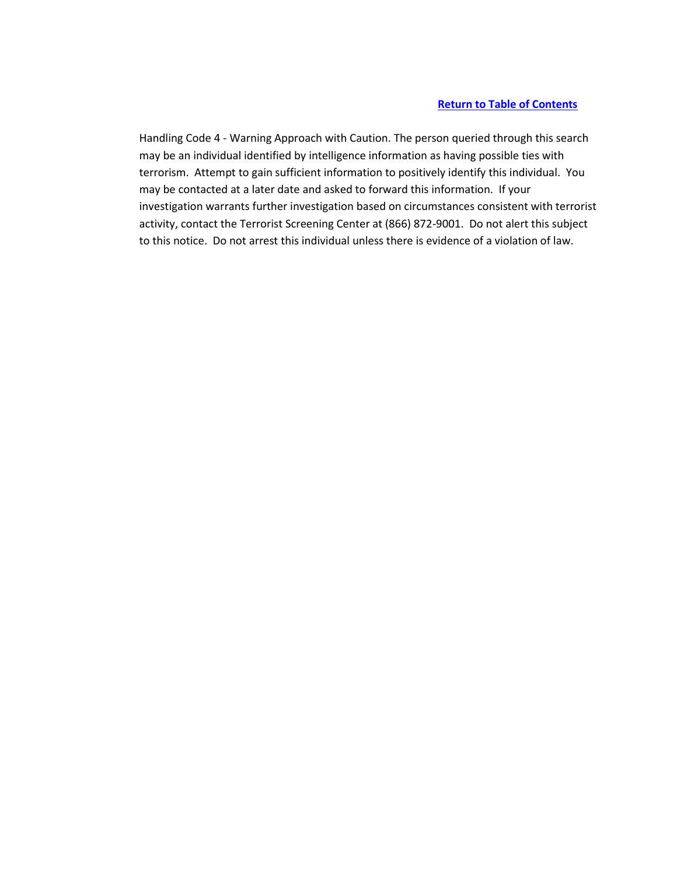Handling Code 4 - Warning Approach with Caution. The person queried through this search may be an individual identified by intelligence information as having possible ties with terrorism. Attempt to gain sufficient information to positively identify this individual. You may be contacted at a later date and asked to forward this information. If your investigation warrants further investigation based on circumstances consistent with terrorist activity, contact the Terrorist Screening Center at (866) 872-9001. Do not alert this subject to this notice. Do not arrest this individual unless there is evidence of a violation of law.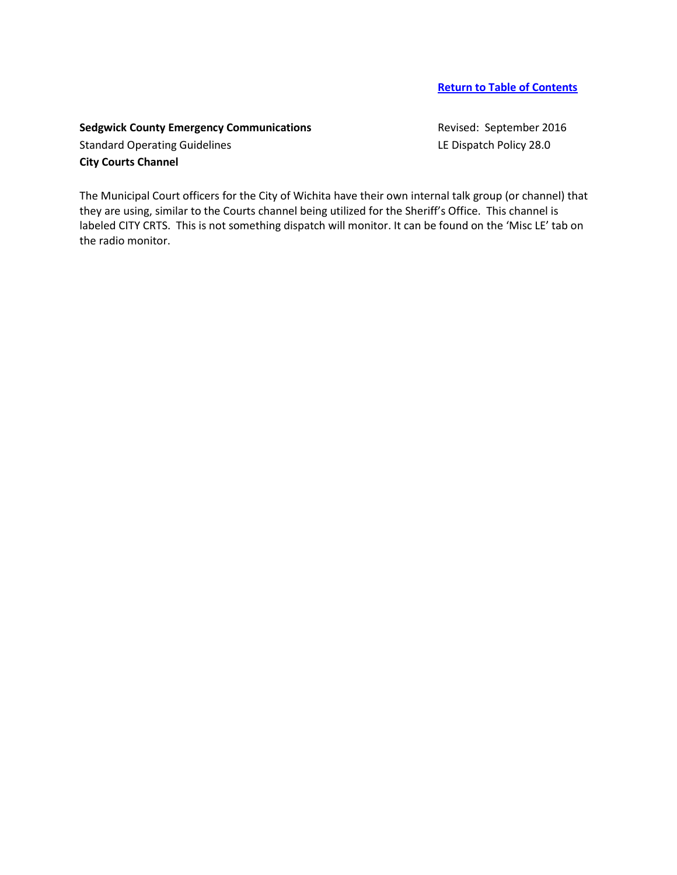# **Sedgwick County Emergency Communications Revised: September 2016**

Standard Operating Guidelines **LE Dispatch Policy 28.0 City Courts Channel**

The Municipal Court officers for the City of Wichita have their own internal talk group (or channel) that they are using, similar to the Courts channel being utilized for the Sheriff's Office. This channel is labeled CITY CRTS. This is not something dispatch will monitor. It can be found on the 'Misc LE' tab on the radio monitor.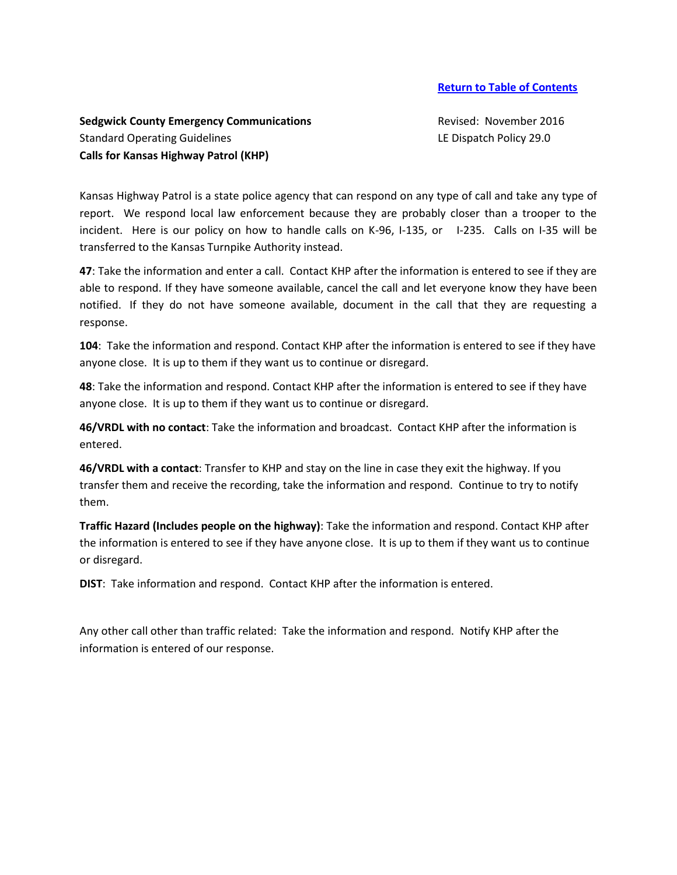# **Sedgwick County Emergency Communications Revised: November 2016** Standard Operating Guidelines **LE Dispatch Policy 29.0** LE Dispatch Policy 29.0 **Calls for Kansas Highway Patrol (KHP)**

Kansas Highway Patrol is a state police agency that can respond on any type of call and take any type of report. We respond local law enforcement because they are probably closer than a trooper to the incident. Here is our policy on how to handle calls on K-96, I-135, or I-235. Calls on I-35 will be transferred to the Kansas Turnpike Authority instead.

**47**: Take the information and enter a call. Contact KHP after the information is entered to see if they are able to respond. If they have someone available, cancel the call and let everyone know they have been notified. If they do not have someone available, document in the call that they are requesting a response.

**104**: Take the information and respond. Contact KHP after the information is entered to see if they have anyone close. It is up to them if they want us to continue or disregard.

**48**: Take the information and respond. Contact KHP after the information is entered to see if they have anyone close. It is up to them if they want us to continue or disregard.

**46/VRDL with no contact**: Take the information and broadcast. Contact KHP after the information is entered.

**46/VRDL with a contact**: Transfer to KHP and stay on the line in case they exit the highway. If you transfer them and receive the recording, take the information and respond. Continue to try to notify them.

**Traffic Hazard (Includes people on the highway)**: Take the information and respond. Contact KHP after the information is entered to see if they have anyone close. It is up to them if they want us to continue or disregard.

**DIST**: Take information and respond. Contact KHP after the information is entered.

Any other call other than traffic related: Take the information and respond. Notify KHP after the information is entered of our response.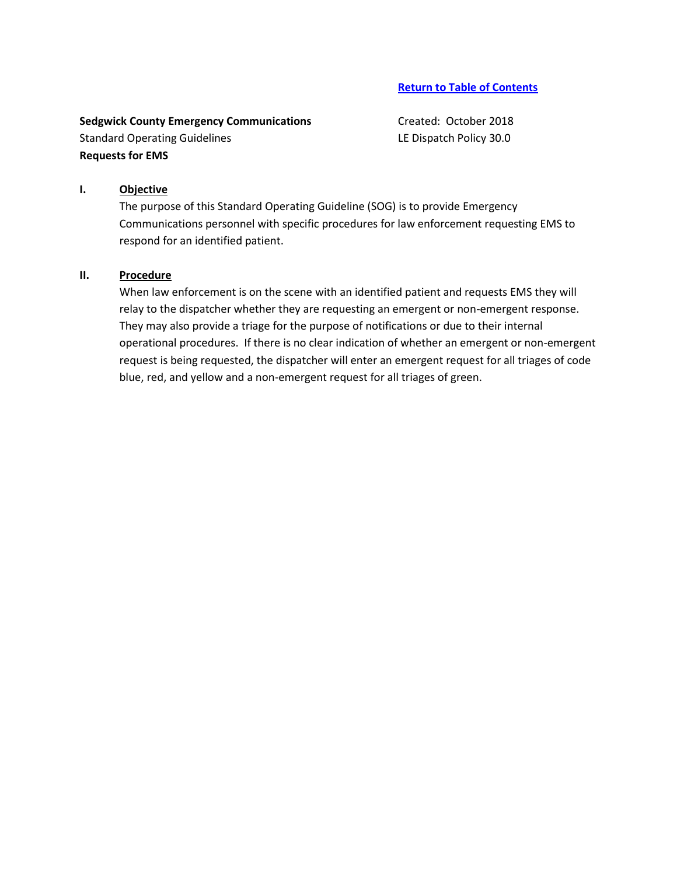**Sedgwick County Emergency Communications** Created: October 2018 Standard Operating Guidelines **LE Dispatch Policy 30.0 Requests for EMS**

#### **I. Objective**

The purpose of this Standard Operating Guideline (SOG) is to provide Emergency Communications personnel with specific procedures for law enforcement requesting EMS to respond for an identified patient.

#### **II. Procedure**

When law enforcement is on the scene with an identified patient and requests EMS they will relay to the dispatcher whether they are requesting an emergent or non-emergent response. They may also provide a triage for the purpose of notifications or due to their internal operational procedures. If there is no clear indication of whether an emergent or non-emergent request is being requested, the dispatcher will enter an emergent request for all triages of code blue, red, and yellow and a non-emergent request for all triages of green.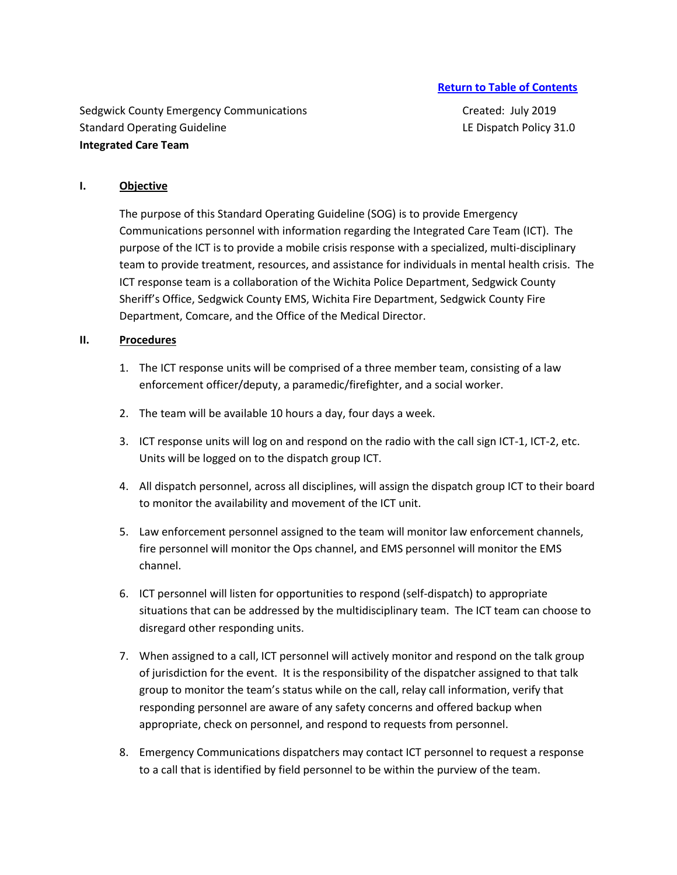Sedgwick County Emergency Communications Theorem Created: July 2019 Standard Operating Guideline Learning Control of Learning Control of Learning Control of Learning Control of Learning Control of Learning Control of Learning Control of Learning Control of Learning Control of Learning Cont **Integrated Care Team**

#### **I. Objective**

The purpose of this Standard Operating Guideline (SOG) is to provide Emergency Communications personnel with information regarding the Integrated Care Team (ICT). The purpose of the ICT is to provide a mobile crisis response with a specialized, multi-disciplinary team to provide treatment, resources, and assistance for individuals in mental health crisis. The ICT response team is a collaboration of the Wichita Police Department, Sedgwick County Sheriff's Office, Sedgwick County EMS, Wichita Fire Department, Sedgwick County Fire Department, Comcare, and the Office of the Medical Director.

### **II. Procedures**

- 1. The ICT response units will be comprised of a three member team, consisting of a law enforcement officer/deputy, a paramedic/firefighter, and a social worker.
- 2. The team will be available 10 hours a day, four days a week.
- 3. ICT response units will log on and respond on the radio with the call sign ICT-1, ICT-2, etc. Units will be logged on to the dispatch group ICT.
- 4. All dispatch personnel, across all disciplines, will assign the dispatch group ICT to their board to monitor the availability and movement of the ICT unit.
- 5. Law enforcement personnel assigned to the team will monitor law enforcement channels, fire personnel will monitor the Ops channel, and EMS personnel will monitor the EMS channel.
- 6. ICT personnel will listen for opportunities to respond (self-dispatch) to appropriate situations that can be addressed by the multidisciplinary team. The ICT team can choose to disregard other responding units.
- 7. When assigned to a call, ICT personnel will actively monitor and respond on the talk group of jurisdiction for the event. It is the responsibility of the dispatcher assigned to that talk group to monitor the team's status while on the call, relay call information, verify that responding personnel are aware of any safety concerns and offered backup when appropriate, check on personnel, and respond to requests from personnel.
- 8. Emergency Communications dispatchers may contact ICT personnel to request a response to a call that is identified by field personnel to be within the purview of the team.